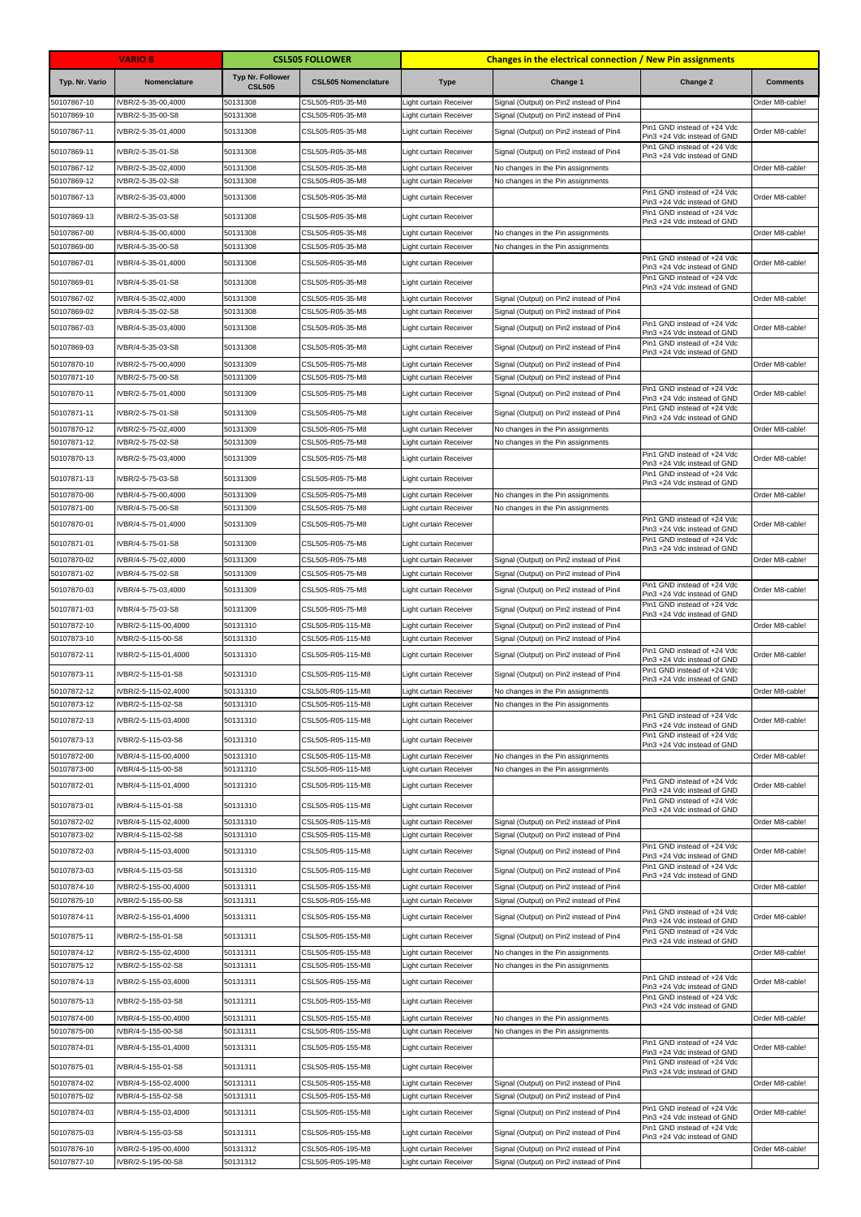|                            | <b>VARIO B</b>                             |                                          | <b>CSL505 FOLLOWER</b>                 |                                                         | <b>Changes in the electrical connection / New Pin assignments</b>                  |                                                            |                 |
|----------------------------|--------------------------------------------|------------------------------------------|----------------------------------------|---------------------------------------------------------|------------------------------------------------------------------------------------|------------------------------------------------------------|-----------------|
| Typ. Nr. Vario             | Nomenclature                               | <b>Typ Nr. Follower</b><br><b>CSL505</b> | <b>CSL505 Nomenclature</b>             | <b>Type</b>                                             | Change 1                                                                           | Change 2                                                   | <b>Comments</b> |
| 50107867-10                | VBR/2-5-35-00,4000                         | 50131308                                 | CSL505-R05-35-M8                       | Light curtain Receiver                                  | Signal (Output) on Pin2 instead of Pin4                                            |                                                            | Order M8-cable! |
| 50107869-10                | VBR/2-5-35-00-S8                           | 50131308                                 | CSL505-R05-35-M8                       | ight curtain Receiver                                   | Signal (Output) on Pin2 instead of Pin4                                            | Pin1 GND instead of +24 Vdc                                |                 |
| 50107867-11                | VBR/2-5-35-01,4000                         | 50131308                                 | CSL505-R05-35-M8                       | Light curtain Receiver                                  | Signal (Output) on Pin2 instead of Pin4                                            | Pin3 +24 Vdc instead of GND<br>Pin1 GND instead of +24 Vdc | Order M8-cable! |
| 50107869-11                | VBR/2-5-35-01-S8                           | 50131308                                 | CSL505-R05-35-M8                       | Light curtain Receiver                                  | Signal (Output) on Pin2 instead of Pin4                                            | Pin3 +24 Vdc instead of GND                                |                 |
| 50107867-12                | VBR/2-5-35-02,4000                         | 50131308                                 | CSL505-R05-35-M8                       | Light curtain Receiver                                  | No changes in the Pin assignments                                                  |                                                            | Order M8-cable! |
| 50107869-12<br>50107867-13 | VBR/2-5-35-02-S8<br>VBR/2-5-35-03,4000     | 50131308<br>50131308                     | CSL505-R05-35-M8<br>CSL505-R05-35-M8   | Light curtain Receiver<br>Light curtain Receiver        | No changes in the Pin assignments                                                  | Pin1 GND instead of +24 Vdc                                | Order M8-cable! |
|                            |                                            |                                          |                                        |                                                         |                                                                                    | Pin3 +24 Vdc instead of GND<br>Pin1 GND instead of +24 Vdc |                 |
| 50107869-13                | VBR/2-5-35-03-S8                           | 50131308                                 | CSL505-R05-35-M8                       | Light curtain Receiver                                  |                                                                                    | Pin3 +24 Vdc instead of GND                                |                 |
| 50107867-00<br>50107869-00 | VBR/4-5-35-00,4000<br>VBR/4-5-35-00-S8     | 50131308<br>50131308                     | CSL505-R05-35-M8<br>CSL505-R05-35-M8   | Light curtain Receiver<br>Light curtain Receiver        | No changes in the Pin assignments<br>No changes in the Pin assignments             |                                                            | Order M8-cable! |
| 50107867-01                | VBR/4-5-35-01,4000                         | 50131308                                 | CSL505-R05-35-M8                       | Light curtain Receiver                                  |                                                                                    | Pin1 GND instead of +24 Vdc                                | Order M8-cable! |
| 50107869-01                | IVBR/4-5-35-01-S8                          | 50131308                                 | CSL505-R05-35-M8                       | Light curtain Receiver                                  |                                                                                    | Pin3 +24 Vdc instead of GND<br>Pin1 GND instead of +24 Vdc |                 |
| 50107867-02                | IVBR/4-5-35-02,4000                        | 50131308                                 | CSL505-R05-35-M8                       | Light curtain Receiver                                  | Signal (Output) on Pin2 instead of Pin4                                            | Pin3 +24 Vdc instead of GND                                | Order M8-cable! |
| 50107869-02                | VBR/4-5-35-02-S8                           | 50131308                                 | CSL505-R05-35-M8                       | Light curtain Receiver                                  | Signal (Output) on Pin2 instead of Pin4                                            |                                                            |                 |
| 50107867-03                | VBR/4-5-35-03,4000                         | 50131308                                 | CSL505-R05-35-M8                       | Light curtain Receiver                                  | Signal (Output) on Pin2 instead of Pin4                                            | Pin1 GND instead of +24 Vdc<br>Pin3 +24 Vdc instead of GND | Order M8-cable! |
| 50107869-03                | VBR/4-5-35-03-S8                           | 50131308                                 | CSL505-R05-35-M8                       | Light curtain Receiver                                  | Signal (Output) on Pin2 instead of Pin4                                            | Pin1 GND instead of +24 Vdc<br>Pin3 +24 Vdc instead of GND |                 |
| 50107870-10                | VBR/2-5-75-00,4000                         | 50131309                                 | CSL505-R05-75-M8                       | Light curtain Receiver                                  | Signal (Output) on Pin2 instead of Pin4                                            |                                                            | Order M8-cable! |
| 50107871-10                | VBR/2-5-75-00-S8                           | 50131309                                 | CSL505-R05-75-M8                       | ight curtain Receiver                                   | Signal (Output) on Pin2 instead of Pin4                                            |                                                            |                 |
| 50107870-11                | VBR/2-5-75-01,4000                         | 50131309                                 | CSL505-R05-75-M8                       | Light curtain Receiver                                  | Signal (Output) on Pin2 instead of Pin4                                            | Pin1 GND instead of +24 Vdc<br>Pin3 +24 Vdc instead of GND | Order M8-cable! |
| 50107871-11                | VBR/2-5-75-01-S8                           | 50131309                                 | CSL505-R05-75-M8                       | Light curtain Receiver                                  | Signal (Output) on Pin2 instead of Pin4                                            | Pin1 GND instead of +24 Vdc<br>Pin3 +24 Vdc instead of GND |                 |
| 50107870-12                | VBR/2-5-75-02,4000                         | 50131309                                 | CSL505-R05-75-M8                       | ight curtain Receiver                                   | No changes in the Pin assignments                                                  |                                                            | Order M8-cable! |
| 50107871-12                | VBR/2-5-75-02-S8                           | 50131309                                 | CSL505-R05-75-M8                       | ight curtain Receiver                                   | No changes in the Pin assignments                                                  | Pin1 GND instead of +24 Vdc                                |                 |
| 50107870-13                | VBR/2-5-75-03,4000                         | 50131309                                 | CSL505-R05-75-M8                       | Light curtain Receiver                                  |                                                                                    | Pin3 +24 Vdc instead of GND                                | Order M8-cable! |
| 50107871-13                | VBR/2-5-75-03-S8                           | 50131309                                 | CSL505-R05-75-M8                       | Light curtain Receiver                                  |                                                                                    | Pin1 GND instead of +24 Vdc<br>Pin3 +24 Vdc instead of GND |                 |
| 50107870-00                | VBR/4-5-75-00,4000                         | 50131309                                 | CSL505-R05-75-M8                       | Light curtain Receiver                                  | No changes in the Pin assignments                                                  |                                                            | Order M8-cable! |
| 50107871-00<br>50107870-01 | VBR/4-5-75-00-S8<br>VBR/4-5-75-01,4000     | 50131309<br>50131309                     | CSL505-R05-75-M8<br>CSL505-R05-75-M8   | Light curtain Receiver<br>Light curtain Receiver        | No changes in the Pin assignments                                                  | Pin1 GND instead of +24 Vdc                                | Order M8-cable! |
|                            |                                            |                                          |                                        |                                                         |                                                                                    | Pin3 +24 Vdc instead of GND<br>Pin1 GND instead of +24 Vdc |                 |
| 50107871-01                | IVBR/4-5-75-01-S8                          | 50131309                                 | CSL505-R05-75-M8                       | Light curtain Receiver                                  |                                                                                    | Pin3 +24 Vdc instead of GND                                |                 |
| 50107870-02<br>50107871-02 | VBR/4-5-75-02,4000<br>VBR/4-5-75-02-S8     | 50131309<br>50131309                     | CSL505-R05-75-M8<br>CSL505-R05-75-M8   | ight curtain Receiver<br>Light curtain Receiver         | Signal (Output) on Pin2 instead of Pin4<br>Signal (Output) on Pin2 instead of Pin4 |                                                            | Order M8-cable! |
| 50107870-03                | VBR/4-5-75-03,4000                         | 50131309                                 | CSL505-R05-75-M8                       | Light curtain Receiver                                  | Signal (Output) on Pin2 instead of Pin4                                            | Pin1 GND instead of +24 Vdc<br>Pin3 +24 Vdc instead of GND | Order M8-cable! |
| 50107871-03                | IVBR/4-5-75-03-S8                          | 50131309                                 | CSL505-R05-75-M8                       | Light curtain Receiver                                  | Signal (Output) on Pin2 instead of Pin4                                            | Pin1 GND instead of +24 Vdc<br>Pin3 +24 Vdc instead of GND |                 |
| 50107872-10                | IVBR/2-5-115-00,4000                       | 50131310                                 | CSL505-R05-115-M8                      | Light curtain Receiver                                  | Signal (Output) on Pin2 instead of Pin4                                            |                                                            | Order M8-cable! |
| 50107873-10                | VBR/2-5-115-00-S8                          | 50131310                                 | CSL505-R05-115-M8                      | Light curtain Receiver                                  | Signal (Output) on Pin2 instead of Pin4                                            | Pin1 GND instead of +24 Vdc                                |                 |
| 50107872-11                | VBR/2-5-115-01,4000                        | 50131310                                 | CSL505-R05-115-M8                      | Light curtain Receiver                                  | Signal (Output) on Pin2 instead of Pin4                                            | Pin3 +24 Vdc instead of GND<br>Pin1 GND instead of +24 Vdc | Order M8-cable! |
| 50107873-11                | VBR/2-5-115-01-S8                          | 50131310                                 | CSL505-R05-115-M8                      | Light curtain Receiver                                  | Signal (Output) on Pin2 instead of Pin4                                            | Pin3 +24 Vdc instead of GND                                |                 |
| 50107872-12<br>50107873-12 | IVBR/2-5-115-02,4000<br>IVBR/2-5-115-02-S8 | 50131310<br>50131310                     | CSL505-R05-115-M8<br>CSL505-R05-115-M8 | Light curtain Receiver<br><b>Light curtain Receiver</b> | No changes in the Pin assignments<br>No changes in the Pin assignments             |                                                            | Order M8-cable! |
| 50107872-13                | VBR/2-5-115-03,4000                        | 50131310                                 | CSL505-R05-115-M8                      | Light curtain Receiver                                  |                                                                                    | Pin1 GND instead of +24 Vdc                                | Order M8-cable! |
| 50107873-13                | VBR/2-5-115-03-S8                          | 50131310                                 | CSL505-R05-115-M8                      |                                                         |                                                                                    | Pin3 +24 Vdc instead of GND<br>Pin1 GND instead of +24 Vdc |                 |
| 50107872-00                | IVBR/4-5-115-00,4000                       | 50131310                                 | CSL505-R05-115-M8                      | Light curtain Receiver<br>Light curtain Receiver        | No changes in the Pin assignments                                                  | Pin3 +24 Vdc instead of GND                                | Order M8-cable! |
| 50107873-00                | IVBR/4-5-115-00-S8                         | 50131310                                 | CSL505-R05-115-M8                      | Light curtain Receiver                                  | No changes in the Pin assignments                                                  |                                                            |                 |
| 50107872-01                | VBR/4-5-115-01,4000                        | 50131310                                 | CSL505-R05-115-M8                      | Light curtain Receiver                                  |                                                                                    | Pin1 GND instead of +24 Vdc<br>Pin3 +24 Vdc instead of GND | Order M8-cable! |
| 50107873-01                | VBR/4-5-115-01-S8                          | 50131310                                 | CSL505-R05-115-M8                      | Light curtain Receiver                                  |                                                                                    | Pin1 GND instead of +24 Vdc                                |                 |
| 50107872-02                | IVBR/4-5-115-02,4000                       | 50131310                                 | CSL505-R05-115-M8                      | Light curtain Receiver                                  | Signal (Output) on Pin2 instead of Pin4                                            | Pin3 +24 Vdc instead of GND                                | Order M8-cable! |
| 50107873-02                | IVBR/4-5-115-02-S8                         | 50131310                                 | CSL505-R05-115-M8                      | Light curtain Receiver                                  | Signal (Output) on Pin2 instead of Pin4                                            |                                                            |                 |
| 50107872-03                | IVBR/4-5-115-03,4000                       | 50131310                                 | CSL505-R05-115-M8                      | Light curtain Receiver                                  | Signal (Output) on Pin2 instead of Pin4                                            | Pin1 GND instead of +24 Vdc<br>Pin3 +24 Vdc instead of GND | Order M8-cable! |
| 50107873-03                | IVBR/4-5-115-03-S8                         | 50131310                                 | CSL505-R05-115-M8                      | <b>Light curtain Receiver</b>                           | Signal (Output) on Pin2 instead of Pin4                                            | Pin1 GND instead of +24 Vdc<br>Pin3 +24 Vdc instead of GND |                 |
| 50107874-10                | IVBR/2-5-155-00,4000                       | 50131311                                 | CSL505-R05-155-M8                      | Light curtain Receiver                                  | Signal (Output) on Pin2 instead of Pin4                                            |                                                            | Order M8-cable! |
| 50107875-10                | VBR/2-5-155-00-S8                          | 50131311                                 | CSL505-R05-155-M8                      | Light curtain Receiver                                  | Signal (Output) on Pin2 instead of Pin4                                            | Pin1 GND instead of +24 Vdc                                |                 |
| 50107874-11                | VBR/2-5-155-01,4000                        | 50131311                                 | CSL505-R05-155-M8                      | Light curtain Receiver                                  | Signal (Output) on Pin2 instead of Pin4                                            | Pin3 +24 Vdc instead of GND<br>Pin1 GND instead of +24 Vdc | Order M8-cable! |
| 50107875-11                | VBR/2-5-155-01-S8                          | 50131311                                 | CSL505-R05-155-M8                      | Light curtain Receiver                                  | Signal (Output) on Pin2 instead of Pin4                                            | Pin3 +24 Vdc instead of GND                                |                 |
| 50107874-12<br>50107875-12 | VBR/2-5-155-02,4000<br>VBR/2-5-155-02-S8   | 50131311<br>50131311                     | CSL505-R05-155-M8<br>CSL505-R05-155-M8 | Light curtain Receiver<br>Light curtain Receiver        | No changes in the Pin assignments<br>No changes in the Pin assignments             |                                                            | Order M8-cable! |
| 50107874-13                | IVBR/2-5-155-03,4000                       | 50131311                                 | CSL505-R05-155-M8                      | Light curtain Receiver                                  |                                                                                    | Pin1 GND instead of +24 Vdc                                | Order M8-cable! |
|                            | IVBR/2-5-155-03-S8                         | 50131311                                 |                                        |                                                         |                                                                                    | Pin3 +24 Vdc instead of GND<br>Pin1 GND instead of +24 Vdc |                 |
| 50107875-13<br>50107874-00 | IVBR/4-5-155-00,4000                       | 50131311                                 | CSL505-R05-155-M8<br>CSL505-R05-155-M8 | Light curtain Receiver<br>Light curtain Receiver        | No changes in the Pin assignments                                                  | Pin3 +24 Vdc instead of GND                                | Order M8-cable! |
| 50107875-00                | IVBR/4-5-155-00-S8                         | 50131311                                 | CSL505-R05-155-M8                      | Light curtain Receiver                                  | No changes in the Pin assignments                                                  |                                                            |                 |
| 50107874-01                | VBR/4-5-155-01,4000                        | 50131311                                 | CSL505-R05-155-M8                      | Light curtain Receiver                                  |                                                                                    | Pin1 GND instead of +24 Vdc<br>Pin3 +24 Vdc instead of GND | Order M8-cable! |
| 50107875-01                | IVBR/4-5-155-01-S8                         | 50131311                                 | CSL505-R05-155-M8                      | Light curtain Receiver                                  |                                                                                    | Pin1 GND instead of +24 Vdc                                |                 |
| 50107874-02                | IVBR/4-5-155-02,4000                       | 50131311                                 | CSL505-R05-155-M8                      | Light curtain Receiver                                  | Signal (Output) on Pin2 instead of Pin4                                            | Pin3 +24 Vdc instead of GND                                | Order M8-cable! |
| 50107875-02                | VBR/4-5-155-02-S8                          | 50131311                                 | CSL505-R05-155-M8                      | Light curtain Receiver                                  | Signal (Output) on Pin2 instead of Pin4                                            |                                                            |                 |
| 50107874-03                | VBR/4-5-155-03,4000                        | 50131311                                 | CSL505-R05-155-M8                      | Light curtain Receiver                                  | Signal (Output) on Pin2 instead of Pin4                                            | Pin1 GND instead of +24 Vdc<br>Pin3 +24 Vdc instead of GND | Order M8-cable! |
| 50107875-03                | IVBR/4-5-155-03-S8                         | 50131311                                 | CSL505-R05-155-M8                      | Light curtain Receiver                                  | Signal (Output) on Pin2 instead of Pin4                                            | Pin1 GND instead of +24 Vdc<br>Pin3 +24 Vdc instead of GND |                 |
| 50107876-10                | VBR/2-5-195-00,4000                        | 50131312                                 | CSL505-R05-195-M8                      | Light curtain Receiver                                  | Signal (Output) on Pin2 instead of Pin4                                            |                                                            | Order M8-cable! |
| 50107877-10                | VBR/2-5-195-00-S8                          | 50131312                                 | CSL505-R05-195-M8                      | Light curtain Receiver                                  | Signal (Output) on Pin2 instead of Pin4                                            |                                                            |                 |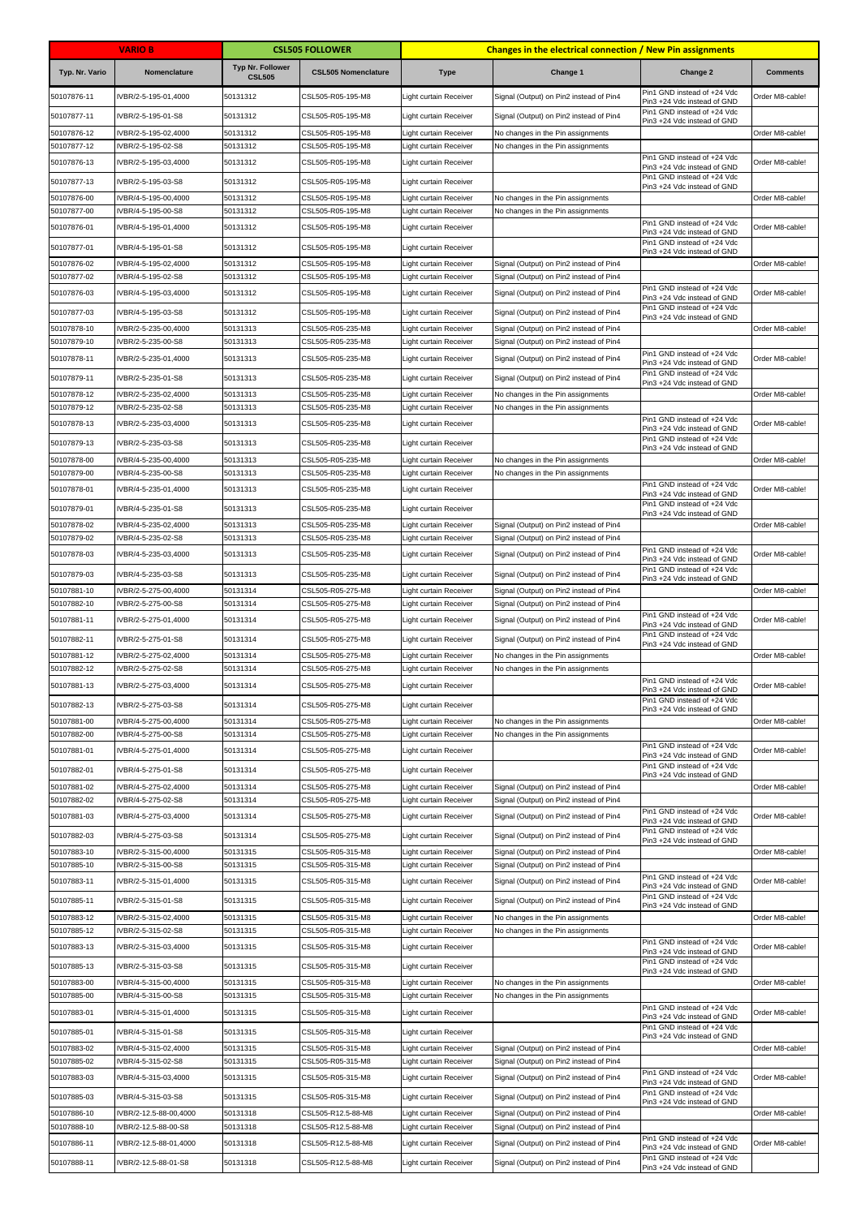|                            | <b>VARIO B</b>                             |                                          | <b>CSL505 FOLLOWER</b>                 |                                                         | <b>Changes in the electrical connection / New Pin assignments</b>                  |                                                            |                 |
|----------------------------|--------------------------------------------|------------------------------------------|----------------------------------------|---------------------------------------------------------|------------------------------------------------------------------------------------|------------------------------------------------------------|-----------------|
| Typ. Nr. Vario             | Nomenclature                               | <b>Typ Nr. Follower</b><br><b>CSL505</b> | <b>CSL505 Nomenclature</b>             | <b>Type</b>                                             | Change 1                                                                           | Change 2                                                   | <b>Comments</b> |
| 50107876-11                | VBR/2-5-195-01,4000                        | 50131312                                 | CSL505-R05-195-M8                      | Light curtain Receiver                                  | Signal (Output) on Pin2 instead of Pin4                                            | Pin1 GND instead of +24 Vdc<br>Pin3 +24 Vdc instead of GND | Order M8-cable! |
| 50107877-11                | IVBR/2-5-195-01-S8                         | 50131312                                 | CSL505-R05-195-M8                      | Light curtain Receiver                                  | Signal (Output) on Pin2 instead of Pin4                                            | Pin1 GND instead of +24 Vdc<br>Pin3 +24 Vdc instead of GND |                 |
| 50107876-12                | VBR/2-5-195-02,4000                        | 50131312                                 | CSL505-R05-195-M8                      | Light curtain Receiver                                  | No changes in the Pin assignments                                                  |                                                            | Order M8-cable! |
| 50107877-12                | VBR/2-5-195-02-S8                          | 50131312                                 | CSL505-R05-195-M8                      | Light curtain Receiver                                  | No changes in the Pin assignments                                                  | Pin1 GND instead of +24 Vdc                                |                 |
| 50107876-13                | VBR/2-5-195-03,4000                        | 50131312                                 | CSL505-R05-195-M8                      | Light curtain Receiver                                  |                                                                                    | Pin3 +24 Vdc instead of GND                                | Order M8-cable! |
| 50107877-13                | IVBR/2-5-195-03-S8                         | 50131312                                 | CSL505-R05-195-M8                      | Light curtain Receiver                                  |                                                                                    | Pin1 GND instead of +24 Vdc<br>Pin3 +24 Vdc instead of GND |                 |
| 50107876-00<br>50107877-00 | IVBR/4-5-195-00,4000<br>VBR/4-5-195-00-S8  | 50131312<br>50131312                     | CSL505-R05-195-M8<br>CSL505-R05-195-M8 | Light curtain Receiver<br>Light curtain Receiver        | No changes in the Pin assignments<br>No changes in the Pin assignments             |                                                            | Order M8-cable! |
| 50107876-01                | VBR/4-5-195-01,4000                        | 50131312                                 | CSL505-R05-195-M8                      | Light curtain Receiver                                  |                                                                                    | Pin1 GND instead of +24 Vdc                                | Order M8-cable! |
| 50107877-01                | IVBR/4-5-195-01-S8                         | 50131312                                 | CSL505-R05-195-M8                      | Light curtain Receiver                                  |                                                                                    | Pin3 +24 Vdc instead of GND<br>Pin1 GND instead of +24 Vdc |                 |
| 50107876-02                | IVBR/4-5-195-02,4000                       | 50131312                                 | CSL505-R05-195-M8                      | Light curtain Receiver                                  | Signal (Output) on Pin2 instead of Pin4                                            | Pin3 +24 Vdc instead of GND                                | Order M8-cable! |
| 50107877-02                | IVBR/4-5-195-02-S8                         | 50131312                                 | CSL505-R05-195-M8                      | Light curtain Receiver                                  | Signal (Output) on Pin2 instead of Pin4                                            |                                                            |                 |
| 50107876-03                | IVBR/4-5-195-03,4000                       | 50131312                                 | CSL505-R05-195-M8                      | Light curtain Receiver                                  | Signal (Output) on Pin2 instead of Pin4                                            | Pin1 GND instead of +24 Vdc<br>Pin3 +24 Vdc instead of GND | Order M8-cable! |
| 50107877-03                | IVBR/4-5-195-03-S8                         | 50131312                                 | CSL505-R05-195-M8                      | Light curtain Receiver                                  | Signal (Output) on Pin2 instead of Pin4                                            | Pin1 GND instead of +24 Vdc<br>Pin3 +24 Vdc instead of GND |                 |
| 50107878-10                | IVBR/2-5-235-00,4000                       | 50131313                                 | CSL505-R05-235-M8                      | Light curtain Receiver                                  | Signal (Output) on Pin2 instead of Pin4                                            |                                                            | Order M8-cable! |
| 50107879-10<br>50107878-11 | IVBR/2-5-235-00-S8<br>IVBR/2-5-235-01,4000 | 50131313<br>50131313                     | CSL505-R05-235-M8<br>CSL505-R05-235-M8 | Light curtain Receiver<br>Light curtain Receiver        | Signal (Output) on Pin2 instead of Pin4<br>Signal (Output) on Pin2 instead of Pin4 | Pin1 GND instead of +24 Vdc                                | Order M8-cable! |
|                            | IVBR/2-5-235-01-S8                         | 50131313                                 |                                        |                                                         |                                                                                    | Pin3 +24 Vdc instead of GND<br>Pin1 GND instead of +24 Vdc |                 |
| 50107879-11<br>50107878-12 | IVBR/2-5-235-02,4000                       | 50131313                                 | CSL505-R05-235-M8<br>CSL505-R05-235-M8 | Light curtain Receiver<br>Light curtain Receiver        | Signal (Output) on Pin2 instead of Pin4<br>No changes in the Pin assignments       | Pin3 +24 Vdc instead of GND                                | Order M8-cable! |
| 50107879-12                | IVBR/2-5-235-02-S8                         | 50131313                                 | CSL505-R05-235-M8                      | Light curtain Receiver                                  | No changes in the Pin assignments                                                  |                                                            |                 |
| 50107878-13                | IVBR/2-5-235-03,4000                       | 50131313                                 | CSL505-R05-235-M8                      | Light curtain Receiver                                  |                                                                                    | Pin1 GND instead of +24 Vdc<br>Pin3 +24 Vdc instead of GND | Order M8-cable! |
| 50107879-13                | IVBR/2-5-235-03-S8                         | 50131313                                 | CSL505-R05-235-M8                      | Light curtain Receiver                                  |                                                                                    | Pin1 GND instead of +24 Vdc<br>Pin3 +24 Vdc instead of GND |                 |
| 50107878-00                | VBR/4-5-235-00,4000                        | 50131313                                 | CSL505-R05-235-M8                      | Light curtain Receiver                                  | No changes in the Pin assignments                                                  |                                                            | Order M8-cable! |
| 50107879-00                | VBR/4-5-235-00-S8                          | 50131313                                 | CSL505-R05-235-M8                      | Light curtain Receiver                                  | No changes in the Pin assignments                                                  | Pin1 GND instead of +24 Vdc                                |                 |
| 50107878-01                | IVBR/4-5-235-01,4000                       | 50131313                                 | CSL505-R05-235-M8                      | Light curtain Receiver                                  |                                                                                    | Pin3 +24 Vdc instead of GND                                | Order M8-cable! |
| 50107879-01                | IVBR/4-5-235-01-S8                         | 50131313                                 | CSL505-R05-235-M8                      | Light curtain Receiver                                  |                                                                                    | Pin1 GND instead of +24 Vdc<br>Pin3 +24 Vdc instead of GND |                 |
| 50107878-02<br>50107879-02 | VBR/4-5-235-02,4000<br>VBR/4-5-235-02-S8   | 50131313<br>50131313                     | CSL505-R05-235-M8<br>CSL505-R05-235-M8 | Light curtain Receiver<br>Light curtain Receiver        | Signal (Output) on Pin2 instead of Pin4<br>Signal (Output) on Pin2 instead of Pin4 |                                                            | Order M8-cable! |
| 50107878-03                | IVBR/4-5-235-03,4000                       | 50131313                                 | CSL505-R05-235-M8                      | Light curtain Receiver                                  | Signal (Output) on Pin2 instead of Pin4                                            | Pin1 GND instead of +24 Vdc                                | Order M8-cable! |
| 50107879-03                | IVBR/4-5-235-03-S8                         | 50131313                                 | CSL505-R05-235-M8                      | Light curtain Receiver                                  | Signal (Output) on Pin2 instead of Pin4                                            | Pin3 +24 Vdc instead of GND<br>Pin1 GND instead of +24 Vdc |                 |
| 50107881-10                | IVBR/2-5-275-00,4000                       | 50131314                                 | CSL505-R05-275-M8                      | Light curtain Receiver                                  | Signal (Output) on Pin2 instead of Pin4                                            | Pin3 +24 Vdc instead of GND                                | Order M8-cable! |
| 50107882-10                | VBR/2-5-275-00-S8                          | 50131314                                 | CSL505-R05-275-M8                      | Light curtain Receiver                                  | Signal (Output) on Pin2 instead of Pin4                                            |                                                            |                 |
| 50107881-11                | IVBR/2-5-275-01,4000                       | 50131314                                 | CSL505-R05-275-M8                      | Light curtain Receiver                                  | Signal (Output) on Pin2 instead of Pin4                                            | Pin1 GND instead of +24 Vdc<br>Pin3 +24 Vdc instead of GND | Order M8-cable! |
| 50107882-11                | IVBR/2-5-275-01-S8                         | 50131314                                 | CSL505-R05-275-M8                      | Light curtain Receiver                                  | Signal (Output) on Pin2 instead of Pin4                                            | Pin1 GND instead of +24 Vdc<br>Pin3 +24 Vdc instead of GND |                 |
| 50107881-12                | VBR/2-5-275-02,4000                        | 50131314                                 | CSL505-R05-275-M8                      | Light curtain Receiver                                  | No changes in the Pin assignments                                                  |                                                            | Order M8-cable! |
| 50107882-12<br>50107881-13 | IVBR/2-5-275-02-S8<br>IVBR/2-5-275-03,4000 | 50131314<br>50131314                     | CSL505-R05-275-M8<br>CSL505-R05-275-M8 | Light curtain Receiver<br><b>Light curtain Receiver</b> | No changes in the Pin assignments                                                  | Pin1 GND instead of +24 Vdc                                | Order M8-cable! |
|                            |                                            |                                          |                                        |                                                         |                                                                                    | Pin3 +24 Vdc instead of GND<br>Pin1 GND instead of +24 Vdc |                 |
| 50107882-13<br>50107881-00 | IVBR/2-5-275-03-S8<br>VBR/4-5-275-00,4000  | 50131314<br>50131314                     | CSL505-R05-275-M8<br>CSL505-R05-275-M8 | Light curtain Receiver<br>Light curtain Receiver        | No changes in the Pin assignments                                                  | Pin3 +24 Vdc instead of GND                                | Order M8-cable! |
| 50107882-00                | IVBR/4-5-275-00-S8                         | 50131314                                 | CSL505-R05-275-M8                      | Light curtain Receiver                                  | No changes in the Pin assignments                                                  |                                                            |                 |
| 50107881-01                | IVBR/4-5-275-01,4000                       | 50131314                                 | CSL505-R05-275-M8                      | Light curtain Receiver                                  |                                                                                    | Pin1 GND instead of +24 Vdc<br>Pin3 +24 Vdc instead of GND | Order M8-cable! |
| 50107882-01                | IVBR/4-5-275-01-S8                         | 50131314                                 | CSL505-R05-275-M8                      | Light curtain Receiver                                  |                                                                                    | Pin1 GND instead of +24 Vdc<br>Pin3 +24 Vdc instead of GND |                 |
| 50107881-02                | IVBR/4-5-275-02,4000                       | 50131314                                 | CSL505-R05-275-M8                      | Light curtain Receiver                                  | Signal (Output) on Pin2 instead of Pin4                                            |                                                            | Order M8-cable! |
| 50107882-02                | VBR/4-5-275-02-S8                          | 50131314                                 | CSL505-R05-275-M8                      | Light curtain Receiver                                  | Signal (Output) on Pin2 instead of Pin4                                            | Pin1 GND instead of +24 Vdc                                |                 |
| 50107881-03                | IVBR/4-5-275-03,4000                       | 50131314                                 | CSL505-R05-275-M8                      | Light curtain Receiver                                  | Signal (Output) on Pin2 instead of Pin4                                            | Pin3 +24 Vdc instead of GND<br>Pin1 GND instead of +24 Vdc | Order M8-cable! |
| 50107882-03                | IVBR/4-5-275-03-S8                         | 50131314                                 | CSL505-R05-275-M8                      | Light curtain Receiver                                  | Signal (Output) on Pin2 instead of Pin4                                            | Pin3 +24 Vdc instead of GND                                |                 |
| 50107883-10<br>50107885-10 | VBR/2-5-315-00,4000<br>VBR/2-5-315-00-S8   | 50131315<br>50131315                     | CSL505-R05-315-M8<br>CSL505-R05-315-M8 | Light curtain Receiver<br>Light curtain Receiver        | Signal (Output) on Pin2 instead of Pin4<br>Signal (Output) on Pin2 instead of Pin4 |                                                            | Order M8-cable! |
| 50107883-11                | VBR/2-5-315-01,4000                        | 50131315                                 | CSL505-R05-315-M8                      | Light curtain Receiver                                  | Signal (Output) on Pin2 instead of Pin4                                            | Pin1 GND instead of +24 Vdc<br>Pin3 +24 Vdc instead of GND | Order M8-cable! |
| 50107885-11                | IVBR/2-5-315-01-S8                         | 50131315                                 | CSL505-R05-315-M8                      | Light curtain Receiver                                  | Signal (Output) on Pin2 instead of Pin4                                            | Pin1 GND instead of +24 Vdc                                |                 |
| 50107883-12                | VBR/2-5-315-02,4000                        | 50131315                                 | CSL505-R05-315-M8                      | Light curtain Receiver                                  | No changes in the Pin assignments                                                  | Pin3 +24 Vdc instead of GND                                | Order M8-cable! |
| 50107885-12                | VBR/2-5-315-02-S8                          | 50131315                                 | CSL505-R05-315-M8                      | Light curtain Receiver                                  | No changes in the Pin assignments                                                  |                                                            |                 |
| 50107883-13                | VBR/2-5-315-03,4000                        | 50131315                                 | CSL505-R05-315-M8                      | Light curtain Receiver                                  |                                                                                    | Pin1 GND instead of +24 Vdc<br>Pin3 +24 Vdc instead of GND | Order M8-cable! |
| 50107885-13                | IVBR/2-5-315-03-S8                         | 50131315                                 | CSL505-R05-315-M8                      | Light curtain Receiver                                  |                                                                                    | Pin1 GND instead of +24 Vdc<br>Pin3 +24 Vdc instead of GND |                 |
| 50107883-00<br>50107885-00 | IVBR/4-5-315-00,4000<br>IVBR/4-5-315-00-S8 | 50131315<br>50131315                     | CSL505-R05-315-M8<br>CSL505-R05-315-M8 | Light curtain Receiver<br>Light curtain Receiver        | No changes in the Pin assignments<br>No changes in the Pin assignments             |                                                            | Order M8-cable! |
| 50107883-01                | VBR/4-5-315-01,4000                        | 50131315                                 | CSL505-R05-315-M8                      | Light curtain Receiver                                  |                                                                                    | Pin1 GND instead of +24 Vdc                                | Order M8-cable! |
| 50107885-01                | IVBR/4-5-315-01-S8                         | 50131315                                 | CSL505-R05-315-M8                      | Light curtain Receiver                                  |                                                                                    | Pin3 +24 Vdc instead of GND<br>Pin1 GND instead of +24 Vdc |                 |
| 50107883-02                | IVBR/4-5-315-02,4000                       | 50131315                                 | CSL505-R05-315-M8                      | Light curtain Receiver                                  | Signal (Output) on Pin2 instead of Pin4                                            | Pin3 +24 Vdc instead of GND                                | Order M8-cable! |
| 50107885-02                | VBR/4-5-315-02-S8                          | 50131315                                 | CSL505-R05-315-M8                      | Light curtain Receiver                                  | Signal (Output) on Pin2 instead of Pin4                                            |                                                            |                 |
| 50107883-03                | IVBR/4-5-315-03,4000                       | 50131315                                 | CSL505-R05-315-M8                      | Light curtain Receiver                                  | Signal (Output) on Pin2 instead of Pin4                                            | Pin1 GND instead of +24 Vdc<br>Pin3 +24 Vdc instead of GND | Order M8-cable! |
| 50107885-03                | IVBR/4-5-315-03-S8                         | 50131315                                 | CSL505-R05-315-M8                      | Light curtain Receiver                                  | Signal (Output) on Pin2 instead of Pin4                                            | Pin1 GND instead of +24 Vdc<br>Pin3 +24 Vdc instead of GND |                 |
| 50107886-10                | IVBR/2-12.5-88-00,4000                     | 50131318                                 | CSL505-R12.5-88-M8                     | Light curtain Receiver                                  | Signal (Output) on Pin2 instead of Pin4                                            |                                                            | Order M8-cable! |
| 50107888-10                | IVBR/2-12.5-88-00-S8                       | 50131318                                 | CSL505-R12.5-88-M8                     | Light curtain Receiver                                  | Signal (Output) on Pin2 instead of Pin4                                            | Pin1 GND instead of +24 Vdc                                |                 |
| 50107886-11                | IVBR/2-12.5-88-01,4000                     | 50131318                                 | CSL505-R12.5-88-M8                     | Light curtain Receiver                                  | Signal (Output) on Pin2 instead of Pin4                                            | Pin3 +24 Vdc instead of GND<br>Pin1 GND instead of +24 Vdc | Order M8-cable! |
| 50107888-11                | IVBR/2-12.5-88-01-S8                       | 50131318                                 | CSL505-R12.5-88-M8                     | Light curtain Receiver                                  | Signal (Output) on Pin2 instead of Pin4                                            | Pin3 +24 Vdc instead of GND                                |                 |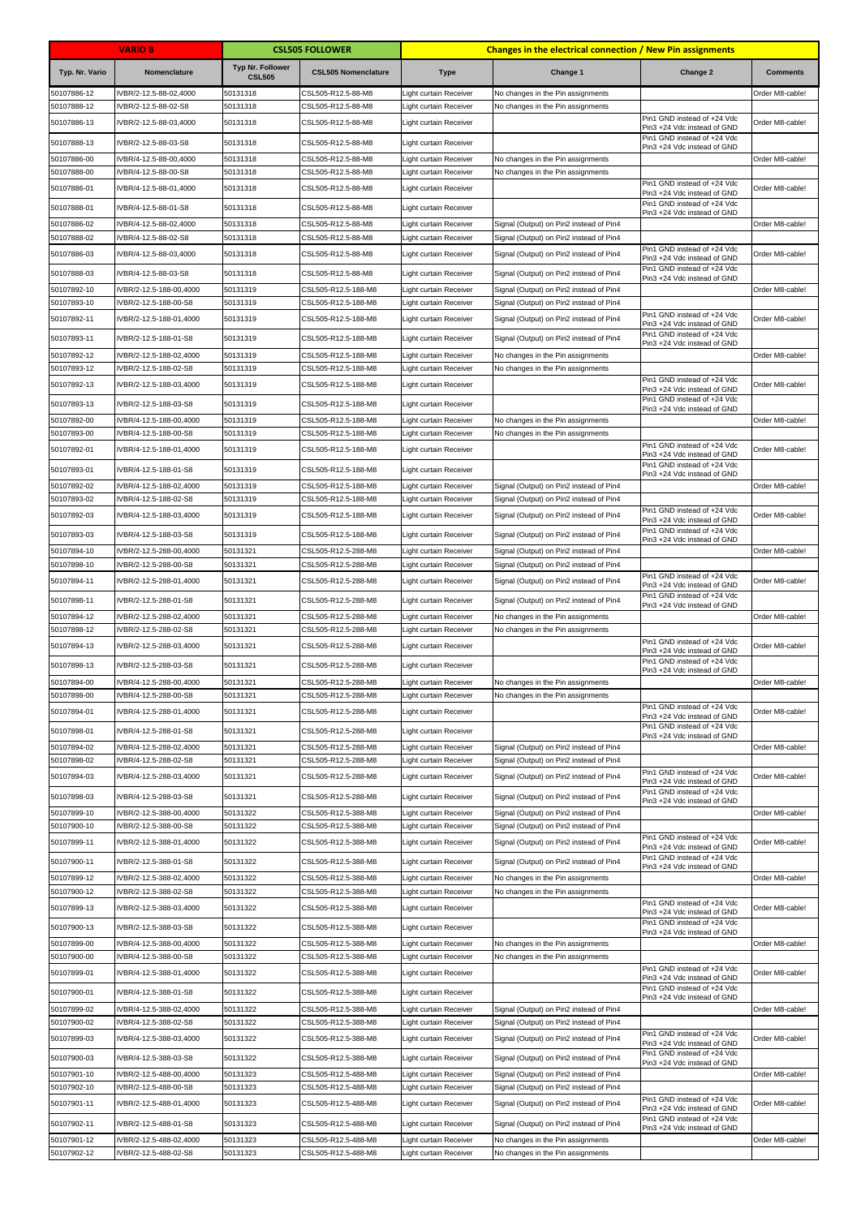|                            | <b>VARIO B</b>                                   |                                          | <b>CSL505 FOLLOWER</b>                     |                                                  | <b>Changes in the electrical connection / New Pin assignments</b>                  |                                                            |                 |
|----------------------------|--------------------------------------------------|------------------------------------------|--------------------------------------------|--------------------------------------------------|------------------------------------------------------------------------------------|------------------------------------------------------------|-----------------|
| Typ. Nr. Vario             | Nomenclature                                     | <b>Typ Nr. Follower</b><br><b>CSL505</b> | <b>CSL505 Nomenclature</b>                 | <b>Type</b>                                      | Change 1                                                                           | Change 2                                                   | <b>Comments</b> |
| 50107886-12                | IVBR/2-12.5-88-02,4000                           | 50131318                                 | CSL505-R12.5-88-M8                         | Light curtain Receiver                           | No changes in the Pin assignments                                                  |                                                            | Order M8-cable! |
| 50107888-12                | VBR/2-12.5-88-02-S8                              | 50131318                                 | CSL505-R12.5-88-M8                         | Light curtain Receiver                           | No changes in the Pin assignments                                                  | Pin1 GND instead of +24 Vdc                                | Order M8-cable! |
| 50107886-13                | IVBR/2-12.5-88-03,4000                           | 50131318                                 | CSL505-R12.5-88-M8                         | Light curtain Receiver                           |                                                                                    | Pin3 +24 Vdc instead of GND<br>Pin1 GND instead of +24 Vdc |                 |
| 50107888-13                | IVBR/2-12.5-88-03-S8                             | 50131318                                 | CSL505-R12.5-88-M8                         | Light curtain Receiver                           |                                                                                    | Pin3 +24 Vdc instead of GND                                |                 |
| 50107886-00<br>50107888-00 | IVBR/4-12.5-88-00,4000<br>IVBR/4-12.5-88-00-S8   | 50131318<br>50131318                     | CSL505-R12.5-88-M8<br>CSL505-R12.5-88-M8   | Light curtain Receiver<br>Light curtain Receiver | No changes in the Pin assignments<br>No changes in the Pin assignments             |                                                            | Order M8-cable! |
| 50107886-01                | IVBR/4-12.5-88-01,4000                           | 50131318                                 | CSL505-R12.5-88-M8                         | Light curtain Receiver                           |                                                                                    | Pin1 GND instead of +24 Vdc<br>Pin3 +24 Vdc instead of GND | Order M8-cable! |
| 50107888-01                | IVBR/4-12.5-88-01-S8                             | 50131318                                 | CSL505-R12.5-88-M8                         | Light curtain Receiver                           |                                                                                    | Pin1 GND instead of +24 Vdc                                |                 |
| 50107886-02                | IVBR/4-12.5-88-02,4000                           | 50131318                                 | CSL505-R12.5-88-M8                         | Light curtain Receiver                           | Signal (Output) on Pin2 instead of Pin4                                            | Pin3 +24 Vdc instead of GND                                | Order M8-cable! |
| 50107888-02                | VBR/4-12.5-88-02-S8                              | 50131318                                 | CSL505-R12.5-88-M8                         | Light curtain Receiver                           | Signal (Output) on Pin2 instead of Pin4                                            |                                                            |                 |
| 50107886-03                | IVBR/4-12.5-88-03,4000                           | 50131318                                 | CSL505-R12.5-88-M8                         | Light curtain Receiver                           | Signal (Output) on Pin2 instead of Pin4                                            | Pin1 GND instead of +24 Vdc<br>Pin3 +24 Vdc instead of GND | Order M8-cable! |
| 50107888-03                | IVBR/4-12.5-88-03-S8                             | 50131318                                 | CSL505-R12.5-88-M8                         | Light curtain Receiver                           | Signal (Output) on Pin2 instead of Pin4                                            | Pin1 GND instead of +24 Vdc<br>Pin3 +24 Vdc instead of GND |                 |
| 50107892-10                | IVBR/2-12.5-188-00,4000                          | 50131319                                 | CSL505-R12.5-188-M8                        | Light curtain Receiver                           | Signal (Output) on Pin2 instead of Pin4                                            |                                                            | Order M8-cable! |
| 50107893-10                | IVBR/2-12.5-188-00-S8                            | 50131319                                 | CSL505-R12.5-188-M8                        | Light curtain Receiver                           | Signal (Output) on Pin2 instead of Pin4                                            | Pin1 GND instead of +24 Vdc                                |                 |
| 50107892-11                | IVBR/2-12.5-188-01,4000                          | 50131319                                 | CSL505-R12.5-188-M8                        | Light curtain Receiver                           | Signal (Output) on Pin2 instead of Pin4                                            | Pin3 +24 Vdc instead of GND<br>Pin1 GND instead of +24 Vdc | Order M8-cable! |
| 50107893-11                | IVBR/2-12.5-188-01-S8                            | 50131319                                 | CSL505-R12.5-188-M8                        | Light curtain Receiver                           | Signal (Output) on Pin2 instead of Pin4                                            | Pin3 +24 Vdc instead of GND                                |                 |
| 50107892-12<br>50107893-12 | IVBR/2-12.5-188-02,4000<br>VBR/2-12.5-188-02-S8  | 50131319<br>50131319                     | CSL505-R12.5-188-M8<br>CSL505-R12.5-188-M8 | Light curtain Receiver<br>Light curtain Receiver | No changes in the Pin assignments<br>No changes in the Pin assignments             |                                                            | Order M8-cable! |
| 50107892-13                | IVBR/2-12.5-188-03,4000                          | 50131319                                 | CSL505-R12.5-188-M8                        | Light curtain Receiver                           |                                                                                    | Pin1 GND instead of +24 Vdc<br>Pin3 +24 Vdc instead of GND | Order M8-cable! |
| 50107893-13                | IVBR/2-12.5-188-03-S8                            | 50131319                                 | CSL505-R12.5-188-M8                        | Light curtain Receiver                           |                                                                                    | Pin1 GND instead of +24 Vdc                                |                 |
| 50107892-00                | IVBR/4-12.5-188-00,4000                          | 50131319                                 | CSL505-R12.5-188-M8                        | Light curtain Receiver                           | No changes in the Pin assignments                                                  | Pin3 +24 Vdc instead of GND                                | Order M8-cable! |
| 50107893-00                | IVBR/4-12.5-188-00-S8                            | 50131319                                 | CSL505-R12.5-188-M8                        | Light curtain Receiver                           | No changes in the Pin assignments                                                  |                                                            |                 |
| 50107892-01                | IVBR/4-12.5-188-01,4000                          | 50131319                                 | CSL505-R12.5-188-M8                        | Light curtain Receiver                           |                                                                                    | Pin1 GND instead of +24 Vdc<br>Pin3 +24 Vdc instead of GND | Order M8-cable! |
| 50107893-01                | IVBR/4-12.5-188-01-S8                            | 50131319                                 | CSL505-R12.5-188-M8                        | Light curtain Receiver                           |                                                                                    | Pin1 GND instead of +24 Vdc<br>Pin3 +24 Vdc instead of GND |                 |
| 50107892-02                | IVBR/4-12.5-188-02,4000                          | 50131319                                 | CSL505-R12.5-188-M8                        | Light curtain Receiver                           | Signal (Output) on Pin2 instead of Pin4                                            |                                                            | Order M8-cable! |
| 50107893-02                | IVBR/4-12.5-188-02-S8                            | 50131319                                 | CSL505-R12.5-188-M8                        | Light curtain Receiver                           | Signal (Output) on Pin2 instead of Pin4                                            | Pin1 GND instead of +24 Vdc                                |                 |
| 50107892-03                | IVBR/4-12.5-188-03,4000                          | 50131319                                 | CSL505-R12.5-188-M8                        | Light curtain Receiver                           | Signal (Output) on Pin2 instead of Pin4                                            | Pin3 +24 Vdc instead of GND                                | Order M8-cable! |
| 50107893-03                | IVBR/4-12.5-188-03-S8                            | 50131319                                 | CSL505-R12.5-188-M8                        | Light curtain Receiver                           | Signal (Output) on Pin2 instead of Pin4                                            | Pin1 GND instead of +24 Vdc<br>Pin3 +24 Vdc instead of GND |                 |
| 50107894-10<br>50107898-10 | VBR/2-12.5-288-00,4000                           | 50131321<br>50131321                     | CSL505-R12.5-288-M8                        | Light curtain Receiver                           | Signal (Output) on Pin2 instead of Pin4<br>Signal (Output) on Pin2 instead of Pin4 |                                                            | Order M8-cable! |
| 50107894-11                | VBR/2-12.5-288-00-S8<br>IVBR/2-12.5-288-01,4000  | 50131321                                 | CSL505-R12.5-288-M8<br>CSL505-R12.5-288-M8 | Light curtain Receiver<br>Light curtain Receiver | Signal (Output) on Pin2 instead of Pin4                                            | Pin1 GND instead of +24 Vdc                                | Order M8-cable! |
|                            | IVBR/2-12.5-288-01-S8                            | 50131321                                 |                                            | Light curtain Receiver                           |                                                                                    | Pin3 +24 Vdc instead of GND<br>Pin1 GND instead of +24 Vdc |                 |
| 50107898-11<br>50107894-12 | IVBR/2-12.5-288-02,4000                          | 50131321                                 | CSL505-R12.5-288-M8<br>CSL505-R12.5-288-M8 | Light curtain Receiver                           | Signal (Output) on Pin2 instead of Pin4<br>No changes in the Pin assignments       | Pin3 +24 Vdc instead of GND                                | Order M8-cable! |
| 50107898-12                | VBR/2-12.5-288-02-S8                             | 50131321                                 | CSL505-R12.5-288-M8                        | Light curtain Receiver                           | No changes in the Pin assignments                                                  |                                                            |                 |
| 50107894-13                | IVBR/2-12.5-288-03,4000                          | 50131321                                 | CSL505-R12.5-288-M8                        | Light curtain Receiver                           |                                                                                    | Pin1 GND instead of +24 Vdc<br>Pin3 +24 Vdc instead of GND | Order M8-cable! |
| 50107898-13                | IVBR/2-12.5-288-03-S8                            | 50131321                                 | CSL505-R12.5-288-M8                        | Light curtain Receiver                           |                                                                                    | Pin1 GND instead of +24 Vdc<br>Pin3 +24 Vdc instead of GND |                 |
| 50107894-00                | IVBR/4-12.5-288-00,4000                          | 50131321                                 | CSL505-R12.5-288-M8                        | Light curtain Receiver                           | No changes in the Pin assignments                                                  |                                                            | Order M8-cable! |
| 50107898-00                | IVBR/4-12.5-288-00-S8                            | 50131321                                 | CSL505-R12.5-288-M8                        | Light curtain Receiver                           | No changes in the Pin assignments                                                  | Pin1 GND instead of +24 Vdc                                |                 |
| 50107894-01                | IVBR/4-12.5-288-01,4000                          | 50131321                                 | CSL505-R12.5-288-M8                        | Light curtain Receiver                           |                                                                                    | Pin3 +24 Vdc instead of GND                                | Order M8-cable! |
| 50107898-01                | IVBR/4-12.5-288-01-S8                            | 50131321                                 | CSL505-R12.5-288-M8                        | Light curtain Receiver                           |                                                                                    | Pin1 GND instead of +24 Vdc<br>Pin3 +24 Vdc instead of GND |                 |
| 50107894-02                | IVBR/4-12.5-288-02,4000                          | 50131321                                 | CSL505-R12.5-288-M8                        | Light curtain Receiver                           | Signal (Output) on Pin2 instead of Pin4                                            |                                                            | Order M8-cable! |
| 50107898-02<br>50107894-03 | IVBR/4-12.5-288-02-S8<br>IVBR/4-12.5-288-03,4000 | 50131321<br>50131321                     | CSL505-R12.5-288-M8<br>CSL505-R12.5-288-M8 | Light curtain Receiver<br>Light curtain Receiver | Signal (Output) on Pin2 instead of Pin4<br>Signal (Output) on Pin2 instead of Pin4 | Pin1 GND instead of +24 Vdc                                | Order M8-cable! |
|                            |                                                  |                                          |                                            |                                                  |                                                                                    | Pin3 +24 Vdc instead of GND<br>Pin1 GND instead of +24 Vdc |                 |
| 50107898-03<br>50107899-10 | IVBR/4-12.5-288-03-S8<br>IVBR/2-12.5-388-00,4000 | 50131321<br>50131322                     | CSL505-R12.5-288-M8<br>CSL505-R12.5-388-M8 | Light curtain Receiver<br>Light curtain Receiver | Signal (Output) on Pin2 instead of Pin4<br>Signal (Output) on Pin2 instead of Pin4 | Pin3 +24 Vdc instead of GND                                | Order M8-cable! |
| 50107900-10                | IVBR/2-12.5-388-00-S8                            | 50131322                                 | CSL505-R12.5-388-M8                        | Light curtain Receiver                           | Signal (Output) on Pin2 instead of Pin4                                            |                                                            |                 |
| 50107899-11                | IVBR/2-12.5-388-01,4000                          | 50131322                                 | CSL505-R12.5-388-M8                        | Light curtain Receiver                           | Signal (Output) on Pin2 instead of Pin4                                            | Pin1 GND instead of +24 Vdc<br>Pin3 +24 Vdc instead of GND | Order M8-cable! |
| 50107900-11                | IVBR/2-12.5-388-01-S8                            | 50131322                                 | CSL505-R12.5-388-M8                        | Light curtain Receiver                           | Signal (Output) on Pin2 instead of Pin4                                            | Pin1 GND instead of +24 Vdc<br>Pin3 +24 Vdc instead of GND |                 |
| 50107899-12                | IVBR/2-12.5-388-02,4000                          | 50131322                                 | CSL505-R12.5-388-M8                        | Light curtain Receiver                           | No changes in the Pin assignments                                                  |                                                            | Order M8-cable! |
| 50107900-12                | IVBR/2-12.5-388-02-S8                            | 50131322                                 | CSL505-R12.5-388-M8                        | Light curtain Receiver                           | No changes in the Pin assignments                                                  |                                                            |                 |
| 50107899-13                | IVBR/2-12.5-388-03,4000                          | 50131322                                 | CSL505-R12.5-388-M8                        | Light curtain Receiver                           |                                                                                    | Pin1 GND instead of +24 Vdc<br>Pin3 +24 Vdc instead of GND | Order M8-cable! |
| 50107900-13                | IVBR/2-12.5-388-03-S8                            | 50131322                                 | CSL505-R12.5-388-M8                        | Light curtain Receiver                           |                                                                                    | Pin1 GND instead of +24 Vdc<br>Pin3 +24 Vdc instead of GND |                 |
| 50107899-00                | IVBR/4-12.5-388-00,4000                          | 50131322                                 | CSL505-R12.5-388-M8                        | Light curtain Receiver                           | No changes in the Pin assignments                                                  |                                                            | Order M8-cable! |
| 50107900-00<br>50107899-01 | IVBR/4-12.5-388-00-S8                            | 50131322<br>50131322                     | CSL505-R12.5-388-M8                        | Light curtain Receiver                           | No changes in the Pin assignments                                                  | Pin1 GND instead of +24 Vdc                                | Order M8-cable! |
|                            | IVBR/4-12.5-388-01,4000                          |                                          | CSL505-R12.5-388-M8                        | Light curtain Receiver                           |                                                                                    | Pin3 +24 Vdc instead of GND<br>Pin1 GND instead of +24 Vdc |                 |
| 50107900-01                | IVBR/4-12.5-388-01-S8                            | 50131322                                 | CSL505-R12.5-388-M8                        | Light curtain Receiver                           |                                                                                    | Pin3 +24 Vdc instead of GND                                |                 |
| 50107899-02<br>50107900-02 | IVBR/4-12.5-388-02,4000<br>IVBR/4-12.5-388-02-S8 | 50131322<br>50131322                     | CSL505-R12.5-388-M8<br>CSL505-R12.5-388-M8 | Light curtain Receiver<br>Light curtain Receiver | Signal (Output) on Pin2 instead of Pin4<br>Signal (Output) on Pin2 instead of Pin4 |                                                            | Order M8-cable! |
| 50107899-03                | IVBR/4-12.5-388-03,4000                          | 50131322                                 | CSL505-R12.5-388-M8                        | Light curtain Receiver                           | Signal (Output) on Pin2 instead of Pin4                                            | Pin1 GND instead of +24 Vdc                                | Order M8-cable! |
| 50107900-03                | IVBR/4-12.5-388-03-S8                            | 50131322                                 | CSL505-R12.5-388-M8                        | Light curtain Receiver                           | Signal (Output) on Pin2 instead of Pin4                                            | Pin3 +24 Vdc instead of GND<br>Pin1 GND instead of +24 Vdc |                 |
| 50107901-10                | IVBR/2-12.5-488-00,4000                          | 50131323                                 | CSL505-R12.5-488-M8                        | Light curtain Receiver                           | Signal (Output) on Pin2 instead of Pin4                                            | Pin3 +24 Vdc instead of GND                                | Order M8-cable! |
| 50107902-10                | VBR/2-12.5-488-00-S8                             | 50131323                                 | CSL505-R12.5-488-M8                        | Light curtain Receiver                           | Signal (Output) on Pin2 instead of Pin4                                            |                                                            |                 |
| 50107901-11                | IVBR/2-12.5-488-01,4000                          | 50131323                                 | CSL505-R12.5-488-M8                        | Light curtain Receiver                           | Signal (Output) on Pin2 instead of Pin4                                            | Pin1 GND instead of +24 Vdc<br>Pin3 +24 Vdc instead of GND | Order M8-cable! |
| 50107902-11                | IVBR/2-12.5-488-01-S8                            | 50131323                                 | CSL505-R12.5-488-M8                        | Light curtain Receiver                           | Signal (Output) on Pin2 instead of Pin4                                            | Pin1 GND instead of +24 Vdc<br>Pin3 +24 Vdc instead of GND |                 |
| 50107901-12                | IVBR/2-12.5-488-02,4000                          | 50131323                                 | CSL505-R12.5-488-M8                        | Light curtain Receiver                           | No changes in the Pin assignments                                                  |                                                            | Order M8-cable! |
| 50107902-12                | IVBR/2-12.5-488-02-S8                            | 50131323                                 | CSL505-R12.5-488-M8                        | Light curtain Receiver                           | No changes in the Pin assignments                                                  |                                                            |                 |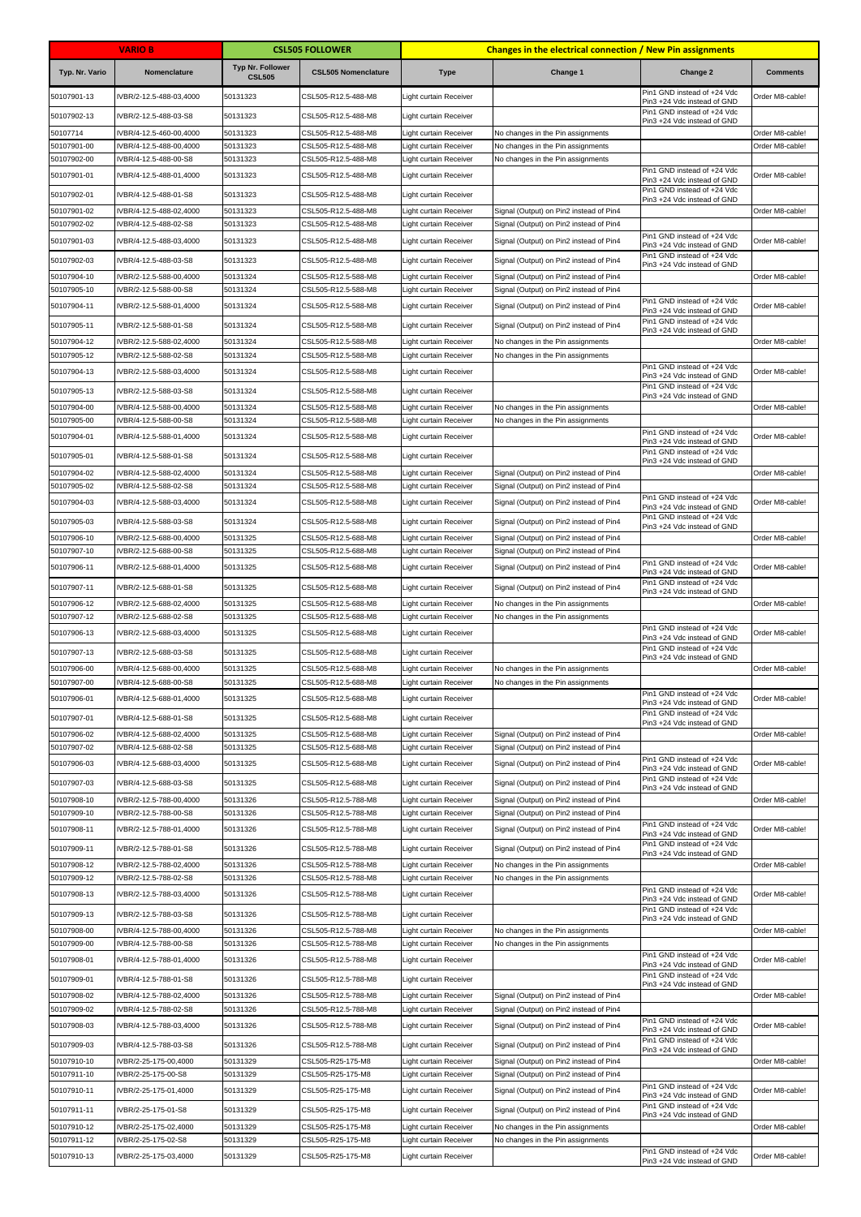|                            | <b>VARIO B</b>                                   |                                          | <b>CSL505 FOLLOWER</b>                     |                                                  | <b>Changes in the electrical connection / New Pin assignments</b>                  |                                                            |                 |
|----------------------------|--------------------------------------------------|------------------------------------------|--------------------------------------------|--------------------------------------------------|------------------------------------------------------------------------------------|------------------------------------------------------------|-----------------|
| Typ. Nr. Vario             | Nomenclature                                     | <b>Typ Nr. Follower</b><br><b>CSL505</b> | <b>CSL505 Nomenclature</b>                 | <b>Type</b>                                      | Change 1                                                                           | Change 2                                                   | <b>Comments</b> |
| 50107901-13                | IVBR/2-12.5-488-03,4000                          | 50131323                                 | CSL505-R12.5-488-M8                        | Light curtain Receiver                           |                                                                                    | Pin1 GND instead of +24 Vdc<br>Pin3 +24 Vdc instead of GND | Order M8-cable! |
| 50107902-13                | IVBR/2-12.5-488-03-S8                            | 50131323                                 | CSL505-R12.5-488-M8                        | Light curtain Receiver                           |                                                                                    | Pin1 GND instead of +24 Vdc<br>Pin3 +24 Vdc instead of GND |                 |
| 50107714                   | IVBR/4-12.5-460-00.4000                          | 50131323                                 | CSL505-R12.5-488-M8                        | Light curtain Receiver                           | No changes in the Pin assignments                                                  |                                                            | Order M8-cable! |
| 50107901-00<br>50107902-00 | IVBR/4-12.5-488-00,4000<br>IVBR/4-12.5-488-00-S8 | 50131323<br>50131323                     | CSL505-R12.5-488-M8<br>CSL505-R12.5-488-M8 | Light curtain Receiver<br>Light curtain Receiver | No changes in the Pin assignments                                                  |                                                            | Order M8-cable! |
| 50107901-01                | IVBR/4-12.5-488-01,4000                          | 50131323                                 | CSL505-R12.5-488-M8                        | ight curtain Receiver                            | No changes in the Pin assignments                                                  | Pin1 GND instead of +24 Vdc                                | Order M8-cable! |
|                            |                                                  |                                          |                                            |                                                  |                                                                                    | Pin3 +24 Vdc instead of GND<br>Pin1 GND instead of +24 Vdc |                 |
| 50107902-01                | IVBR/4-12.5-488-01-S8                            | 50131323                                 | CSL505-R12.5-488-M8                        | Light curtain Receiver                           |                                                                                    | Pin3 +24 Vdc instead of GND                                |                 |
| 50107901-02<br>50107902-02 | IVBR/4-12.5-488-02,4000<br>VBR/4-12.5-488-02-S8  | 50131323<br>50131323                     | CSL505-R12.5-488-M8<br>CSL505-R12.5-488-M8 | Light curtain Receiver<br>Light curtain Receiver | Signal (Output) on Pin2 instead of Pin4<br>Signal (Output) on Pin2 instead of Pin4 |                                                            | Order M8-cable! |
| 50107901-03                | IVBR/4-12.5-488-03,4000                          | 50131323                                 | CSL505-R12.5-488-M8                        | Light curtain Receiver                           | Signal (Output) on Pin2 instead of Pin4                                            | Pin1 GND instead of +24 Vdc<br>Pin3 +24 Vdc instead of GND | Order M8-cable! |
| 50107902-03                | IVBR/4-12.5-488-03-S8                            | 50131323                                 | CSL505-R12.5-488-M8                        | Light curtain Receiver                           | Signal (Output) on Pin2 instead of Pin4                                            | Pin1 GND instead of +24 Vdc<br>Pin3 +24 Vdc instead of GND |                 |
| 50107904-10                | VBR/2-12.5-588-00,4000                           | 50131324                                 | CSL505-R12.5-588-M8                        | Light curtain Receiver                           | Signal (Output) on Pin2 instead of Pin4                                            |                                                            | Order M8-cable! |
| 50107905-10                | VBR/2-12.5-588-00-S8                             | 50131324                                 | CSL505-R12.5-588-M8                        | ight curtain Receiver                            | Signal (Output) on Pin2 instead of Pin4                                            | Pin1 GND instead of +24 Vdc                                |                 |
| 50107904-11                | IVBR/2-12.5-588-01,4000                          | 50131324                                 | CSL505-R12.5-588-M8                        | Light curtain Receiver                           | Signal (Output) on Pin2 instead of Pin4                                            | Pin3 +24 Vdc instead of GND<br>Pin1 GND instead of +24 Vdc | Order M8-cable! |
| 50107905-11                | IVBR/2-12.5-588-01-S8                            | 50131324                                 | CSL505-R12.5-588-M8                        | Light curtain Receiver                           | Signal (Output) on Pin2 instead of Pin4                                            | Pin3 +24 Vdc instead of GND                                |                 |
| 50107904-12<br>50107905-12 | VBR/2-12.5-588-02,4000<br>VBR/2-12.5-588-02-S8   | 50131324<br>50131324                     | CSL505-R12.5-588-M8<br>CSL505-R12.5-588-M8 | Light curtain Receiver<br>Light curtain Receiver | No changes in the Pin assignments<br>No changes in the Pin assignments             |                                                            | Order M8-cable! |
| 50107904-13                | IVBR/2-12.5-588-03,4000                          | 50131324                                 | CSL505-R12.5-588-M8                        | Light curtain Receiver                           |                                                                                    | Pin1 GND instead of +24 Vdc                                | Order M8-cable! |
|                            |                                                  | 50131324                                 |                                            |                                                  |                                                                                    | Pin3 +24 Vdc instead of GND<br>Pin1 GND instead of +24 Vdc |                 |
| 50107905-13<br>50107904-00 | IVBR/2-12.5-588-03-S8<br>VBR/4-12.5-588-00,4000  | 50131324                                 | CSL505-R12.5-588-M8<br>CSL505-R12.5-588-M8 | Light curtain Receiver<br>Light curtain Receiver | No changes in the Pin assignments                                                  | Pin3 +24 Vdc instead of GND                                | Order M8-cable! |
| 50107905-00                | VBR/4-12.5-588-00-S8                             | 50131324                                 | CSL505-R12.5-588-M8                        | ight curtain Receiver                            | No changes in the Pin assignments                                                  |                                                            |                 |
| 50107904-01                | IVBR/4-12.5-588-01,4000                          | 50131324                                 | CSL505-R12.5-588-M8                        | Light curtain Receiver                           |                                                                                    | Pin1 GND instead of +24 Vdc<br>Pin3 +24 Vdc instead of GND | Order M8-cable! |
| 50107905-01                | IVBR/4-12.5-588-01-S8                            | 50131324                                 | CSL505-R12.5-588-M8                        | Light curtain Receiver                           |                                                                                    | Pin1 GND instead of +24 Vdc                                |                 |
| 50107904-02                | IVBR/4-12.5-588-02,4000                          | 50131324                                 | CSL505-R12.5-588-M8                        | Light curtain Receiver                           | Signal (Output) on Pin2 instead of Pin4                                            | Pin3 +24 Vdc instead of GND                                | Order M8-cable! |
| 50107905-02                | IVBR/4-12.5-588-02-S8                            | 50131324                                 | CSL505-R12.5-588-M8                        | Light curtain Receiver                           | Signal (Output) on Pin2 instead of Pin4                                            |                                                            |                 |
| 50107904-03                | VBR/4-12.5-588-03,4000                           | 50131324                                 | CSL505-R12.5-588-M8                        | ight curtain Receiver                            | Signal (Output) on Pin2 instead of Pin4                                            | Pin1 GND instead of +24 Vdc<br>Pin3 +24 Vdc instead of GND | Order M8-cable! |
| 50107905-03                | IVBR/4-12.5-588-03-S8                            | 50131324                                 | CSL505-R12.5-588-M8                        | Light curtain Receiver                           | Signal (Output) on Pin2 instead of Pin4                                            | Pin1 GND instead of +24 Vdc<br>Pin3 +24 Vdc instead of GND |                 |
| 50107906-10                | IVBR/2-12.5-688-00,4000                          | 50131325                                 | CSL505-R12.5-688-M8                        | Light curtain Receiver                           | Signal (Output) on Pin2 instead of Pin4                                            |                                                            | Order M8-cable! |
| 50107907-10                | IVBR/2-12.5-688-00-S8                            | 50131325                                 | CSL505-R12.5-688-M8                        | Light curtain Receiver                           | Signal (Output) on Pin2 instead of Pin4                                            | Pin1 GND instead of +24 Vdc                                |                 |
| 50107906-11                | IVBR/2-12.5-688-01,4000                          | 50131325                                 | CSL505-R12.5-688-M8                        | Light curtain Receiver                           | Signal (Output) on Pin2 instead of Pin4                                            | Pin3 +24 Vdc instead of GND                                | Order M8-cable! |
| 50107907-11                | IVBR/2-12.5-688-01-S8                            | 50131325                                 | CSL505-R12.5-688-M8                        | Light curtain Receiver                           | Signal (Output) on Pin2 instead of Pin4                                            | Pin1 GND instead of +24 Vdc<br>Pin3 +24 Vdc instead of GND |                 |
| 50107906-12                | VBR/2-12.5-688-02,4000                           | 50131325                                 | CSL505-R12.5-688-M8                        | Light curtain Receiver                           | No changes in the Pin assignments                                                  |                                                            | Order M8-cable! |
| 50107907-12<br>50107906-13 | IVBR/2-12.5-688-02-S8<br>IVBR/2-12.5-688-03,4000 | 50131325<br>50131325                     | CSL505-R12.5-688-M8<br>CSL505-R12.5-688-M8 | Light curtain Receiver                           | No changes in the Pin assignments                                                  | Pin1 GND instead of +24 Vdc                                | Order M8-cable! |
| 50107907-13                | IVBR/2-12.5-688-03-S8                            | 50131325                                 | CSL505-R12.5-688-M8                        | Light curtain Receiver<br>Light curtain Receiver |                                                                                    | Pin3 +24 Vdc instead of GND<br>Pin1 GND instead of +24 Vdc |                 |
| 50107906-00                | IVBR/4-12.5-688-00,4000                          | 50131325                                 | CSL505-R12.5-688-M8                        | Light curtain Receiver                           | No changes in the Pin assignments                                                  | Pin3 +24 Vdc instead of GND                                | Order M8-cable! |
| 50107907-00                | IVBR/4-12.5-688-00-S8                            | 50131325                                 | CSL505-R12.5-688-M8                        | Light curtain Receiver                           | No changes in the Pin assignments                                                  |                                                            |                 |
| 50107906-01                | IVBR/4-12.5-688-01,4000                          | 50131325                                 | CSL505-R12.5-688-M8                        | Light curtain Receiver                           |                                                                                    | Pin1 GND instead of +24 Vdc<br>Pin3 +24 Vdc instead of GND | Order M8-cable! |
| 50107907-01                | IVBR/4-12.5-688-01-S8                            | 50131325                                 | CSL505-R12.5-688-M8                        | Light curtain Receiver                           |                                                                                    | Pin1 GND instead of +24 Vdc<br>Pin3 +24 Vdc instead of GND |                 |
| 50107906-02                | VBR/4-12.5-688-02,4000                           | 50131325                                 | CSL505-R12.5-688-M8                        | Light curtain Receiver                           | Signal (Output) on Pin2 instead of Pin4                                            |                                                            | Order M8-cable! |
| 50107907-02                | VBR/4-12.5-688-02-S8                             | 50131325<br>50131325                     | CSL505-R12.5-688-M8                        | Light curtain Receiver                           | Signal (Output) on Pin2 instead of Pin4                                            | Pin1 GND instead of +24 Vdc                                |                 |
| 50107906-03<br>50107907-03 | IVBR/4-12.5-688-03,4000<br>IVBR/4-12.5-688-03-S8 | 50131325                                 | CSL505-R12.5-688-M8<br>CSL505-R12.5-688-M8 | Light curtain Receiver<br>Light curtain Receiver | Signal (Output) on Pin2 instead of Pin4<br>Signal (Output) on Pin2 instead of Pin4 | Pin3 +24 Vdc instead of GND<br>Pin1 GND instead of +24 Vdc | Order M8-cable! |
| 50107908-10                | IVBR/2-12.5-788-00,4000                          | 50131326                                 | CSL505-R12.5-788-M8                        | Light curtain Receiver                           | Signal (Output) on Pin2 instead of Pin4                                            | Pin3 +24 Vdc instead of GND                                | Order M8-cable! |
| 50107909-10                | IVBR/2-12.5-788-00-S8                            | 50131326                                 | CSL505-R12.5-788-M8                        | Light curtain Receiver                           | Signal (Output) on Pin2 instead of Pin4                                            |                                                            |                 |
| 50107908-11                | IVBR/2-12.5-788-01,4000                          | 50131326                                 | CSL505-R12.5-788-M8                        | Light curtain Receiver                           | Signal (Output) on Pin2 instead of Pin4                                            | Pin1 GND instead of +24 Vdc<br>Pin3 +24 Vdc instead of GND | Order M8-cable! |
| 50107909-11                | IVBR/2-12.5-788-01-S8                            | 50131326                                 | CSL505-R12.5-788-M8                        | Light curtain Receiver                           | Signal (Output) on Pin2 instead of Pin4                                            | Pin1 GND instead of +24 Vdc<br>Pin3 +24 Vdc instead of GND |                 |
| 50107908-12<br>50107909-12 | IVBR/2-12.5-788-02,4000<br>VBR/2-12.5-788-02-S8  | 50131326<br>50131326                     | CSL505-R12.5-788-M8<br>CSL505-R12.5-788-M8 | Light curtain Receiver<br>Light curtain Receiver | No changes in the Pin assignments                                                  |                                                            | Order M8-cable! |
| 50107908-13                | IVBR/2-12.5-788-03,4000                          | 50131326                                 | CSL505-R12.5-788-M8                        | Light curtain Receiver                           | No changes in the Pin assignments                                                  | Pin1 GND instead of +24 Vdc                                | Order M8-cable! |
| 50107909-13                | IVBR/2-12.5-788-03-S8                            | 50131326                                 | CSL505-R12.5-788-M8                        | Light curtain Receiver                           |                                                                                    | Pin3 +24 Vdc instead of GND<br>Pin1 GND instead of +24 Vdc |                 |
| 50107908-00                | IVBR/4-12.5-788-00,4000                          | 50131326                                 | CSL505-R12.5-788-M8                        | Light curtain Receiver                           | No changes in the Pin assignments                                                  | Pin3 +24 Vdc instead of GND                                | Order M8-cable! |
| 50107909-00                | IVBR/4-12.5-788-00-S8                            | 50131326                                 | CSL505-R12.5-788-M8                        | Light curtain Receiver                           | No changes in the Pin assignments                                                  |                                                            |                 |
| 50107908-01                | IVBR/4-12.5-788-01,4000                          | 50131326                                 | CSL505-R12.5-788-M8                        | Light curtain Receiver                           |                                                                                    | Pin1 GND instead of +24 Vdc<br>Pin3 +24 Vdc instead of GND | Order M8-cable! |
| 50107909-01                | IVBR/4-12.5-788-01-S8                            | 50131326                                 | CSL505-R12.5-788-M8                        | Light curtain Receiver                           |                                                                                    | Pin1 GND instead of +24 Vdc<br>Pin3 +24 Vdc instead of GND |                 |
| 50107908-02                | IVBR/4-12.5-788-02,4000                          | 50131326                                 | CSL505-R12.5-788-M8                        | Light curtain Receiver                           | Signal (Output) on Pin2 instead of Pin4                                            |                                                            | Order M8-cable! |
| 50107909-02                | VBR/4-12.5-788-02-S8                             | 50131326                                 | CSL505-R12.5-788-M8                        | Light curtain Receiver                           | Signal (Output) on Pin2 instead of Pin4                                            | Pin1 GND instead of +24 Vdc                                |                 |
| 50107908-03                | IVBR/4-12.5-788-03,4000                          | 50131326                                 | CSL505-R12.5-788-M8                        | Light curtain Receiver                           | Signal (Output) on Pin2 instead of Pin4                                            | Pin3 +24 Vdc instead of GND                                | Order M8-cable! |
| 50107909-03                | IVBR/4-12.5-788-03-S8                            | 50131326                                 | CSL505-R12.5-788-M8                        | Light curtain Receiver                           | Signal (Output) on Pin2 instead of Pin4                                            | Pin1 GND instead of +24 Vdc<br>Pin3 +24 Vdc instead of GND |                 |
| 50107910-10                | VBR/2-25-175-00,4000                             | 50131329                                 | CSL505-R25-175-M8                          | Light curtain Receiver                           | Signal (Output) on Pin2 instead of Pin4                                            |                                                            | Order M8-cable! |
| 50107911-10<br>50107910-11 | VBR/2-25-175-00-S8<br>IVBR/2-25-175-01,4000      | 50131329<br>50131329                     | CSL505-R25-175-M8<br>CSL505-R25-175-M8     | Light curtain Receiver<br>Light curtain Receiver | Signal (Output) on Pin2 instead of Pin4<br>Signal (Output) on Pin2 instead of Pin4 | Pin1 GND instead of +24 Vdc                                | Order M8-cable! |
|                            |                                                  |                                          |                                            |                                                  |                                                                                    | Pin3 +24 Vdc instead of GND<br>Pin1 GND instead of +24 Vdc |                 |
| 50107911-11<br>50107910-12 | IVBR/2-25-175-01-S8<br>VBR/2-25-175-02,4000      | 50131329<br>50131329                     | CSL505-R25-175-M8<br>CSL505-R25-175-M8     | Light curtain Receiver<br>Light curtain Receiver | Signal (Output) on Pin2 instead of Pin4<br>No changes in the Pin assignments       | Pin3 +24 Vdc instead of GND                                | Order M8-cable! |
| 50107911-12                | VBR/2-25-175-02-S8                               | 50131329                                 | CSL505-R25-175-M8                          | Light curtain Receiver                           | No changes in the Pin assignments                                                  |                                                            |                 |
| 50107910-13                | IVBR/2-25-175-03,4000                            | 50131329                                 | CSL505-R25-175-M8                          | Light curtain Receiver                           |                                                                                    | Pin1 GND instead of +24 Vdc<br>Pin3 +24 Vdc instead of GND | Order M8-cable! |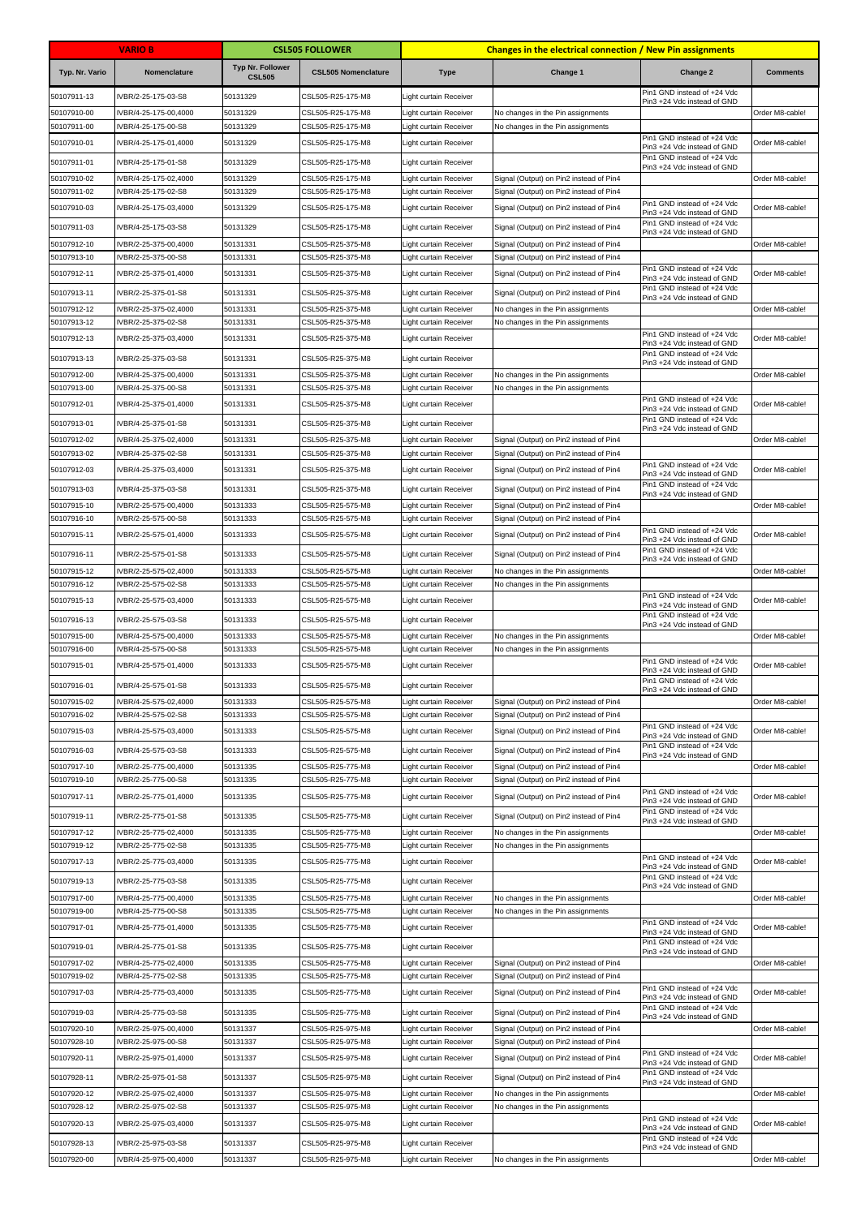|                            | <b>VARIO B</b>                               |                                   | <b>CSL505 FOLLOWER</b>                 |                                                  | <b>Changes in the electrical connection / New Pin assignments</b>                  |                                                            |                 |
|----------------------------|----------------------------------------------|-----------------------------------|----------------------------------------|--------------------------------------------------|------------------------------------------------------------------------------------|------------------------------------------------------------|-----------------|
| Typ. Nr. Vario             | Nomenclature                                 | Typ Nr. Follower<br><b>CSL505</b> | <b>CSL505 Nomenclature</b>             | <b>Type</b>                                      | Change 1                                                                           | Change 2                                                   | <b>Comments</b> |
| 50107911-13                | IVBR/2-25-175-03-S8                          | 50131329                          | CSL505-R25-175-M8                      | Light curtain Receiver                           |                                                                                    | Pin1 GND instead of +24 Vdc<br>Pin3 +24 Vdc instead of GND |                 |
| 50107910-00                | IVBR/4-25-175-00,4000                        | 50131329                          | CSL505-R25-175-M8                      | Light curtain Receiver                           | No changes in the Pin assignments                                                  |                                                            | Order M8-cable! |
| 50107911-00<br>50107910-01 | VBR/4-25-175-00-S8<br>IVBR/4-25-175-01,4000  | 50131329<br>50131329              | CSL505-R25-175-M8<br>CSL505-R25-175-M8 | ight curtain Receiver<br>ight curtain Receiver   | No changes in the Pin assignments                                                  | Pin1 GND instead of +24 Vdc                                | Order M8-cable! |
|                            |                                              | 50131329                          |                                        |                                                  |                                                                                    | Pin3 +24 Vdc instead of GND<br>Pin1 GND instead of +24 Vdc |                 |
| 50107911-01<br>50107910-02 | IVBR/4-25-175-01-S8<br>IVBR/4-25-175-02,4000 | 50131329                          | CSL505-R25-175-M8<br>CSL505-R25-175-M8 | Light curtain Receiver<br>ight curtain Receiver  | Signal (Output) on Pin2 instead of Pin4                                            | Pin3 +24 Vdc instead of GND                                | Order M8-cable! |
| 50107911-02                | IVBR/4-25-175-02-S8                          | 50131329                          | CSL505-R25-175-M8                      | ight curtain Receiver                            | Signal (Output) on Pin2 instead of Pin4                                            |                                                            |                 |
| 50107910-03                | IVBR/4-25-175-03,4000                        | 50131329                          | CSL505-R25-175-M8                      | ight curtain Receiver                            | Signal (Output) on Pin2 instead of Pin4                                            | Pin1 GND instead of +24 Vdc<br>Pin3 +24 Vdc instead of GND | Order M8-cable! |
| 50107911-03                | IVBR/4-25-175-03-S8                          | 50131329                          | CSL505-R25-175-M8                      | Light curtain Receiver                           | Signal (Output) on Pin2 instead of Pin4                                            | Pin1 GND instead of +24 Vdc<br>Pin3 +24 Vdc instead of GND |                 |
| 50107912-10                | IVBR/2-25-375-00,4000                        | 50131331                          | CSL505-R25-375-M8                      | Light curtain Receiver                           | Signal (Output) on Pin2 instead of Pin4<br>Signal (Output) on Pin2 instead of Pin4 |                                                            | Order M8-cable! |
| 50107913-10<br>50107912-11 | IVBR/2-25-375-00-S8<br>IVBR/2-25-375-01,4000 | 50131331<br>50131331              | CSL505-R25-375-M8<br>CSL505-R25-375-M8 | Light curtain Receiver<br>Light curtain Receiver | Signal (Output) on Pin2 instead of Pin4                                            | Pin1 GND instead of +24 Vdc                                | Order M8-cable! |
| 50107913-11                | IVBR/2-25-375-01-S8                          | 50131331                          | CSL505-R25-375-M8                      | Light curtain Receiver                           | Signal (Output) on Pin2 instead of Pin4                                            | Pin3 +24 Vdc instead of GND<br>Pin1 GND instead of +24 Vdc |                 |
| 50107912-12                | VBR/2-25-375-02,4000                         | 50131331                          | CSL505-R25-375-M8                      | ight curtain Receiver                            | No changes in the Pin assignments                                                  | Pin3 +24 Vdc instead of GND                                | Order M8-cable! |
| 50107913-12                | VBR/2-25-375-02-S8                           | 50131331                          | CSL505-R25-375-M8                      | ight curtain Receiver                            | No changes in the Pin assignments                                                  |                                                            |                 |
| 50107912-13                | IVBR/2-25-375-03,4000                        | 50131331                          | CSL505-R25-375-M8                      | ight curtain Receiver                            |                                                                                    | Pin1 GND instead of +24 Vdc<br>Pin3 +24 Vdc instead of GND | Order M8-cable! |
| 50107913-13                | IVBR/2-25-375-03-S8                          | 50131331                          | CSL505-R25-375-M8                      | Light curtain Receiver                           |                                                                                    | Pin1 GND instead of +24 Vdc<br>Pin3 +24 Vdc instead of GND |                 |
| 50107912-00<br>50107913-00 | VBR/4-25-375-00,4000<br>VBR/4-25-375-00-S8   | 50131331<br>50131331              | CSL505-R25-375-M8<br>CSL505-R25-375-M8 | ight curtain Receiver<br>Light curtain Receiver  | No changes in the Pin assignments<br>No changes in the Pin assignments             |                                                            | Order M8-cable! |
| 50107912-01                | IVBR/4-25-375-01,4000                        | 50131331                          | CSL505-R25-375-M8                      | Light curtain Receiver                           |                                                                                    | Pin1 GND instead of +24 Vdc                                | Order M8-cable! |
| 50107913-01                | IVBR/4-25-375-01-S8                          | 50131331                          | CSL505-R25-375-M8                      | Light curtain Receiver                           |                                                                                    | Pin3 +24 Vdc instead of GND<br>Pin1 GND instead of +24 Vdc |                 |
| 50107912-02                | VBR/4-25-375-02,4000                         | 50131331                          | CSL505-R25-375-M8                      | Light curtain Receiver                           | Signal (Output) on Pin2 instead of Pin4                                            | Pin3 +24 Vdc instead of GND                                | Order M8-cable! |
| 50107913-02                | VBR/4-25-375-02-S8                           | 50131331                          | CSL505-R25-375-M8                      | Light curtain Receiver                           | Signal (Output) on Pin2 instead of Pin4                                            |                                                            |                 |
| 50107912-03                | IVBR/4-25-375-03,4000                        | 50131331                          | CSL505-R25-375-M8                      | ight curtain Receiver                            | Signal (Output) on Pin2 instead of Pin4                                            | Pin1 GND instead of +24 Vdc<br>Pin3 +24 Vdc instead of GND | Order M8-cable! |
| 50107913-03                | IVBR/4-25-375-03-S8                          | 50131331                          | CSL505-R25-375-M8                      | Light curtain Receiver                           | Signal (Output) on Pin2 instead of Pin4                                            | Pin1 GND instead of +24 Vdc<br>Pin3 +24 Vdc instead of GND |                 |
| 50107915-10                | IVBR/2-25-575-00,4000                        | 50131333<br>50131333              | CSL505-R25-575-M8                      | Light curtain Receiver                           | Signal (Output) on Pin2 instead of Pin4<br>Signal (Output) on Pin2 instead of Pin4 |                                                            | Order M8-cable! |
| 50107916-10<br>50107915-11 | VBR/2-25-575-00-S8<br>IVBR/2-25-575-01,4000  | 50131333                          | CSL505-R25-575-M8<br>CSL505-R25-575-M8 | Light curtain Receiver<br>ight curtain Receiver  | Signal (Output) on Pin2 instead of Pin4                                            | Pin1 GND instead of +24 Vdc                                | Order M8-cable! |
| 50107916-11                | IVBR/2-25-575-01-S8                          | 50131333                          | CSL505-R25-575-M8                      | Light curtain Receiver                           | Signal (Output) on Pin2 instead of Pin4                                            | Pin3 +24 Vdc instead of GND<br>Pin1 GND instead of +24 Vdc |                 |
| 50107915-12                | VBR/2-25-575-02,4000                         | 50131333                          | CSL505-R25-575-M8                      | ight curtain Receiver                            | No changes in the Pin assignments                                                  | Pin3 +24 Vdc instead of GND                                | Order M8-cable! |
| 50107916-12                | VBR/2-25-575-02-S8                           | 50131333                          | CSL505-R25-575-M8                      | Light curtain Receiver                           | No changes in the Pin assignments                                                  |                                                            |                 |
| 50107915-13                | IVBR/2-25-575-03,4000                        | 50131333                          | CSL505-R25-575-M8                      | ight curtain Receiver                            |                                                                                    | Pin1 GND instead of +24 Vdc<br>Pin3 +24 Vdc instead of GND | Order M8-cable! |
| 50107916-13                | IVBR/2-25-575-03-S8                          | 50131333                          | CSL505-R25-575-M8                      | Light curtain Receiver                           |                                                                                    | Pin1 GND instead of +24 Vdc<br>Pin3 +24 Vdc instead of GND |                 |
| 50107915-00                | IVBR/4-25-575-00,4000                        | 50131333                          | CSL505-R25-575-M8                      | Light curtain Receiver                           | No changes in the Pin assignments                                                  |                                                            | Order M8-cable! |
| 50107916-00<br>50107915-01 | VBR/4-25-575-00-S8<br>IVBR/4-25-575-01,4000  | 50131333<br>50131333              | CSL505-R25-575-M8<br>CSL505-R25-575-M8 | Light curtain Receiver<br>ight curtain Receiver  | No changes in the Pin assignments                                                  | Pin1 GND instead of +24 Vdc                                | Order M8-cable! |
| 50107916-01                | IVBR/4-25-575-01-S8                          | 50131333                          | CSL505-R25-575-M8                      | Light curtain Receiver                           |                                                                                    | Pin3 +24 Vdc instead of GND<br>Pin1 GND instead of +24 Vdc |                 |
| 50107915-02                | IVBR/4-25-575-02,4000                        | 50131333                          | CSL505-R25-575-M8                      | Light curtain Receiver                           | Signal (Output) on Pin2 instead of Pin4                                            | Pin3 +24 Vdc instead of GND                                | Order M8-cable! |
| 50107916-02                | VBR/4-25-575-02-S8                           | 50131333                          | CSL505-R25-575-M8                      | Light curtain Receiver                           | Signal (Output) on Pin2 instead of Pin4                                            |                                                            |                 |
| 50107915-03                | IVBR/4-25-575-03,4000                        | 50131333                          | CSL505-R25-575-M8                      | Light curtain Receiver                           | Signal (Output) on Pin2 instead of Pin4                                            | Pin1 GND instead of +24 Vdc<br>Pin3 +24 Vdc instead of GND | Order M8-cable! |
| 50107916-03                | IVBR/4-25-575-03-S8                          | 50131333                          | CSL505-R25-575-M8                      | Light curtain Receiver                           | Signal (Output) on Pin2 instead of Pin4                                            | Pin1 GND instead of +24 Vdc<br>Pin3 +24 Vdc instead of GND |                 |
| 50107917-10                | VBR/2-25-775-00,4000                         | 50131335                          | CSL505-R25-775-M8                      | Light curtain Receiver                           | Signal (Output) on Pin2 instead of Pin4                                            |                                                            | Order M8-cable! |
| 50107919-10                | VBR/2-25-775-00-S8                           | 50131335                          | CSL505-R25-775-M8                      | Light curtain Receiver<br>ight curtain Receiver  | Signal (Output) on Pin2 instead of Pin4                                            | Pin1 GND instead of +24 Vdc                                |                 |
| 50107917-11                | IVBR/2-25-775-01,4000                        | 50131335                          | CSL505-R25-775-M8                      |                                                  | Signal (Output) on Pin2 instead of Pin4                                            | Pin3 +24 Vdc instead of GND<br>Pin1 GND instead of +24 Vdc | Order M8-cable! |
| 50107919-11<br>50107917-12 | IVBR/2-25-775-01-S8<br>IVBR/2-25-775-02,4000 | 50131335<br>50131335              | CSL505-R25-775-M8<br>CSL505-R25-775-M8 | Light curtain Receiver<br>Light curtain Receiver | Signal (Output) on Pin2 instead of Pin4<br>No changes in the Pin assignments       | Pin3 +24 Vdc instead of GND                                | Order M8-cable! |
| 50107919-12                | VBR/2-25-775-02-S8                           | 50131335                          | CSL505-R25-775-M8                      | Light curtain Receiver                           | No changes in the Pin assignments                                                  |                                                            |                 |
| 50107917-13                | VBR/2-25-775-03,4000                         | 50131335                          | CSL505-R25-775-M8                      | Light curtain Receiver                           |                                                                                    | Pin1 GND instead of +24 Vdc<br>Pin3 +24 Vdc instead of GND | Order M8-cable! |
| 50107919-13                | IVBR/2-25-775-03-S8                          | 50131335                          | CSL505-R25-775-M8                      | Light curtain Receiver                           |                                                                                    | Pin1 GND instead of +24 Vdc<br>Pin3 +24 Vdc instead of GND |                 |
| 50107917-00                | IVBR/4-25-775-00,4000                        | 50131335                          | CSL505-R25-775-M8                      | Light curtain Receiver                           | No changes in the Pin assignments                                                  |                                                            | Order M8-cable! |
| 50107919-00                | IVBR/4-25-775-00-S8                          | 50131335                          | CSL505-R25-775-M8                      | Light curtain Receiver                           | No changes in the Pin assignments                                                  | Pin1 GND instead of +24 Vdc                                |                 |
| 50107917-01                | IVBR/4-25-775-01,4000                        | 50131335                          | CSL505-R25-775-M8                      | ight curtain Receiver                            |                                                                                    | Pin3 +24 Vdc instead of GND<br>Pin1 GND instead of +24 Vdc | Order M8-cable! |
| 50107919-01<br>50107917-02 | IVBR/4-25-775-01-S8<br>IVBR/4-25-775-02,4000 | 50131335<br>50131335              | CSL505-R25-775-M8<br>CSL505-R25-775-M8 | Light curtain Receiver                           | Signal (Output) on Pin2 instead of Pin4                                            | Pin3 +24 Vdc instead of GND                                | Order M8-cable! |
| 50107919-02                | IVBR/4-25-775-02-S8                          | 50131335                          | CSL505-R25-775-M8                      | Light curtain Receiver<br>Light curtain Receiver | Signal (Output) on Pin2 instead of Pin4                                            |                                                            |                 |
| 50107917-03                | IVBR/4-25-775-03,4000                        | 50131335                          | CSL505-R25-775-M8                      | Light curtain Receiver                           | Signal (Output) on Pin2 instead of Pin4                                            | Pin1 GND instead of +24 Vdc<br>Pin3 +24 Vdc instead of GND | Order M8-cable! |
| 50107919-03                | IVBR/4-25-775-03-S8                          | 50131335                          | CSL505-R25-775-M8                      | Light curtain Receiver                           | Signal (Output) on Pin2 instead of Pin4                                            | Pin1 GND instead of +24 Vdc<br>Pin3 +24 Vdc instead of GND |                 |
| 50107920-10                | IVBR/2-25-975-00,4000                        | 50131337                          | CSL505-R25-975-M8                      | Light curtain Receiver                           | Signal (Output) on Pin2 instead of Pin4                                            |                                                            | Order M8-cable! |
| 50107928-10                | IVBR/2-25-975-00-S8                          | 50131337                          | CSL505-R25-975-M8                      | Light curtain Receiver                           | Signal (Output) on Pin2 instead of Pin4                                            | Pin1 GND instead of +24 Vdc                                |                 |
| 50107920-11                | IVBR/2-25-975-01,4000                        | 50131337                          | CSL505-R25-975-M8                      | Light curtain Receiver                           | Signal (Output) on Pin2 instead of Pin4                                            | Pin3 +24 Vdc instead of GND<br>Pin1 GND instead of +24 Vdc | Order M8-cable! |
| 50107928-11                | IVBR/2-25-975-01-S8                          | 50131337                          | CSL505-R25-975-M8                      | Light curtain Receiver                           | Signal (Output) on Pin2 instead of Pin4                                            | Pin3 +24 Vdc instead of GND                                |                 |
| 50107920-12<br>50107928-12 | IVBR/2-25-975-02,4000<br>VBR/2-25-975-02-S8  | 50131337<br>50131337              | CSL505-R25-975-M8<br>CSL505-R25-975-M8 | Light curtain Receiver<br>Light curtain Receiver | No changes in the Pin assignments<br>No changes in the Pin assignments             |                                                            | Order M8-cable! |
| 50107920-13                | IVBR/2-25-975-03,4000                        | 50131337                          | CSL505-R25-975-M8                      | Light curtain Receiver                           |                                                                                    | Pin1 GND instead of +24 Vdc<br>Pin3 +24 Vdc instead of GND | Order M8-cable! |
| 50107928-13                | IVBR/2-25-975-03-S8                          | 50131337                          | CSL505-R25-975-M8                      | Light curtain Receiver                           |                                                                                    | Pin1 GND instead of +24 Vdc<br>Pin3 +24 Vdc instead of GND |                 |
| 50107920-00                | IVBR/4-25-975-00,4000                        | 50131337                          | CSL505-R25-975-M8                      | Light curtain Receiver                           | No changes in the Pin assignments                                                  |                                                            | Order M8-cable! |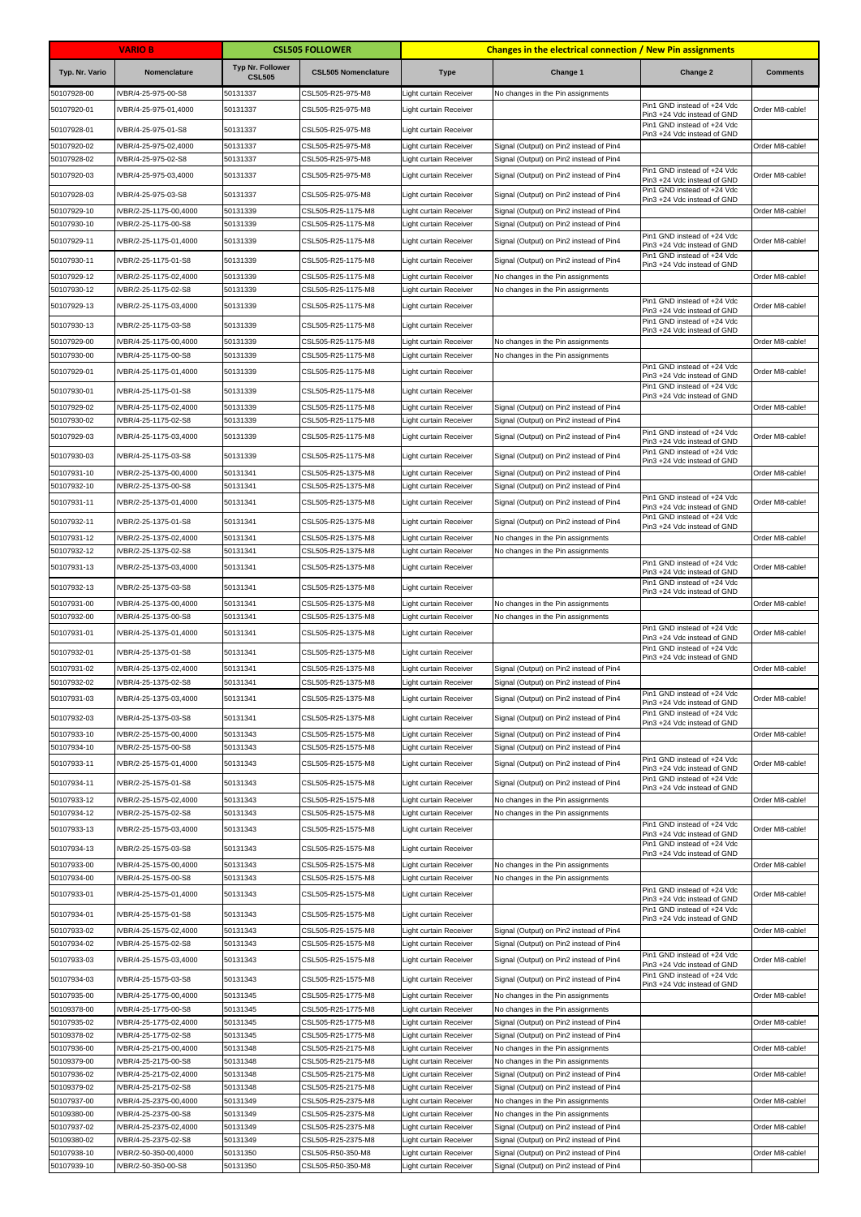|                            | <b>VARIO B</b>                                 |                                          | <b>CSL505 FOLLOWER</b>                   |                                                  | <b>Changes in the electrical connection / New Pin assignments</b>                  |                                                                                           |                 |
|----------------------------|------------------------------------------------|------------------------------------------|------------------------------------------|--------------------------------------------------|------------------------------------------------------------------------------------|-------------------------------------------------------------------------------------------|-----------------|
| Typ. Nr. Vario             | Nomenclature                                   | <b>Typ Nr. Follower</b><br><b>CSL505</b> | <b>CSL505 Nomenclature</b>               | <b>Type</b>                                      | Change 1                                                                           | Change 2                                                                                  | <b>Comments</b> |
| 50107928-00                | IVBR/4-25-975-00-S8                            | 50131337                                 | CSL505-R25-975-M8                        | Light curtain Receiver                           | No changes in the Pin assignments                                                  |                                                                                           |                 |
| 50107920-01                | IVBR/4-25-975-01,4000                          | 50131337                                 | CSL505-R25-975-M8                        | Light curtain Receiver                           |                                                                                    | Pin1 GND instead of +24 Vdc<br>Pin3 +24 Vdc instead of GND                                | Order M8-cable! |
| 50107928-01                | IVBR/4-25-975-01-S8                            | 50131337                                 | CSL505-R25-975-M8                        | Light curtain Receiver                           |                                                                                    | Pin1 GND instead of +24 Vdc<br>Pin3 +24 Vdc instead of GND                                |                 |
| 50107920-02                | IVBR/4-25-975-02,4000                          | 50131337                                 | CSL505-R25-975-M8                        | Light curtain Receiver                           | Signal (Output) on Pin2 instead of Pin4                                            |                                                                                           | Order M8-cable! |
| 50107928-02                | VBR/4-25-975-02-S8                             | 50131337                                 | CSL505-R25-975-M8                        | Light curtain Receiver                           | Signal (Output) on Pin2 instead of Pin4                                            | Pin1 GND instead of +24 Vdc                                                               |                 |
| 50107920-03                | IVBR/4-25-975-03,4000                          | 50131337                                 | CSL505-R25-975-M8                        | Light curtain Receiver                           | Signal (Output) on Pin2 instead of Pin4                                            | Pin3 +24 Vdc instead of GND                                                               | Order M8-cable! |
| 50107928-03                | IVBR/4-25-975-03-S8                            | 50131337                                 | CSL505-R25-975-M8                        | Light curtain Receiver                           | Signal (Output) on Pin2 instead of Pin4                                            | Pin1 GND instead of +24 Vdc<br>Pin3 +24 Vdc instead of GND                                |                 |
| 50107929-10                | IVBR/2-25-1175-00,4000                         | 50131339                                 | CSL505-R25-1175-M8                       | Light curtain Receiver                           | Signal (Output) on Pin2 instead of Pin4                                            |                                                                                           | Order M8-cable! |
| 50107930-10                | IVBR/2-25-1175-00-S8                           | 50131339                                 | CSL505-R25-1175-M8                       | Light curtain Receiver                           | Signal (Output) on Pin2 instead of Pin4                                            | Pin1 GND instead of +24 Vdc                                                               |                 |
| 50107929-11                | IVBR/2-25-1175-01,4000                         | 50131339                                 | CSL505-R25-1175-M8                       | Light curtain Receiver                           | Signal (Output) on Pin2 instead of Pin4                                            | Pin3 +24 Vdc instead of GND<br>Pin1 GND instead of +24 Vdc                                | Order M8-cable! |
| 50107930-11                | IVBR/2-25-1175-01-S8                           | 50131339                                 | CSL505-R25-1175-M8                       | Light curtain Receiver                           | Signal (Output) on Pin2 instead of Pin4                                            | Pin3 +24 Vdc instead of GND                                                               |                 |
| 50107929-12<br>50107930-12 | IVBR/2-25-1175-02,4000<br>VBR/2-25-1175-02-S8  | 50131339<br>50131339                     | CSL505-R25-1175-M8<br>CSL505-R25-1175-M8 | Light curtain Receiver<br>Light curtain Receiver | No changes in the Pin assignments<br>No changes in the Pin assignments             |                                                                                           | Order M8-cable! |
| 50107929-13                | IVBR/2-25-1175-03,4000                         | 50131339                                 | CSL505-R25-1175-M8                       | Light curtain Receiver                           |                                                                                    | Pin1 GND instead of +24 Vdc                                                               | Order M8-cable! |
|                            | IVBR/2-25-1175-03-S8                           | 50131339                                 | CSL505-R25-1175-M8                       |                                                  |                                                                                    | Pin3 +24 Vdc instead of GND<br>Pin1 GND instead of +24 Vdc                                |                 |
| 50107930-13<br>50107929-00 | IVBR/4-25-1175-00,4000                         | 50131339                                 | CSL505-R25-1175-M8                       | Light curtain Receiver<br>Light curtain Receiver | No changes in the Pin assignments                                                  | Pin3 +24 Vdc instead of GND                                                               | Order M8-cable! |
| 50107930-00                | IVBR/4-25-1175-00-S8                           | 50131339                                 | CSL505-R25-1175-M8                       | Light curtain Receiver                           | No changes in the Pin assignments                                                  |                                                                                           |                 |
| 50107929-01                | VBR/4-25-1175-01,4000                          | 50131339                                 | CSL505-R25-1175-M8                       | Light curtain Receiver                           |                                                                                    | Pin1 GND instead of +24 Vdc<br>Pin3 +24 Vdc instead of GND                                | Order M8-cable! |
| 50107930-01                | IVBR/4-25-1175-01-S8                           | 50131339                                 | CSL505-R25-1175-M8                       | <b>Light curtain Receiver</b>                    |                                                                                    | Pin1 GND instead of +24 Vdc                                                               |                 |
| 50107929-02                | IVBR/4-25-1175-02,4000                         | 50131339                                 | CSL505-R25-1175-M8                       | Light curtain Receiver                           | Signal (Output) on Pin2 instead of Pin4                                            | Pin3 +24 Vdc instead of GND                                                               | Order M8-cable! |
| 50107930-02                | VBR/4-25-1175-02-S8                            | 50131339                                 | CSL505-R25-1175-M8                       | Light curtain Receiver                           | Signal (Output) on Pin2 instead of Pin4                                            |                                                                                           |                 |
| 50107929-03                | VBR/4-25-1175-03,4000                          | 50131339                                 | CSL505-R25-1175-M8                       | <b>Light curtain Receiver</b>                    | Signal (Output) on Pin2 instead of Pin4                                            | Pin1 GND instead of +24 Vdc<br>Pin3 +24 Vdc instead of GND                                | Order M8-cable! |
| 50107930-03                | IVBR/4-25-1175-03-S8                           | 50131339                                 | CSL505-R25-1175-M8                       | Light curtain Receiver                           | Signal (Output) on Pin2 instead of Pin4                                            | Pin1 GND instead of +24 Vdc<br>Pin3 +24 Vdc instead of GND                                |                 |
| 50107931-10                | IVBR/2-25-1375-00,4000                         | 50131341                                 | CSL505-R25-1375-M8                       | ight curtain Receiver                            | Signal (Output) on Pin2 instead of Pin4                                            |                                                                                           | Order M8-cable! |
| 50107932-10                | IVBR/2-25-1375-00-S8                           | 50131341                                 | CSL505-R25-1375-M8                       | ight curtain Receiver                            | Signal (Output) on Pin2 instead of Pin4                                            |                                                                                           |                 |
| 50107931-11                | IVBR/2-25-1375-01,4000                         | 50131341                                 | CSL505-R25-1375-M8                       | Light curtain Receiver                           | Signal (Output) on Pin2 instead of Pin4                                            | Pin1 GND instead of +24 Vdc<br>Pin3 +24 Vdc instead of GND                                | Order M8-cable! |
| 50107932-11                | IVBR/2-25-1375-01-S8                           | 50131341                                 | CSL505-R25-1375-M8                       | Light curtain Receiver                           | Signal (Output) on Pin2 instead of Pin4                                            | Pin1 GND instead of +24 Vdc<br>Pin3 +24 Vdc instead of GND                                |                 |
| 50107931-12                | IVBR/2-25-1375-02,4000                         | 50131341                                 | CSL505-R25-1375-M8                       | Light curtain Receiver                           | No changes in the Pin assignments                                                  |                                                                                           | Order M8-cable! |
| 50107932-12                | IVBR/2-25-1375-02-S8                           | 50131341                                 | CSL505-R25-1375-M8                       | Light curtain Receiver                           | No changes in the Pin assignments                                                  | Pin1 GND instead of +24 Vdc                                                               |                 |
| 50107931-13                | IVBR/2-25-1375-03,4000                         | 50131341                                 | CSL505-R25-1375-M8                       | Light curtain Receiver                           |                                                                                    | Pin3 +24 Vdc instead of GND<br>Pin1 GND instead of +24 Vdc                                | Order M8-cable! |
| 50107932-13                | IVBR/2-25-1375-03-S8                           | 50131341                                 | CSL505-R25-1375-M8                       | Light curtain Receiver                           |                                                                                    | Pin3 +24 Vdc instead of GND                                                               |                 |
| 50107931-00<br>50107932-00 | IVBR/4-25-1375-00,4000<br>IVBR/4-25-1375-00-S8 | 50131341<br>50131341                     | CSL505-R25-1375-M8<br>CSL505-R25-1375-M8 | Light curtain Receiver<br>Light curtain Receiver | No changes in the Pin assignments<br>No changes in the Pin assignments             |                                                                                           | Order M8-cable! |
| 50107931-01                | IVBR/4-25-1375-01,4000                         | 50131341                                 | CSL505-R25-1375-M8                       | Light curtain Receiver                           |                                                                                    | Pin1 GND instead of +24 Vdc                                                               | Order M8-cable! |
| 50107932-01                | IVBR/4-25-1375-01-S8                           | 50131341                                 | CSL505-R25-1375-M8                       | Light curtain Receiver                           |                                                                                    | Pin3 +24 Vdc instead of GND<br>Pin1 GND instead of +24 Vdc<br>Pin3 +24 Vdc instead of GND |                 |
| 50107931-02                | IVBR/4-25-1375-02,4000                         | 50131341                                 | CSL505-R25-1375-M8                       | Light curtain Receiver                           | Signal (Output) on Pin2 instead of Pin4                                            |                                                                                           | Order M8-cable! |
| 50107932-02                | IVBR/4-25-1375-02-S8                           | 50131341                                 | CSL505-R25-1375-M8                       | Light curtain Receiver                           | Signal (Output) on Pin2 instead of Pin4                                            |                                                                                           |                 |
| 50107931-03                | IVBR/4-25-1375-03,4000                         | 50131341                                 | CSL505-R25-1375-M8                       | Light curtain Receiver                           | Signal (Output) on Pin2 instead of Pin4                                            | Pin1 GND instead of +24 Vdc<br>Pin3 +24 Vdc instead of GND<br>Pin1 GND instead of +24 Vdc | Order M8-cable! |
| 50107932-03                | IVBR/4-25-1375-03-S8                           | 50131341                                 | CSL505-R25-1375-M8<br>CSL505-R25-1575-M8 | Light curtain Receiver                           | Signal (Output) on Pin2 instead of Pin4                                            | Pin3 +24 Vdc instead of GND                                                               |                 |
| 50107933-10<br>50107934-10 | IVBR/2-25-1575-00,4000<br>VBR/2-25-1575-00-S8  | 50131343<br>50131343                     | CSL505-R25-1575-M8                       | Light curtain Receiver<br>Light curtain Receiver | Signal (Output) on Pin2 instead of Pin4<br>Signal (Output) on Pin2 instead of Pin4 |                                                                                           | Order M8-cable! |
| 50107933-11                | IVBR/2-25-1575-01,4000                         | 50131343                                 | CSL505-R25-1575-M8                       | <b>Light curtain Receiver</b>                    | Signal (Output) on Pin2 instead of Pin4                                            | Pin1 GND instead of +24 Vdc<br>Pin3 +24 Vdc instead of GND                                | Order M8-cable! |
| 50107934-11                | IVBR/2-25-1575-01-S8                           | 50131343                                 | CSL505-R25-1575-M8                       | Light curtain Receiver                           | Signal (Output) on Pin2 instead of Pin4                                            | Pin1 GND instead of +24 Vdc                                                               |                 |
| 50107933-12                | IVBR/2-25-1575-02,4000                         | 50131343                                 | CSL505-R25-1575-M8                       | Light curtain Receiver                           | No changes in the Pin assignments                                                  | Pin3 +24 Vdc instead of GND                                                               | Order M8-cable! |
| 50107934-12                | VBR/2-25-1575-02-S8                            | 50131343                                 | CSL505-R25-1575-M8                       | Light curtain Receiver                           | No changes in the Pin assignments                                                  |                                                                                           |                 |
| 50107933-13                | VBR/2-25-1575-03,4000                          | 50131343                                 | CSL505-R25-1575-M8                       | Light curtain Receiver                           |                                                                                    | Pin1 GND instead of +24 Vdc<br>Pin3 +24 Vdc instead of GND                                | Order M8-cable! |
| 50107934-13                | IVBR/2-25-1575-03-S8                           | 50131343                                 | CSL505-R25-1575-M8                       | Light curtain Receiver                           |                                                                                    | Pin1 GND instead of +24 Vdc<br>Pin3 +24 Vdc instead of GND                                |                 |
| 50107933-00                | VBR/4-25-1575-00,4000                          | 50131343                                 | CSL505-R25-1575-M8                       | Light curtain Receiver                           | No changes in the Pin assignments                                                  |                                                                                           | Order M8-cable! |
| 50107934-00                | VBR/4-25-1575-00-S8                            | 50131343                                 | CSL505-R25-1575-M8                       | Light curtain Receiver                           | No changes in the Pin assignments                                                  |                                                                                           |                 |
| 50107933-01                | IVBR/4-25-1575-01,4000                         | 50131343                                 | CSL505-R25-1575-M8                       | Light curtain Receiver                           |                                                                                    | Pin1 GND instead of +24 Vdc<br>Pin3 +24 Vdc instead of GND                                | Order M8-cable! |
| 50107934-01                | IVBR/4-25-1575-01-S8                           | 50131343                                 | CSL505-R25-1575-M8                       | Light curtain Receiver                           |                                                                                    | Pin1 GND instead of +24 Vdc<br>Pin3 +24 Vdc instead of GND                                |                 |
| 50107933-02                | IVBR/4-25-1575-02,4000                         | 50131343                                 | CSL505-R25-1575-M8                       | Light curtain Receiver                           | Signal (Output) on Pin2 instead of Pin4                                            |                                                                                           | Order M8-cable! |
| 50107934-02                | VBR/4-25-1575-02-S8                            | 50131343                                 | CSL505-R25-1575-M8                       | Light curtain Receiver                           | Signal (Output) on Pin2 instead of Pin4                                            | Pin1 GND instead of +24 Vdc                                                               |                 |
| 50107933-03                | IVBR/4-25-1575-03,4000                         | 50131343                                 | CSL505-R25-1575-M8                       | Light curtain Receiver                           | Signal (Output) on Pin2 instead of Pin4                                            | Pin3 +24 Vdc instead of GND<br>Pin1 GND instead of +24 Vdc                                | Order M8-cable! |
| 50107934-03                | IVBR/4-25-1575-03-S8                           | 50131343                                 | CSL505-R25-1575-M8                       | Light curtain Receiver                           | Signal (Output) on Pin2 instead of Pin4                                            | Pin3 +24 Vdc instead of GND                                                               |                 |
| 50107935-00                | IVBR/4-25-1775-00,4000                         | 50131345                                 | CSL505-R25-1775-M8                       | Light curtain Receiver                           | No changes in the Pin assignments                                                  |                                                                                           | Order M8-cable! |
| 50109378-00<br>50107935-02 | VBR/4-25-1775-00-S8<br>VBR/4-25-1775-02,4000   | 50131345<br>50131345                     | CSL505-R25-1775-M8<br>CSL505-R25-1775-M8 | Light curtain Receiver<br>Light curtain Receiver | No changes in the Pin assignments<br>Signal (Output) on Pin2 instead of Pin4       |                                                                                           | Order M8-cable! |
| 50109378-02                | VBR/4-25-1775-02-S8                            | 50131345                                 | CSL505-R25-1775-M8                       | Light curtain Receiver                           | Signal (Output) on Pin2 instead of Pin4                                            |                                                                                           |                 |
| 50107936-00                | VBR/4-25-2175-00,4000                          | 50131348                                 | CSL505-R25-2175-M8                       | Light curtain Receiver                           | No changes in the Pin assignments                                                  |                                                                                           | Order M8-cable! |
| 50109379-00<br>50107936-02 | VBR/4-25-2175-00-S8<br>VBR/4-25-2175-02,4000   | 50131348<br>50131348                     | CSL505-R25-2175-M8<br>CSL505-R25-2175-M8 | Light curtain Receiver<br>Light curtain Receiver | No changes in the Pin assignments<br>Signal (Output) on Pin2 instead of Pin4       |                                                                                           | Order M8-cable! |
| 50109379-02                | VBR/4-25-2175-02-S8                            | 50131348                                 | CSL505-R25-2175-M8                       | Light curtain Receiver                           | Signal (Output) on Pin2 instead of Pin4                                            |                                                                                           |                 |
| 50107937-00                | IVBR/4-25-2375-00,4000                         | 50131349                                 | CSL505-R25-2375-M8                       | Light curtain Receiver                           | No changes in the Pin assignments                                                  |                                                                                           | Order M8-cable! |
| 50109380-00<br>50107937-02 | IVBR/4-25-2375-00-S8<br>VBR/4-25-2375-02,4000  | 50131349<br>50131349                     | CSL505-R25-2375-M8<br>CSL505-R25-2375-M8 | Light curtain Receiver<br>Light curtain Receiver | No changes in the Pin assignments<br>Signal (Output) on Pin2 instead of Pin4       |                                                                                           | Order M8-cable! |
| 50109380-02                | VBR/4-25-2375-02-S8                            | 50131349                                 | CSL505-R25-2375-M8                       | Light curtain Receiver                           | Signal (Output) on Pin2 instead of Pin4                                            |                                                                                           |                 |
| 50107938-10                | VBR/2-50-350-00,4000                           | 50131350                                 | CSL505-R50-350-M8                        | Light curtain Receiver                           | Signal (Output) on Pin2 instead of Pin4                                            |                                                                                           | Order M8-cable! |
| 50107939-10                | VBR/2-50-350-00-S8                             | 50131350                                 | CSL505-R50-350-M8                        | Light curtain Receiver                           | Signal (Output) on Pin2 instead of Pin4                                            |                                                                                           |                 |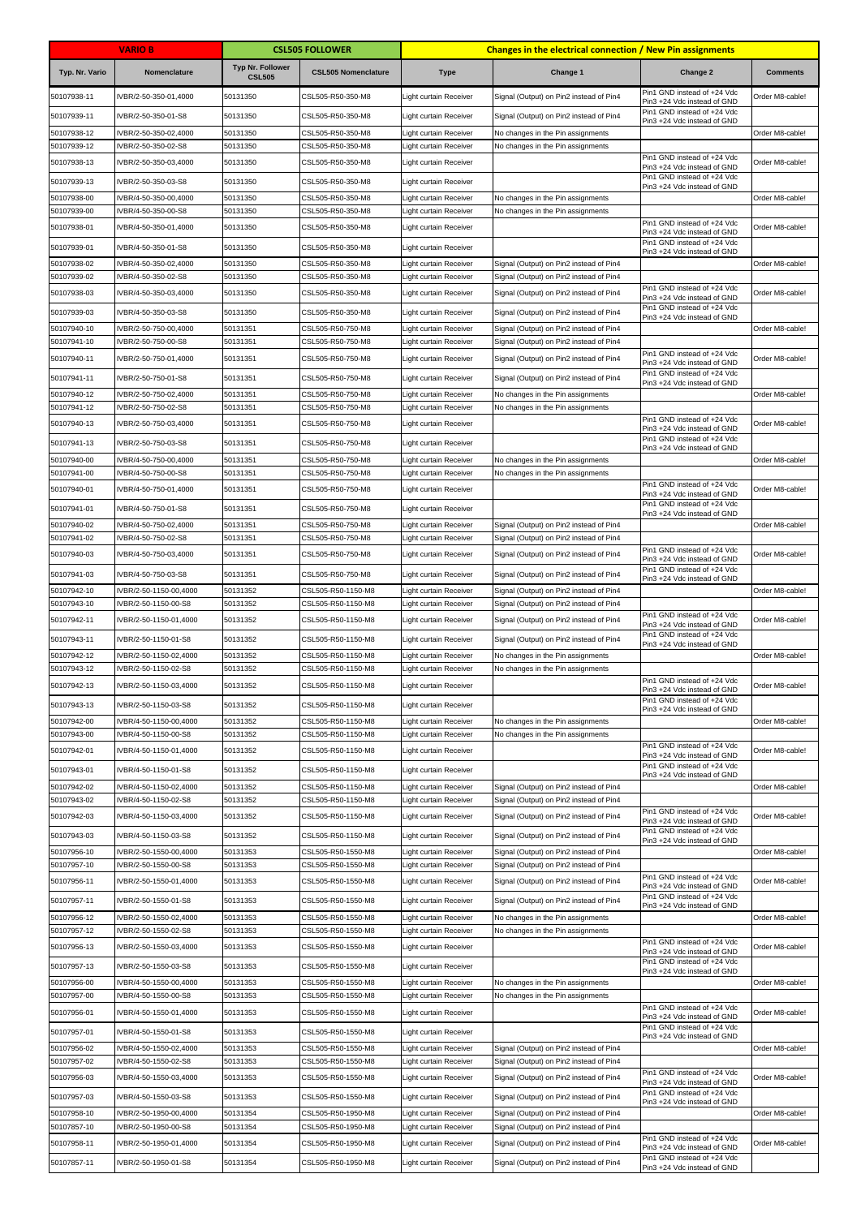|                            | <b>VARIO B</b>                                 |                                          | <b>CSL505 FOLLOWER</b>                   | Changes in the electrical connection / New Pin assignments |                                                                                    |                                                                                           |                 |
|----------------------------|------------------------------------------------|------------------------------------------|------------------------------------------|------------------------------------------------------------|------------------------------------------------------------------------------------|-------------------------------------------------------------------------------------------|-----------------|
| Typ. Nr. Vario             | Nomenclature                                   | <b>Typ Nr. Follower</b><br><b>CSL505</b> | <b>CSL505 Nomenclature</b>               | <b>Type</b>                                                | Change 1                                                                           | Change 2                                                                                  | <b>Comments</b> |
| 50107938-11                | IVBR/2-50-350-01,4000                          | 50131350                                 | CSL505-R50-350-M8                        | Light curtain Receiver                                     | Signal (Output) on Pin2 instead of Pin4                                            | Pin1 GND instead of +24 Vdc<br>Pin3 +24 Vdc instead of GND                                | Order M8-cable! |
| 50107939-11                | IVBR/2-50-350-01-S8                            | 50131350                                 | CSL505-R50-350-M8                        | Light curtain Receiver                                     | Signal (Output) on Pin2 instead of Pin4                                            | Pin1 GND instead of +24 Vdc<br>Pin3 +24 Vdc instead of GND                                |                 |
| 50107938-12                | IVBR/2-50-350-02,4000                          | 50131350                                 | CSL505-R50-350-M8                        | Light curtain Receiver                                     | No changes in the Pin assignments                                                  |                                                                                           | Order M8-cable! |
| 50107939-12                | VBR/2-50-350-02-S8                             | 50131350                                 | CSL505-R50-350-M8                        | Light curtain Receiver                                     | No changes in the Pin assignments                                                  | Pin1 GND instead of +24 Vdc                                                               |                 |
| 50107938-13                | IVBR/2-50-350-03,4000                          | 50131350                                 | CSL505-R50-350-M8                        | Light curtain Receiver                                     |                                                                                    | Pin3 +24 Vdc instead of GND<br>Pin1 GND instead of +24 Vdc                                | Order M8-cable! |
| 50107939-13<br>50107938-00 | IVBR/2-50-350-03-S8<br>VBR/4-50-350-00,4000    | 50131350<br>50131350                     | CSL505-R50-350-M8<br>CSL505-R50-350-M8   | Light curtain Receiver<br>Light curtain Receiver           | No changes in the Pin assignments                                                  | Pin3 +24 Vdc instead of GND                                                               | Order M8-cable! |
| 50107939-00                | VBR/4-50-350-00-S8                             | 50131350                                 | CSL505-R50-350-M8                        | Light curtain Receiver                                     | No changes in the Pin assignments                                                  |                                                                                           |                 |
| 50107938-01                | IVBR/4-50-350-01,4000                          | 50131350                                 | CSL505-R50-350-M8                        | Light curtain Receiver                                     |                                                                                    | Pin1 GND instead of +24 Vdc<br>Pin3 +24 Vdc instead of GND                                | Order M8-cable! |
| 50107939-01                | IVBR/4-50-350-01-S8                            | 50131350                                 | CSL505-R50-350-M8                        | Light curtain Receiver                                     |                                                                                    | Pin1 GND instead of +24 Vdc<br>Pin3 +24 Vdc instead of GND                                |                 |
| 50107938-02                | IVBR/4-50-350-02,4000                          | 50131350                                 | CSL505-R50-350-M8                        | Light curtain Receiver                                     | Signal (Output) on Pin2 instead of Pin4                                            |                                                                                           | Order M8-cable! |
| 50107939-02                | IVBR/4-50-350-02-S8                            | 50131350                                 | CSL505-R50-350-M8                        | Light curtain Receiver                                     | Signal (Output) on Pin2 instead of Pin4                                            | Pin1 GND instead of +24 Vdc                                                               |                 |
| 50107938-03                | VBR/4-50-350-03,4000                           | 50131350                                 | CSL505-R50-350-M8                        | Light curtain Receiver                                     | Signal (Output) on Pin2 instead of Pin4                                            | Pin3 +24 Vdc instead of GND<br>Pin1 GND instead of +24 Vdc                                | Order M8-cable! |
| 50107939-03<br>50107940-10 | IVBR/4-50-350-03-S8<br>IVBR/2-50-750-00,4000   | 50131350<br>50131351                     | CSL505-R50-350-M8<br>CSL505-R50-750-M8   | Light curtain Receiver<br>Light curtain Receiver           | Signal (Output) on Pin2 instead of Pin4<br>Signal (Output) on Pin2 instead of Pin4 | Pin3 +24 Vdc instead of GND                                                               | Order M8-cable! |
| 50107941-10                | IVBR/2-50-750-00-S8                            | 50131351                                 | CSL505-R50-750-M8                        | Light curtain Receiver                                     | Signal (Output) on Pin2 instead of Pin4                                            |                                                                                           |                 |
| 50107940-11                | VBR/2-50-750-01,4000                           | 50131351                                 | CSL505-R50-750-M8                        | <b>Light curtain Receiver</b>                              | Signal (Output) on Pin2 instead of Pin4                                            | Pin1 GND instead of +24 Vdc<br>Pin3 +24 Vdc instead of GND                                | Order M8-cable! |
| 50107941-11                | IVBR/2-50-750-01-S8                            | 50131351                                 | CSL505-R50-750-M8                        | Light curtain Receiver                                     | Signal (Output) on Pin2 instead of Pin4                                            | Pin1 GND instead of +24 Vdc<br>Pin3 +24 Vdc instead of GND                                |                 |
| 50107940-12                | IVBR/2-50-750-02,4000                          | 50131351                                 | CSL505-R50-750-M8                        | Light curtain Receiver                                     | No changes in the Pin assignments                                                  |                                                                                           | Order M8-cable! |
| 50107941-12                | IVBR/2-50-750-02-S8                            | 50131351                                 | CSL505-R50-750-M8                        | Light curtain Receiver                                     | No changes in the Pin assignments                                                  | Pin1 GND instead of +24 Vdc                                                               |                 |
| 50107940-13                | IVBR/2-50-750-03,4000                          | 50131351                                 | CSL505-R50-750-M8                        | <b>Light curtain Receiver</b>                              |                                                                                    | Pin3 +24 Vdc instead of GND<br>Pin1 GND instead of +24 Vdc                                | Order M8-cable! |
| 50107941-13                | IVBR/2-50-750-03-S8                            | 50131351                                 | CSL505-R50-750-M8                        | Light curtain Receiver                                     |                                                                                    | Pin3 +24 Vdc instead of GND                                                               |                 |
| 50107940-00<br>50107941-00 | IVBR/4-50-750-00,4000<br>IVBR/4-50-750-00-S8   | 50131351<br>50131351                     | CSL505-R50-750-M8<br>CSL505-R50-750-M8   | Light curtain Receiver<br>Light curtain Receiver           | No changes in the Pin assignments<br>No changes in the Pin assignments             |                                                                                           | Order M8-cable! |
| 50107940-01                | IVBR/4-50-750-01,4000                          | 50131351                                 | CSL505-R50-750-M8                        | Light curtain Receiver                                     |                                                                                    | Pin1 GND instead of +24 Vdc<br>Pin3 +24 Vdc instead of GND                                | Order M8-cable! |
| 50107941-01                | IVBR/4-50-750-01-S8                            | 50131351                                 | CSL505-R50-750-M8                        | Light curtain Receiver                                     |                                                                                    | Pin1 GND instead of +24 Vdc<br>Pin3 +24 Vdc instead of GND                                |                 |
| 50107940-02                | IVBR/4-50-750-02,4000                          | 50131351                                 | CSL505-R50-750-M8                        | Light curtain Receiver                                     | Signal (Output) on Pin2 instead of Pin4                                            |                                                                                           | Order M8-cable! |
| 50107941-02                | IVBR/4-50-750-02-S8                            | 50131351                                 | CSL505-R50-750-M8                        | Light curtain Receiver                                     | Signal (Output) on Pin2 instead of Pin4                                            | Pin1 GND instead of +24 Vdc                                                               |                 |
| 50107940-03                | IVBR/4-50-750-03,4000                          | 50131351                                 | CSL505-R50-750-M8                        | Light curtain Receiver                                     | Signal (Output) on Pin2 instead of Pin4                                            | Pin3 +24 Vdc instead of GND<br>Pin1 GND instead of +24 Vdc                                | Order M8-cable! |
| 50107941-03                | IVBR/4-50-750-03-S8                            | 50131351<br>50131352                     | CSL505-R50-750-M8                        | Light curtain Receiver                                     | Signal (Output) on Pin2 instead of Pin4                                            | Pin3 +24 Vdc instead of GND                                                               | Order M8-cable! |
| 50107942-10<br>50107943-10 | IVBR/2-50-1150-00,4000<br>VBR/2-50-1150-00-S8  | 50131352                                 | CSL505-R50-1150-M8<br>CSL505-R50-1150-M8 | Light curtain Receiver<br>Light curtain Receiver           | Signal (Output) on Pin2 instead of Pin4<br>Signal (Output) on Pin2 instead of Pin4 |                                                                                           |                 |
| 50107942-11                | IVBR/2-50-1150-01,4000                         | 50131352                                 | CSL505-R50-1150-M8                       | Light curtain Receiver                                     | Signal (Output) on Pin2 instead of Pin4                                            | Pin1 GND instead of +24 Vdc<br>Pin3 +24 Vdc instead of GND                                | Order M8-cable! |
| 50107943-11                | IVBR/2-50-1150-01-S8                           | 50131352                                 | CSL505-R50-1150-M8                       | Light curtain Receiver                                     | Signal (Output) on Pin2 instead of Pin4                                            | Pin1 GND instead of +24 Vdc<br>Pin3 +24 Vdc instead of GND                                |                 |
| 50107942-12                | IVBR/2-50-1150-02,4000                         | 50131352                                 | CSL505-R50-1150-M8                       | Light curtain Receiver                                     | No changes in the Pin assignments                                                  |                                                                                           | Order M8-cable! |
| 50107943-12<br>50107942-13 | VBR/2-50-1150-02-S8<br>IVBR/2-50-1150-03,4000  | 50131352<br>50131352                     | CSL505-R50-1150-M8<br>CSL505-R50-1150-M8 | <b>Light curtain Receiver</b><br>Light curtain Receiver    | No changes in the Pin assignments                                                  | Pin1 GND instead of +24 Vdc                                                               | Order M8-cable! |
| 50107943-13                | IVBR/2-50-1150-03-S8                           | 50131352                                 | CSL505-R50-1150-M8                       | Light curtain Receiver                                     |                                                                                    | Pin3 +24 Vdc instead of GND<br>Pin1 GND instead of +24 Vdc                                |                 |
| 50107942-00                | IVBR/4-50-1150-00,4000                         | 50131352                                 | CSL505-R50-1150-M8                       | Light curtain Receiver                                     | No changes in the Pin assignments                                                  | Pin3 +24 Vdc instead of GND                                                               | Order M8-cable! |
| 50107943-00                | IVBR/4-50-1150-00-S8                           | 50131352                                 | CSL505-R50-1150-M8                       | Light curtain Receiver                                     | No changes in the Pin assignments                                                  |                                                                                           |                 |
| 50107942-01                | IVBR/4-50-1150-01,4000                         | 50131352                                 | CSL505-R50-1150-M8                       | Light curtain Receiver                                     |                                                                                    | Pin1 GND instead of +24 Vdc<br>Pin3 +24 Vdc instead of GND                                | Order M8-cable! |
| 50107943-01                | IVBR/4-50-1150-01-S8                           | 50131352                                 | CSL505-R50-1150-M8                       | Light curtain Receiver                                     |                                                                                    | Pin1 GND instead of +24 Vdc<br>Pin3 +24 Vdc instead of GND                                |                 |
| 50107942-02<br>50107943-02 | VBR/4-50-1150-02,4000<br>VBR/4-50-1150-02-S8   | 50131352<br>50131352                     | CSL505-R50-1150-M8<br>CSL505-R50-1150-M8 | Light curtain Receiver<br>Light curtain Receiver           | Signal (Output) on Pin2 instead of Pin4<br>Signal (Output) on Pin2 instead of Pin4 |                                                                                           | Order M8-cable! |
| 50107942-03                | IVBR/4-50-1150-03,4000                         | 50131352                                 | CSL505-R50-1150-M8                       | Light curtain Receiver                                     | Signal (Output) on Pin2 instead of Pin4                                            | Pin1 GND instead of +24 Vdc                                                               | Order M8-cable! |
| 50107943-03                | IVBR/4-50-1150-03-S8                           | 50131352                                 | CSL505-R50-1150-M8                       | Light curtain Receiver                                     | Signal (Output) on Pin2 instead of Pin4                                            | Pin3 +24 Vdc instead of GND<br>Pin1 GND instead of +24 Vdc<br>Pin3 +24 Vdc instead of GND |                 |
| 50107956-10                | IVBR/2-50-1550-00,4000                         | 50131353                                 | CSL505-R50-1550-M8                       | Light curtain Receiver                                     | Signal (Output) on Pin2 instead of Pin4                                            |                                                                                           | Order M8-cable! |
| 50107957-10                | VBR/2-50-1550-00-S8                            | 50131353                                 | CSL505-R50-1550-M8                       | Light curtain Receiver                                     | Signal (Output) on Pin2 instead of Pin4                                            | Pin1 GND instead of +24 Vdc                                                               |                 |
| 50107956-11                | IVBR/2-50-1550-01,4000                         | 50131353                                 | CSL505-R50-1550-M8                       | Light curtain Receiver                                     | Signal (Output) on Pin2 instead of Pin4                                            | Pin3 +24 Vdc instead of GND<br>Pin1 GND instead of +24 Vdc                                | Order M8-cable! |
| 50107957-11<br>50107956-12 | IVBR/2-50-1550-01-S8<br>IVBR/2-50-1550-02,4000 | 50131353<br>50131353                     | CSL505-R50-1550-M8<br>CSL505-R50-1550-M8 | Light curtain Receiver<br>Light curtain Receiver           | Signal (Output) on Pin2 instead of Pin4<br>No changes in the Pin assignments       | Pin3 +24 Vdc instead of GND                                                               | Order M8-cable! |
| 50107957-12                | VBR/2-50-1550-02-S8                            | 50131353                                 | CSL505-R50-1550-M8                       | Light curtain Receiver                                     | No changes in the Pin assignments                                                  |                                                                                           |                 |
| 50107956-13                | IVBR/2-50-1550-03,4000                         | 50131353                                 | CSL505-R50-1550-M8                       | Light curtain Receiver                                     |                                                                                    | Pin1 GND instead of +24 Vdc<br>Pin3 +24 Vdc instead of GND                                | Order M8-cable! |
| 50107957-13                | IVBR/2-50-1550-03-S8                           | 50131353                                 | CSL505-R50-1550-M8                       | Light curtain Receiver                                     |                                                                                    | Pin1 GND instead of +24 Vdc<br>Pin3 +24 Vdc instead of GND                                |                 |
| 50107956-00                | IVBR/4-50-1550-00,4000                         | 50131353                                 | CSL505-R50-1550-M8                       | Light curtain Receiver                                     | No changes in the Pin assignments                                                  |                                                                                           | Order M8-cable! |
| 50107957-00                | IVBR/4-50-1550-00-S8                           | 50131353                                 | CSL505-R50-1550-M8                       | Light curtain Receiver                                     | No changes in the Pin assignments                                                  | Pin1 GND instead of +24 Vdc                                                               |                 |
| 50107956-01                | IVBR/4-50-1550-01,4000                         | 50131353                                 | CSL505-R50-1550-M8                       | Light curtain Receiver                                     |                                                                                    | Pin3 +24 Vdc instead of GND<br>Pin1 GND instead of +24 Vdc                                | Order M8-cable! |
| 50107957-01                | IVBR/4-50-1550-01-S8                           | 50131353                                 | CSL505-R50-1550-M8                       | Light curtain Receiver                                     |                                                                                    | Pin3 +24 Vdc instead of GND                                                               |                 |
| 50107956-02<br>50107957-02 | IVBR/4-50-1550-02,4000<br>VBR/4-50-1550-02-S8  | 50131353<br>50131353                     | CSL505-R50-1550-M8<br>CSL505-R50-1550-M8 | Light curtain Receiver<br>Light curtain Receiver           | Signal (Output) on Pin2 instead of Pin4<br>Signal (Output) on Pin2 instead of Pin4 |                                                                                           | Order M8-cable! |
| 50107956-03                | IVBR/4-50-1550-03,4000                         | 50131353                                 | CSL505-R50-1550-M8                       | Light curtain Receiver                                     | Signal (Output) on Pin2 instead of Pin4                                            | Pin1 GND instead of +24 Vdc<br>Pin3 +24 Vdc instead of GND                                | Order M8-cable! |
| 50107957-03                | IVBR/4-50-1550-03-S8                           | 50131353                                 | CSL505-R50-1550-M8                       | Light curtain Receiver                                     | Signal (Output) on Pin2 instead of Pin4                                            | Pin1 GND instead of +24 Vdc<br>Pin3 +24 Vdc instead of GND                                |                 |
| 50107958-10                | IVBR/2-50-1950-00,4000                         | 50131354                                 | CSL505-R50-1950-M8                       | Light curtain Receiver                                     | Signal (Output) on Pin2 instead of Pin4                                            |                                                                                           | Order M8-cable! |
| 50107857-10                | IVBR/2-50-1950-00-S8                           | 50131354                                 | CSL505-R50-1950-M8                       | Light curtain Receiver                                     | Signal (Output) on Pin2 instead of Pin4                                            | Pin1 GND instead of +24 Vdc                                                               |                 |
| 50107958-11                | IVBR/2-50-1950-01,4000                         | 50131354                                 | CSL505-R50-1950-M8                       | Light curtain Receiver                                     | Signal (Output) on Pin2 instead of Pin4                                            | Pin3 +24 Vdc instead of GND<br>Pin1 GND instead of +24 Vdc                                | Order M8-cable! |
| 50107857-11                | IVBR/2-50-1950-01-S8                           | 50131354                                 | CSL505-R50-1950-M8                       | Light curtain Receiver                                     | Signal (Output) on Pin2 instead of Pin4                                            | Pin3 +24 Vdc instead of GND                                                               |                 |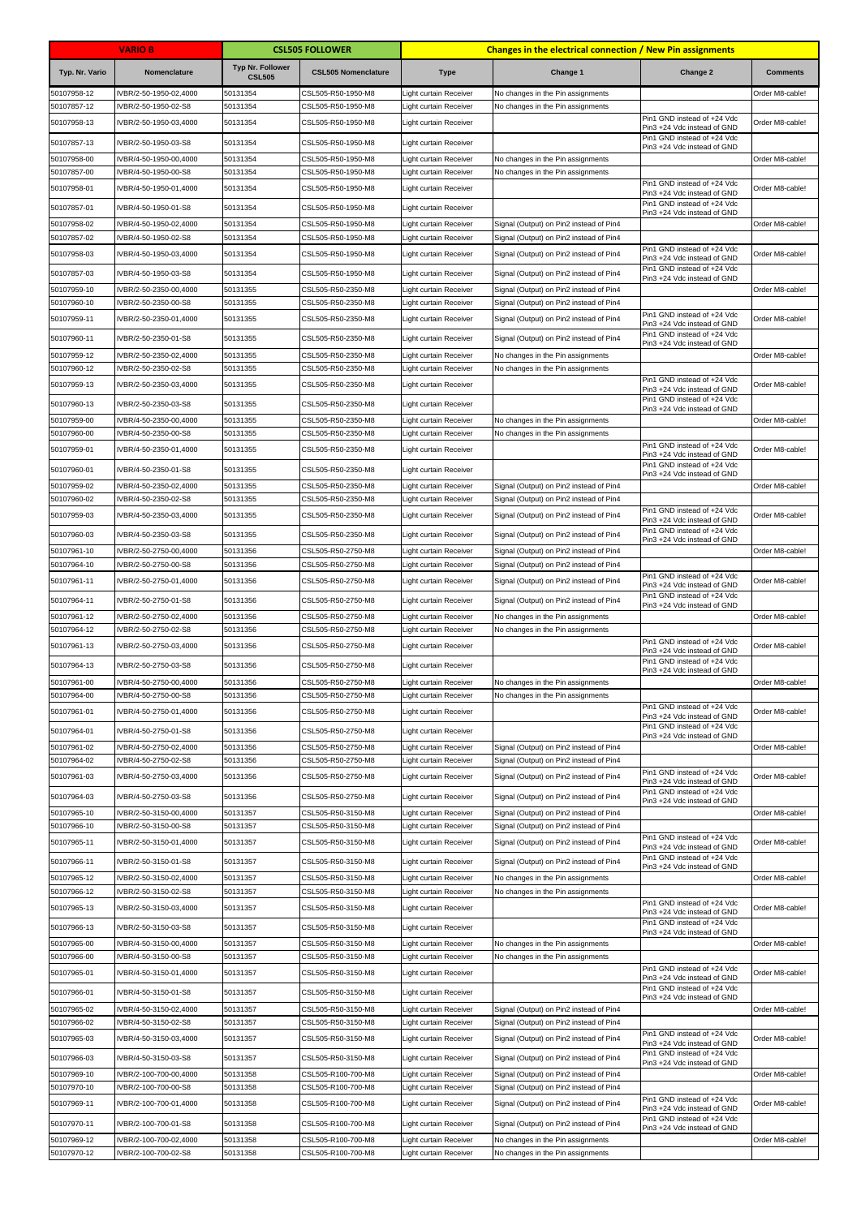|                            | <b>VARIO B</b>                                 |                                          | <b>CSL505 FOLLOWER</b>                   | <b>Changes in the electrical connection / New Pin assignments</b> |                                                                                    |                                                            |                 |
|----------------------------|------------------------------------------------|------------------------------------------|------------------------------------------|-------------------------------------------------------------------|------------------------------------------------------------------------------------|------------------------------------------------------------|-----------------|
| Typ. Nr. Vario             | Nomenclature                                   | <b>Typ Nr. Follower</b><br><b>CSL505</b> | <b>CSL505 Nomenclature</b>               | <b>Type</b>                                                       | Change 1                                                                           | Change 2                                                   | <b>Comments</b> |
| 50107958-12                | IVBR/2-50-1950-02,4000                         | 50131354                                 | CSL505-R50-1950-M8                       | Light curtain Receiver                                            | No changes in the Pin assignments                                                  |                                                            | Order M8-cable! |
| 50107857-12                | VBR/2-50-1950-02-S8                            | 50131354                                 | CSL505-R50-1950-M8                       | ight curtain Receiver                                             | No changes in the Pin assignments                                                  | Pin1 GND instead of +24 Vdc                                |                 |
| 50107958-13                | IVBR/2-50-1950-03,4000                         | 50131354                                 | CSL505-R50-1950-M8                       | Light curtain Receiver                                            |                                                                                    | Pin3 +24 Vdc instead of GND<br>Pin1 GND instead of +24 Vdc | Order M8-cable! |
| 50107857-13                | IVBR/2-50-1950-03-S8                           | 50131354                                 | CSL505-R50-1950-M8                       | Light curtain Receiver                                            |                                                                                    | Pin3 +24 Vdc instead of GND                                |                 |
| 50107958-00                | VBR/4-50-1950-00,4000                          | 50131354                                 | CSL505-R50-1950-M8                       | Light curtain Receiver                                            | No changes in the Pin assignments                                                  |                                                            | Order M8-cable! |
| 50107857-00<br>50107958-01 | VBR/4-50-1950-00-S8                            | 50131354<br>50131354                     | CSL505-R50-1950-M8<br>CSL505-R50-1950-M8 | Light curtain Receiver<br>Light curtain Receiver                  | No changes in the Pin assignments                                                  | Pin1 GND instead of +24 Vdc                                | Order M8-cable! |
|                            | 1000, 1950-01 VBR/4-50-1                       |                                          |                                          |                                                                   |                                                                                    | Pin3 +24 Vdc instead of GND<br>Pin1 GND instead of +24 Vdc |                 |
| 50107857-01                | IVBR/4-50-1950-01-S8                           | 50131354                                 | CSL505-R50-1950-M8                       | Light curtain Receiver                                            |                                                                                    | Pin3 +24 Vdc instead of GND                                |                 |
| 50107958-02<br>50107857-02 | IVBR/4-50-1950-02,4000<br>VBR/4-50-1950-02-S8  | 50131354<br>50131354                     | CSL505-R50-1950-M8<br>CSL505-R50-1950-M8 | <b>Light curtain Receiver</b><br>Light curtain Receiver           | Signal (Output) on Pin2 instead of Pin4<br>Signal (Output) on Pin2 instead of Pin4 |                                                            | Order M8-cable! |
| 50107958-03                | IVBR/4-50-1950-03,4000                         | 50131354                                 | CSL505-R50-1950-M8                       | Light curtain Receiver                                            | Signal (Output) on Pin2 instead of Pin4                                            | Pin1 GND instead of +24 Vdc                                | Order M8-cable! |
| 50107857-03                | IVBR/4-50-1950-03-S8                           | 50131354                                 | CSL505-R50-1950-M8                       | Light curtain Receiver                                            | Signal (Output) on Pin2 instead of Pin4                                            | Pin3 +24 Vdc instead of GND<br>Pin1 GND instead of +24 Vdc |                 |
| 50107959-10                | IVBR/2-50-2350-00,4000                         | 50131355                                 | CSL505-R50-2350-M8                       | Light curtain Receiver                                            | Signal (Output) on Pin2 instead of Pin4                                            | Pin3 +24 Vdc instead of GND                                | Order M8-cable! |
| 50107960-10                | IVBR/2-50-2350-00-S8                           | 50131355                                 | CSL505-R50-2350-M8                       | Light curtain Receiver                                            | Signal (Output) on Pin2 instead of Pin4                                            |                                                            |                 |
| 50107959-11                | VBR/2-50-2350-01,4000                          | 50131355                                 | CSL505-R50-2350-M8                       | Light curtain Receiver                                            | Signal (Output) on Pin2 instead of Pin4                                            | Pin1 GND instead of +24 Vdc<br>Pin3 +24 Vdc instead of GND | Order M8-cable! |
| 50107960-11                | IVBR/2-50-2350-01-S8                           | 50131355                                 | CSL505-R50-2350-M8                       | Light curtain Receiver                                            | Signal (Output) on Pin2 instead of Pin4                                            | Pin1 GND instead of +24 Vdc                                |                 |
| 50107959-12                | IVBR/2-50-2350-02,4000                         | 50131355                                 | CSL505-R50-2350-M8                       | Light curtain Receiver                                            | No changes in the Pin assignments                                                  | Pin3 +24 Vdc instead of GND                                | Order M8-cable! |
| 50107960-12                | VBR/2-50-2350-02-S8                            | 50131355                                 | CSL505-R50-2350-M8                       | ight curtain Receiver                                             | No changes in the Pin assignments                                                  |                                                            |                 |
| 50107959-13                | IVBR/2-50-2350-03,4000                         | 50131355                                 | CSL505-R50-2350-M8                       | <b>Light curtain Receiver</b>                                     |                                                                                    | Pin1 GND instead of +24 Vdc<br>Pin3 +24 Vdc instead of GND | Order M8-cable! |
| 50107960-13                | IVBR/2-50-2350-03-S8                           | 50131355                                 | CSL505-R50-2350-M8                       | Light curtain Receiver                                            |                                                                                    | Pin1 GND instead of +24 Vdc<br>Pin3 +24 Vdc instead of GND |                 |
| 50107959-00                | IVBR/4-50-2350-00,4000                         | 50131355                                 | CSL505-R50-2350-M8                       | Light curtain Receiver                                            | No changes in the Pin assignments                                                  |                                                            | Order M8-cable! |
| 50107960-00                | IVBR/4-50-2350-00-S8                           | 50131355                                 | CSL505-R50-2350-M8                       | Light curtain Receiver                                            | No changes in the Pin assignments                                                  |                                                            |                 |
| 50107959-01                | IVBR/4-50-2350-01,4000                         | 50131355                                 | CSL505-R50-2350-M8                       | <b>Light curtain Receiver</b>                                     |                                                                                    | Pin1 GND instead of +24 Vdc<br>Pin3 +24 Vdc instead of GND | Order M8-cable! |
| 50107960-01                | IVBR/4-50-2350-01-S8                           | 50131355                                 | CSL505-R50-2350-M8                       | Light curtain Receiver                                            |                                                                                    | Pin1 GND instead of +24 Vdc<br>Pin3 +24 Vdc instead of GND |                 |
| 50107959-02                | IVBR/4-50-2350-02,4000                         | 50131355                                 | CSL505-R50-2350-M8                       | Light curtain Receiver                                            | Signal (Output) on Pin2 instead of Pin4                                            |                                                            | Order M8-cable! |
| 50107960-02                | IVBR/4-50-2350-02-S8                           | 50131355                                 | CSL505-R50-2350-M8                       | Light curtain Receiver                                            | Signal (Output) on Pin2 instead of Pin4                                            | Pin1 GND instead of +24 Vdc                                |                 |
| 50107959-03                | IVBR/4-50-2350-03,4000                         | 50131355                                 | CSL505-R50-2350-M8                       | Light curtain Receiver                                            | Signal (Output) on Pin2 instead of Pin4                                            | Pin3 +24 Vdc instead of GND                                | Order M8-cable! |
| 50107960-03                | IVBR/4-50-2350-03-S8                           | 50131355                                 | CSL505-R50-2350-M8                       | Light curtain Receiver                                            | Signal (Output) on Pin2 instead of Pin4                                            | Pin1 GND instead of +24 Vdc<br>Pin3 +24 Vdc instead of GND |                 |
| 50107961-10                | VBR/2-50-2750-00,4000                          | 50131356                                 | CSL505-R50-2750-M8                       | Light curtain Receiver                                            | Signal (Output) on Pin2 instead of Pin4                                            |                                                            | Order M8-cable! |
| 50107964-10<br>50107961-11 | VBR/2-50-2750-00-S8<br>IVBR/2-50-2750-01,4000  | 50131356<br>50131356                     | CSL505-R50-2750-M8<br>CSL505-R50-2750-M8 | Light curtain Receiver<br>Light curtain Receiver                  | Signal (Output) on Pin2 instead of Pin4                                            | Pin1 GND instead of +24 Vdc                                | Order M8-cable! |
|                            |                                                |                                          |                                          |                                                                   | Signal (Output) on Pin2 instead of Pin4                                            | Pin3 +24 Vdc instead of GND<br>Pin1 GND instead of +24 Vdc |                 |
| 50107964-11                | IVBR/2-50-2750-01-S8                           | 50131356                                 | CSL505-R50-2750-M8                       | Light curtain Receiver                                            | Signal (Output) on Pin2 instead of Pin4                                            | Pin3 +24 Vdc instead of GND                                |                 |
| 50107961-12<br>50107964-12 | IVBR/2-50-2750-02,4000<br>VBR/2-50-2750-02-S8  | 50131356<br>50131356                     | CSL505-R50-2750-M8<br>CSL505-R50-2750-M8 | Light curtain Receiver<br>Light curtain Receiver                  | No changes in the Pin assignments<br>No changes in the Pin assignments             |                                                            | Order M8-cable! |
| 50107961-13                | IVBR/2-50-2750-03,4000                         | 50131356                                 | CSL505-R50-2750-M8                       | Light curtain Receiver                                            |                                                                                    | Pin1 GND instead of +24 Vdc                                | Order M8-cable! |
| 50107964-13                | IVBR/2-50-2750-03-S8                           | 50131356                                 | CSL505-R50-2750-M8                       | <b>Light curtain Receiver</b>                                     |                                                                                    | Pin3 +24 Vdc instead of GND<br>Pin1 GND instead of +24 Vdc |                 |
| 50107961-00                | IVBR/4-50-2750-00,4000                         | 50131356                                 | CSL505-R50-2750-M8                       | Light curtain Receiver                                            | No changes in the Pin assignments                                                  | Pin3 +24 Vdc instead of GND                                | Order M8-cable! |
| 50107964-00                | IVBR/4-50-2750-00-S8                           | 50131356                                 | CSL505-R50-2750-M8                       | Light curtain Receiver                                            | No changes in the Pin assignments                                                  |                                                            |                 |
| 50107961-01                | IVBR/4-50-2750-01,4000                         | 50131356                                 | CSL505-R50-2750-M8                       | Light curtain Receiver                                            |                                                                                    | Pin1 GND instead of +24 Vdc<br>Pin3 +24 Vdc instead of GND | Order M8-cable! |
| 50107964-01                | IVBR/4-50-2750-01-S8                           | 50131356                                 | CSL505-R50-2750-M8                       | Light curtain Receiver                                            |                                                                                    | Pin1 GND instead of +24 Vdc<br>Pin3 +24 Vdc instead of GND |                 |
| 50107961-02                | IVBR/4-50-2750-02,4000                         | 50131356                                 | CSL505-R50-2750-M8                       | Light curtain Receiver                                            | Signal (Output) on Pin2 instead of Pin4                                            |                                                            | Order M8-cable! |
| 50107964-02                | IVBR/4-50-2750-02-S8                           | 50131356                                 | CSL505-R50-2750-M8                       | Light curtain Receiver                                            | Signal (Output) on Pin2 instead of Pin4                                            | Pin1 GND instead of +24 Vdc                                |                 |
| 50107961-03                | IVBR/4-50-2750-03,4000                         | 50131356                                 | CSL505-R50-2750-M8                       | Light curtain Receiver                                            | Signal (Output) on Pin2 instead of Pin4                                            | Pin3 +24 Vdc instead of GND                                | Order M8-cable! |
| 50107964-03                | IVBR/4-50-2750-03-S8                           | 50131356                                 | CSL505-R50-2750-M8                       | Light curtain Receiver                                            | Signal (Output) on Pin2 instead of Pin4                                            | Pin1 GND instead of +24 Vdc<br>Pin3 +24 Vdc instead of GND |                 |
| 50107965-10                | IVBR/2-50-3150-00,4000                         | 50131357                                 | CSL505-R50-3150-M8                       | Light curtain Receiver                                            | Signal (Output) on Pin2 instead of Pin4                                            |                                                            | Order M8-cable! |
| 50107966-10<br>50107965-11 | IVBR/2-50-3150-00-S8<br>IVBR/2-50-3150-01,4000 | 50131357<br>50131357                     | CSL505-R50-3150-M8<br>CSL505-R50-3150-M8 | Light curtain Receiver                                            | Signal (Output) on Pin2 instead of Pin4<br>Signal (Output) on Pin2 instead of Pin4 | Pin1 GND instead of +24 Vdc                                | Order M8-cable! |
|                            |                                                |                                          |                                          | Light curtain Receiver                                            |                                                                                    | Pin3 +24 Vdc instead of GND<br>Pin1 GND instead of +24 Vdc |                 |
| 50107966-11                | IVBR/2-50-3150-01-S8                           | 50131357                                 | CSL505-R50-3150-M8                       | Light curtain Receiver                                            | Signal (Output) on Pin2 instead of Pin4                                            | Pin3 +24 Vdc instead of GND                                |                 |
| 50107965-12<br>50107966-12 | IVBR/2-50-3150-02,4000<br>IVBR/2-50-3150-02-S8 | 50131357<br>50131357                     | CSL505-R50-3150-M8<br>CSL505-R50-3150-M8 | Light curtain Receiver<br>Light curtain Receiver                  | No changes in the Pin assignments<br>No changes in the Pin assignments             |                                                            | Order M8-cable! |
| 50107965-13                | IVBR/2-50-3150-03,4000                         | 50131357                                 | CSL505-R50-3150-M8                       | Light curtain Receiver                                            |                                                                                    | Pin1 GND instead of +24 Vdc                                | Order M8-cable! |
| 50107966-13                | IVBR/2-50-3150-03-S8                           | 50131357                                 | CSL505-R50-3150-M8                       | Light curtain Receiver                                            |                                                                                    | Pin3 +24 Vdc instead of GND<br>Pin1 GND instead of +24 Vdc |                 |
| 50107965-00                | IVBR/4-50-3150-00,4000                         | 50131357                                 | CSL505-R50-3150-M8                       | Light curtain Receiver                                            | No changes in the Pin assignments                                                  | Pin3 +24 Vdc instead of GND                                | Order M8-cable! |
| 50107966-00                | IVBR/4-50-3150-00-S8                           | 50131357                                 | CSL505-R50-3150-M8                       | Light curtain Receiver                                            | No changes in the Pin assignments                                                  |                                                            |                 |
| 50107965-01                | IVBR/4-50-3150-01,4000                         | 50131357                                 | CSL505-R50-3150-M8                       | Light curtain Receiver                                            |                                                                                    | Pin1 GND instead of +24 Vdc<br>Pin3 +24 Vdc instead of GND | Order M8-cable! |
| 50107966-01                | IVBR/4-50-3150-01-S8                           | 50131357                                 | CSL505-R50-3150-M8                       | Light curtain Receiver                                            |                                                                                    | Pin1 GND instead of +24 Vdc                                |                 |
| 50107965-02                | IVBR/4-50-3150-02,4000                         | 50131357                                 | CSL505-R50-3150-M8                       | Light curtain Receiver                                            | Signal (Output) on Pin2 instead of Pin4                                            | Pin3 +24 Vdc instead of GND                                | Order M8-cable! |
| 50107966-02                | IVBR/4-50-3150-02-S8                           | 50131357                                 | CSL505-R50-3150-M8                       | Light curtain Receiver                                            | Signal (Output) on Pin2 instead of Pin4                                            |                                                            |                 |
| 50107965-03                | IVBR/4-50-3150-03,4000                         | 50131357                                 | CSL505-R50-3150-M8                       | Light curtain Receiver                                            | Signal (Output) on Pin2 instead of Pin4                                            | Pin1 GND instead of +24 Vdc<br>Pin3 +24 Vdc instead of GND | Order M8-cable! |
| 50107966-03                | IVBR/4-50-3150-03-S8                           | 50131357                                 | CSL505-R50-3150-M8                       | Light curtain Receiver                                            | Signal (Output) on Pin2 instead of Pin4                                            | Pin1 GND instead of +24 Vdc<br>Pin3 +24 Vdc instead of GND |                 |
| 50107969-10                | IVBR/2-100-700-00,4000                         | 50131358                                 | CSL505-R100-700-M8                       | Light curtain Receiver                                            | Signal (Output) on Pin2 instead of Pin4                                            |                                                            | Order M8-cable! |
| 50107970-10                | IVBR/2-100-700-00-S8                           | 50131358                                 | CSL505-R100-700-M8                       | Light curtain Receiver                                            | Signal (Output) on Pin2 instead of Pin4                                            | Pin1 GND instead of +24 Vdc                                |                 |
| 50107969-11                | IVBR/2-100-700-01,4000                         | 50131358                                 | CSL505-R100-700-M8                       | Light curtain Receiver                                            | Signal (Output) on Pin2 instead of Pin4                                            | Pin3 +24 Vdc instead of GND                                | Order M8-cable! |
| 50107970-11                | IVBR/2-100-700-01-S8                           | 50131358                                 | CSL505-R100-700-M8                       | Light curtain Receiver                                            | Signal (Output) on Pin2 instead of Pin4                                            | Pin1 GND instead of +24 Vdc<br>Pin3 +24 Vdc instead of GND |                 |
| 50107969-12                | IVBR/2-100-700-02,4000                         | 50131358                                 | CSL505-R100-700-M8                       | Light curtain Receiver                                            | No changes in the Pin assignments                                                  |                                                            | Order M8-cable! |
| 50107970-12                | IVBR/2-100-700-02-S8                           | 50131358                                 | CSL505-R100-700-M8                       | Light curtain Receiver                                            | No changes in the Pin assignments                                                  |                                                            |                 |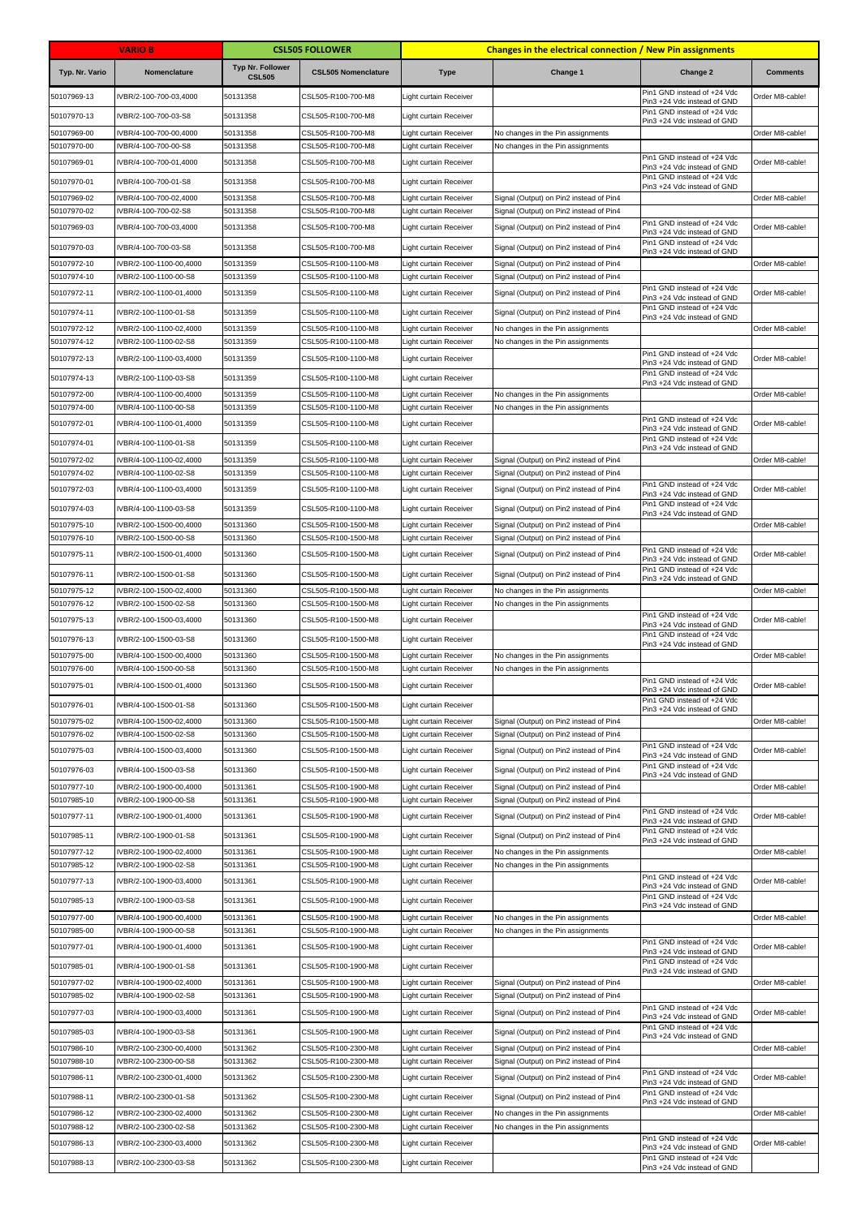|                            | <b>VARIO B</b>                                   |                                          | <b>CSL505 FOLLOWER</b>                     |                                                  | Changes in the electrical connection / New Pin assignments                         |                                                            |                 |
|----------------------------|--------------------------------------------------|------------------------------------------|--------------------------------------------|--------------------------------------------------|------------------------------------------------------------------------------------|------------------------------------------------------------|-----------------|
| Typ. Nr. Vario             | Nomenclature                                     | <b>Typ Nr. Follower</b><br><b>CSL505</b> | <b>CSL505 Nomenclature</b>                 | <b>Type</b>                                      | Change 1                                                                           | Change 2                                                   | <b>Comments</b> |
| 50107969-13                | IVBR/2-100-700-03,4000                           | 50131358                                 | CSL505-R100-700-M8                         | Light curtain Receiver                           |                                                                                    | Pin1 GND instead of +24 Vdc<br>Pin3 +24 Vdc instead of GND | Order M8-cable! |
| 50107970-13                | IVBR/2-100-700-03-S8                             | 50131358                                 | CSL505-R100-700-M8                         | Light curtain Receiver                           |                                                                                    | Pin1 GND instead of +24 Vdc<br>Pin3 +24 Vdc instead of GND |                 |
| 50107969-00                | VBR/4-100-700-00,4000                            | 50131358                                 | CSL505-R100-700-M8                         | Light curtain Receiver                           | No changes in the Pin assignments                                                  |                                                            | Order M8-cable! |
| 50107970-00                | VBR/4-100-700-00-S8                              | 50131358                                 | CSL505-R100-700-M8                         | Light curtain Receiver                           | No changes in the Pin assignments                                                  | Pin1 GND instead of +24 Vdc                                |                 |
| 50107969-01                | IVBR/4-100-700-01,4000                           | 50131358                                 | CSL505-R100-700-M8                         | Light curtain Receiver                           |                                                                                    | Pin3 +24 Vdc instead of GND<br>Pin1 GND instead of +24 Vdc | Order M8-cable! |
| 50107970-01                | IVBR/4-100-700-01-S8                             | 50131358                                 | CSL505-R100-700-M8                         | Light curtain Receiver                           |                                                                                    | Pin3 +24 Vdc instead of GND                                |                 |
| 50107969-02<br>50107970-02 | IVBR/4-100-700-02,4000<br>VBR/4-100-700-02-S8    | 50131358<br>50131358                     | CSL505-R100-700-M8<br>CSL505-R100-700-M8   | Light curtain Receiver<br>Light curtain Receiver | Signal (Output) on Pin2 instead of Pin4<br>Signal (Output) on Pin2 instead of Pin4 |                                                            | Order M8-cable! |
| 50107969-03                | IVBR/4-100-700-03,4000                           | 50131358                                 | CSL505-R100-700-M8                         | Light curtain Receiver                           | Signal (Output) on Pin2 instead of Pin4                                            | Pin1 GND instead of +24 Vdc<br>Pin3 +24 Vdc instead of GND | Order M8-cable! |
| 50107970-03                | IVBR/4-100-700-03-S8                             | 50131358                                 | CSL505-R100-700-M8                         | Light curtain Receiver                           | Signal (Output) on Pin2 instead of Pin4                                            | Pin1 GND instead of +24 Vdc<br>Pin3 +24 Vdc instead of GND |                 |
| 50107972-10                | IVBR/2-100-1100-00,4000                          | 50131359                                 | CSL505-R100-1100-M8                        | Light curtain Receiver                           | Signal (Output) on Pin2 instead of Pin4                                            |                                                            | Order M8-cable! |
| 50107974-10                | IVBR/2-100-1100-00-S8                            | 50131359                                 | CSL505-R100-1100-M8                        | Light curtain Receiver                           | Signal (Output) on Pin2 instead of Pin4                                            | Pin1 GND instead of +24 Vdc                                |                 |
| 50107972-11                | VBR/2-100-1100-01,4000                           | 50131359                                 | CSL505-R100-1100-M8                        | Light curtain Receiver                           | Signal (Output) on Pin2 instead of Pin4                                            | Pin3 +24 Vdc instead of GND<br>Pin1 GND instead of +24 Vdc | Order M8-cable! |
| 50107974-11                | IVBR/2-100-1100-01-S8                            | 50131359                                 | CSL505-R100-1100-M8                        | Light curtain Receiver                           | Signal (Output) on Pin2 instead of Pin4                                            | Pin3 +24 Vdc instead of GND                                |                 |
| 50107972-12<br>50107974-12 | IVBR/2-100-1100-02,4000<br>IVBR/2-100-1100-02-S8 | 50131359<br>50131359                     | CSL505-R100-1100-M8<br>CSL505-R100-1100-M8 | Light curtain Receiver<br>Light curtain Receiver | No changes in the Pin assignments<br>No changes in the Pin assignments             |                                                            | Order M8-cable! |
| 50107972-13                | IVBR/2-100-1100-03,4000                          | 50131359                                 | CSL505-R100-1100-M8                        | Light curtain Receiver                           |                                                                                    | Pin1 GND instead of +24 Vdc<br>Pin3 +24 Vdc instead of GND | Order M8-cable! |
| 50107974-13                | IVBR/2-100-1100-03-S8                            | 50131359                                 | CSL505-R100-1100-M8                        | Light curtain Receiver                           |                                                                                    | Pin1 GND instead of +24 Vdc<br>Pin3 +24 Vdc instead of GND |                 |
| 50107972-00                | IVBR/4-100-1100-00,4000                          | 50131359                                 | CSL505-R100-1100-M8                        | Light curtain Receiver                           | No changes in the Pin assignments                                                  |                                                            | Order M8-cable! |
| 50107974-00                | IVBR/4-100-1100-00-S8                            | 50131359                                 | CSL505-R100-1100-M8                        | Light curtain Receiver                           | No changes in the Pin assignments                                                  | Pin1 GND instead of +24 Vdc                                |                 |
| 50107972-01                | IVBR/4-100-1100-01,4000                          | 50131359                                 | CSL505-R100-1100-M8                        | Light curtain Receiver                           |                                                                                    | Pin3 +24 Vdc instead of GND                                | Order M8-cable! |
| 50107974-01                | IVBR/4-100-1100-01-S8                            | 50131359                                 | CSL505-R100-1100-M8                        | Light curtain Receiver                           |                                                                                    | Pin1 GND instead of +24 Vdc<br>Pin3 +24 Vdc instead of GND |                 |
| 50107972-02<br>50107974-02 | IVBR/4-100-1100-02,4000<br>IVBR/4-100-1100-02-S8 | 50131359<br>50131359                     | CSL505-R100-1100-M8<br>CSL505-R100-1100-M8 | Light curtain Receiver<br>Light curtain Receiver | Signal (Output) on Pin2 instead of Pin4<br>Signal (Output) on Pin2 instead of Pin4 |                                                            | Order M8-cable! |
| 50107972-03                | IVBR/4-100-1100-03,4000                          | 50131359                                 | CSL505-R100-1100-M8                        | Light curtain Receiver                           | Signal (Output) on Pin2 instead of Pin4                                            | Pin1 GND instead of +24 Vdc                                | Order M8-cable! |
| 50107974-03                | IVBR/4-100-1100-03-S8                            | 50131359                                 | CSL505-R100-1100-M8                        | Light curtain Receiver                           | Signal (Output) on Pin2 instead of Pin4                                            | Pin3 +24 Vdc instead of GND<br>Pin1 GND instead of +24 Vdc |                 |
| 50107975-10                | IVBR/2-100-1500-00,4000                          | 50131360                                 | CSL505-R100-1500-M8                        | Light curtain Receiver                           | Signal (Output) on Pin2 instead of Pin4                                            | Pin3 +24 Vdc instead of GND                                | Order M8-cable! |
| 50107976-10                | IVBR/2-100-1500-00-S8                            | 50131360                                 | CSL505-R100-1500-M8                        | Light curtain Receiver                           | Signal (Output) on Pin2 instead of Pin4                                            |                                                            |                 |
| 50107975-11                | IVBR/2-100-1500-01,4000                          | 50131360                                 | CSL505-R100-1500-M8                        | Light curtain Receiver                           | Signal (Output) on Pin2 instead of Pin4                                            | Pin1 GND instead of +24 Vdc<br>Pin3 +24 Vdc instead of GND | Order M8-cable! |
| 50107976-11                | IVBR/2-100-1500-01-S8                            | 50131360                                 | CSL505-R100-1500-M8                        | Light curtain Receiver                           | Signal (Output) on Pin2 instead of Pin4                                            | Pin1 GND instead of +24 Vdc<br>Pin3 +24 Vdc instead of GND |                 |
| 50107975-12                | IVBR/2-100-1500-02,4000                          | 50131360                                 | CSL505-R100-1500-M8                        | Light curtain Receiver                           | No changes in the Pin assignments                                                  |                                                            | Order M8-cable! |
| 50107976-12<br>50107975-13 | VBR/2-100-1500-02-S8<br>IVBR/2-100-1500-03,4000  | 50131360<br>50131360                     | CSL505-R100-1500-M8<br>CSL505-R100-1500-M8 | Light curtain Receiver<br>Light curtain Receiver | No changes in the Pin assignments                                                  | Pin1 GND instead of +24 Vdc                                | Order M8-cable! |
| 50107976-13                | IVBR/2-100-1500-03-S8                            | 50131360                                 | CSL505-R100-1500-M8                        |                                                  |                                                                                    | Pin3 +24 Vdc instead of GND<br>Pin1 GND instead of +24 Vdc |                 |
| 50107975-00                | IVBR/4-100-1500-00.4000                          | 50131360                                 | CSL505-R100-1500-M8                        | Light curtain Receiver<br>Light curtain Receiver | No changes in the Pin assignments                                                  | Pin3 +24 Vdc instead of GND                                | Order M8-cable! |
| 50107976-00                | VBR/4-100-1500-00-S8                             | 50131360                                 | CSL505-R100-1500-M8                        | <b>Light curtain Receiver</b>                    | No changes in the Pin assignments                                                  |                                                            |                 |
| 50107975-01                | IVBR/4-100-1500-01,4000                          | 50131360                                 | CSL505-R100-1500-M8                        | Light curtain Receiver                           |                                                                                    | Pin1 GND instead of +24 Vdc<br>Pin3 +24 Vdc instead of GND | Order M8-cable! |
| 50107976-01                | IVBR/4-100-1500-01-S8                            | 50131360                                 | CSL505-R100-1500-M8                        | Light curtain Receiver                           |                                                                                    | Pin1 GND instead of +24 Vdc<br>Pin3 +24 Vdc instead of GND |                 |
| 50107975-02                | IVBR/4-100-1500-02,4000                          | 50131360                                 | CSL505-R100-1500-M8                        | Light curtain Receiver                           | Signal (Output) on Pin2 instead of Pin4                                            |                                                            | Order M8-cable! |
| 50107976-02<br>50107975-03 | IVBR/4-100-1500-02-S8<br>IVBR/4-100-1500-03,4000 | 50131360<br>50131360                     | CSL505-R100-1500-M8<br>CSL505-R100-1500-M8 | Light curtain Receiver<br>Light curtain Receiver | Signal (Output) on Pin2 instead of Pin4<br>Signal (Output) on Pin2 instead of Pin4 | Pin1 GND instead of +24 Vdc                                | Order M8-cable! |
|                            |                                                  |                                          |                                            |                                                  |                                                                                    | Pin3 +24 Vdc instead of GND<br>Pin1 GND instead of +24 Vdc |                 |
| 50107976-03<br>50107977-10 | IVBR/4-100-1500-03-S8<br>IVBR/2-100-1900-00,4000 | 50131360<br>50131361                     | CSL505-R100-1500-M8<br>CSL505-R100-1900-M8 | Light curtain Receiver<br>Light curtain Receiver | Signal (Output) on Pin2 instead of Pin4<br>Signal (Output) on Pin2 instead of Pin4 | Pin3 +24 Vdc instead of GND                                | Order M8-cable! |
| 50107985-10                | VBR/2-100-1900-00-S8                             | 50131361                                 | CSL505-R100-1900-M8                        | Light curtain Receiver                           | Signal (Output) on Pin2 instead of Pin4                                            |                                                            |                 |
| 50107977-11                | IVBR/2-100-1900-01,4000                          | 50131361                                 | CSL505-R100-1900-M8                        | Light curtain Receiver                           | Signal (Output) on Pin2 instead of Pin4                                            | Pin1 GND instead of +24 Vdc<br>Pin3 +24 Vdc instead of GND | Order M8-cable! |
| 50107985-11                | IVBR/2-100-1900-01-S8                            | 50131361                                 | CSL505-R100-1900-M8                        | Light curtain Receiver                           | Signal (Output) on Pin2 instead of Pin4                                            | Pin1 GND instead of +24 Vdc<br>Pin3 +24 Vdc instead of GND |                 |
| 50107977-12                | IVBR/2-100-1900-02,4000                          | 50131361                                 | CSL505-R100-1900-M8                        | Light curtain Receiver                           | No changes in the Pin assignments                                                  |                                                            | Order M8-cable! |
| 50107985-12                | VBR/2-100-1900-02-S8                             | 50131361                                 | CSL505-R100-1900-M8                        | <b>Light curtain Receiver</b>                    | No changes in the Pin assignments                                                  | Pin1 GND instead of +24 Vdc                                |                 |
| 50107977-13                | IVBR/2-100-1900-03,4000                          | 50131361                                 | CSL505-R100-1900-M8                        | Light curtain Receiver                           |                                                                                    | Pin3 +24 Vdc instead of GND<br>Pin1 GND instead of +24 Vdc | Order M8-cable! |
| 50107985-13<br>50107977-00 | IVBR/2-100-1900-03-S8<br>IVBR/4-100-1900-00,4000 | 50131361<br>50131361                     | CSL505-R100-1900-M8<br>CSL505-R100-1900-M8 | Light curtain Receiver<br>Light curtain Receiver | No changes in the Pin assignments                                                  | Pin3 +24 Vdc instead of GND                                | Order M8-cable! |
| 50107985-00                | VBR/4-100-1900-00-S8                             | 50131361                                 | CSL505-R100-1900-M8                        | Light curtain Receiver                           | No changes in the Pin assignments                                                  |                                                            |                 |
| 50107977-01                | IVBR/4-100-1900-01,4000                          | 50131361                                 | CSL505-R100-1900-M8                        | Light curtain Receiver                           |                                                                                    | Pin1 GND instead of +24 Vdc<br>Pin3 +24 Vdc instead of GND | Order M8-cable! |
| 50107985-01                | IVBR/4-100-1900-01-S8                            | 50131361                                 | CSL505-R100-1900-M8                        | Light curtain Receiver                           |                                                                                    | Pin1 GND instead of +24 Vdc<br>Pin3 +24 Vdc instead of GND |                 |
| 50107977-02                | IVBR/4-100-1900-02,4000                          | 50131361                                 | CSL505-R100-1900-M8                        | Light curtain Receiver                           | Signal (Output) on Pin2 instead of Pin4                                            |                                                            | Order M8-cable! |
| 50107985-02                | IVBR/4-100-1900-02-S8                            | 50131361                                 | CSL505-R100-1900-M8                        | Light curtain Receiver                           | Signal (Output) on Pin2 instead of Pin4                                            | Pin1 GND instead of +24 Vdc                                |                 |
| 50107977-03                | IVBR/4-100-1900-03,4000                          | 50131361                                 | CSL505-R100-1900-M8                        | Light curtain Receiver                           | Signal (Output) on Pin2 instead of Pin4                                            | Pin3 +24 Vdc instead of GND<br>Pin1 GND instead of +24 Vdc | Order M8-cable! |
| 50107985-03                | IVBR/4-100-1900-03-S8                            | 50131361                                 | CSL505-R100-1900-M8                        | Light curtain Receiver                           | Signal (Output) on Pin2 instead of Pin4                                            | Pin3 +24 Vdc instead of GND                                |                 |
| 50107986-10<br>50107988-10 | IVBR/2-100-2300-00,4000<br>IVBR/2-100-2300-00-S8 | 50131362<br>50131362                     | CSL505-R100-2300-M8<br>CSL505-R100-2300-M8 | Light curtain Receiver<br>Light curtain Receiver | Signal (Output) on Pin2 instead of Pin4<br>Signal (Output) on Pin2 instead of Pin4 |                                                            | Order M8-cable! |
| 50107986-11                | IVBR/2-100-2300-01,4000                          | 50131362                                 | CSL505-R100-2300-M8                        | Light curtain Receiver                           | Signal (Output) on Pin2 instead of Pin4                                            | Pin1 GND instead of +24 Vdc<br>Pin3 +24 Vdc instead of GND | Order M8-cable! |
| 50107988-11                | IVBR/2-100-2300-01-S8                            | 50131362                                 | CSL505-R100-2300-M8                        | Light curtain Receiver                           | Signal (Output) on Pin2 instead of Pin4                                            | Pin1 GND instead of +24 Vdc<br>Pin3 +24 Vdc instead of GND |                 |
| 50107986-12                | IVBR/2-100-2300-02,4000                          | 50131362                                 | CSL505-R100-2300-M8                        | Light curtain Receiver                           | No changes in the Pin assignments                                                  |                                                            | Order M8-cable! |
| 50107988-12                | IVBR/2-100-2300-02-S8                            | 50131362                                 | CSL505-R100-2300-M8                        | Light curtain Receiver                           | No changes in the Pin assignments                                                  | Pin1 GND instead of +24 Vdc                                |                 |
| 50107986-13                | IVBR/2-100-2300-03,4000                          | 50131362                                 | CSL505-R100-2300-M8                        | Light curtain Receiver                           |                                                                                    | Pin3 +24 Vdc instead of GND                                | Order M8-cable! |
| 50107988-13                | IVBR/2-100-2300-03-S8                            | 50131362                                 | CSL505-R100-2300-M8                        | Light curtain Receiver                           |                                                                                    | Pin1 GND instead of +24 Vdc<br>Pin3 +24 Vdc instead of GND |                 |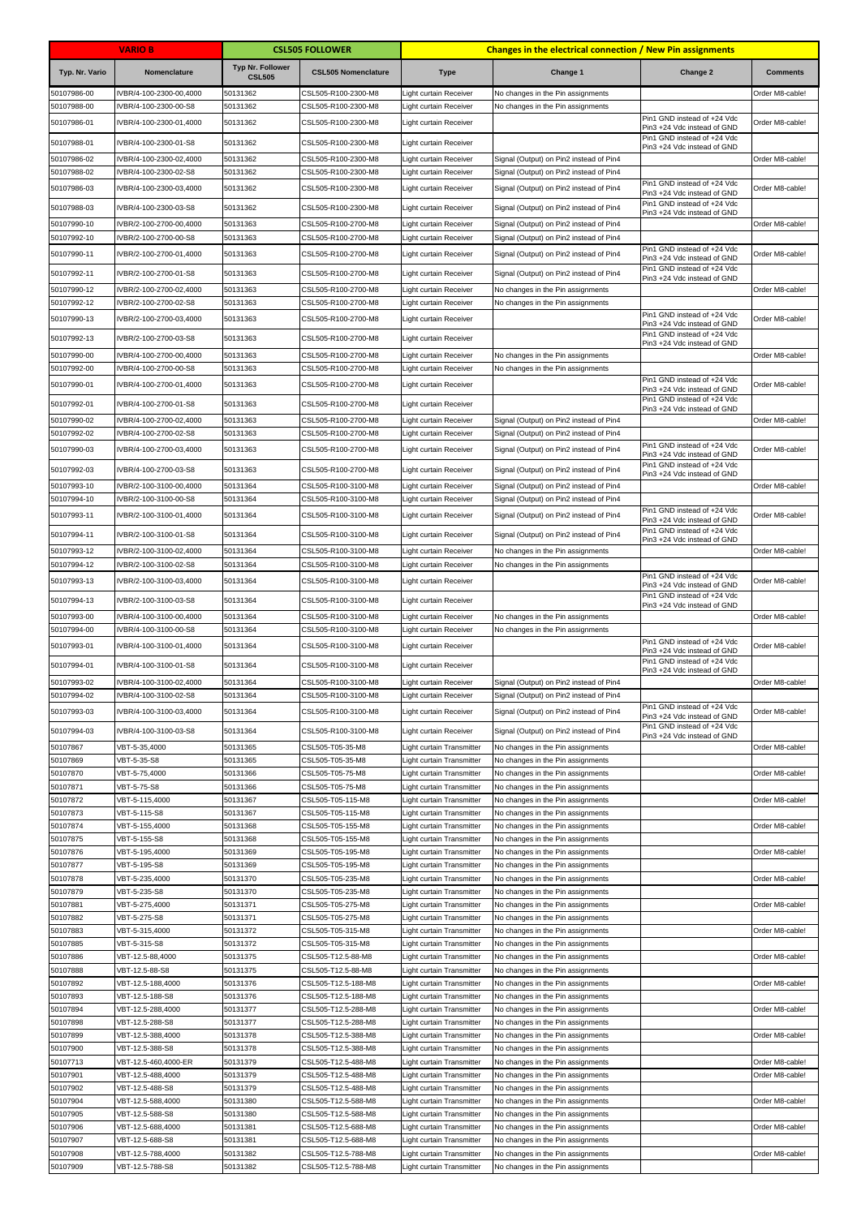|                            | <b>VARIO B</b>                                   |                                          | <b>CSL505 FOLLOWER</b>                     |                                                        | <b>Changes in the electrical connection / New Pin assignments</b>      |                                                                                           |                 |
|----------------------------|--------------------------------------------------|------------------------------------------|--------------------------------------------|--------------------------------------------------------|------------------------------------------------------------------------|-------------------------------------------------------------------------------------------|-----------------|
| Typ. Nr. Vario             | Nomenclature                                     | <b>Typ Nr. Follower</b><br><b>CSL505</b> | <b>CSL505 Nomenclature</b>                 | <b>Type</b>                                            | Change 1                                                               | Change 2                                                                                  | <b>Comments</b> |
| 50107986-00                | IVBR/4-100-2300-00,4000                          | 50131362                                 | CSL505-R100-2300-M8                        | Light curtain Receiver                                 | No changes in the Pin assignments                                      |                                                                                           | Order M8-cable! |
| 50107988-00                | VBR/4-100-2300-00-S8                             | 50131362                                 | CSL505-R100-2300-M8                        | ight curtain Receiver                                  | No changes in the Pin assignments                                      |                                                                                           |                 |
| 50107986-01                | IVBR/4-100-2300-01,4000                          | 50131362                                 | CSL505-R100-2300-M8                        | Light curtain Receiver                                 |                                                                        | Pin1 GND instead of +24 Vdc<br>Pin3 +24 Vdc instead of GND                                | Order M8-cable! |
| 50107988-01                | IVBR/4-100-2300-01-S8                            | 50131362                                 | CSL505-R100-2300-M8                        | Light curtain Receiver                                 |                                                                        | Pin1 GND instead of +24 Vdc<br>Pin3 +24 Vdc instead of GND                                |                 |
| 50107986-02                | IVBR/4-100-2300-02,4000                          | 50131362                                 | CSL505-R100-2300-M8                        | Light curtain Receiver                                 | Signal (Output) on Pin2 instead of Pin4                                |                                                                                           | Order M8-cable! |
| 50107988-02                | IVBR/4-100-2300-02-S8                            | 50131362                                 | CSL505-R100-2300-M8                        | Light curtain Receiver                                 | Signal (Output) on Pin2 instead of Pin4                                | Pin1 GND instead of +24 Vdc                                                               |                 |
| 50107986-03                | IVBR/4-100-2300-03,4000                          | 50131362                                 | CSL505-R100-2300-M8                        | Light curtain Receiver                                 | Signal (Output) on Pin2 instead of Pin4                                | Pin3 +24 Vdc instead of GND                                                               | Order M8-cable! |
| 50107988-03                | IVBR/4-100-2300-03-S8                            | 50131362                                 | CSL505-R100-2300-M8                        | Light curtain Receiver                                 | Signal (Output) on Pin2 instead of Pin4                                | Pin1 GND instead of +24 Vdc<br>Pin3 +24 Vdc instead of GND                                |                 |
| 50107990-10                | IVBR/2-100-2700-00,4000                          | 50131363                                 | CSL505-R100-2700-M8                        | Light curtain Receiver                                 | Signal (Output) on Pin2 instead of Pin4                                |                                                                                           | Order M8-cable! |
| 50107992-10                | VBR/2-100-2700-00-S8                             | 50131363                                 | CSL505-R100-2700-M8                        | Light curtain Receiver                                 | Signal (Output) on Pin2 instead of Pin4                                | Pin1 GND instead of +24 Vdc                                                               |                 |
| 50107990-11                | IVBR/2-100-2700-01,4000                          | 50131363                                 | CSL505-R100-2700-M8                        | Light curtain Receiver                                 | Signal (Output) on Pin2 instead of Pin4                                | Pin3 +24 Vdc instead of GND<br>Pin1 GND instead of +24 Vdc                                | Order M8-cable! |
| 50107992-11                | IVBR/2-100-2700-01-S8                            | 50131363                                 | CSL505-R100-2700-M8                        | Light curtain Receiver                                 | Signal (Output) on Pin2 instead of Pin4                                | Pin3 +24 Vdc instead of GND                                                               |                 |
| 50107990-12<br>50107992-12 | VBR/2-100-2700-02,4000<br>VBR/2-100-2700-02-S8   | 50131363<br>50131363                     | CSL505-R100-2700-M8<br>CSL505-R100-2700-M8 | Light curtain Receiver<br>Light curtain Receiver       | No changes in the Pin assignments<br>No changes in the Pin assignments |                                                                                           | Order M8-cable! |
| 50107990-13                | IVBR/2-100-2700-03,4000                          | 50131363                                 | CSL505-R100-2700-M8                        | Light curtain Receiver                                 |                                                                        | Pin1 GND instead of +24 Vdc                                                               | Order M8-cable! |
| 50107992-13                | IVBR/2-100-2700-03-S8                            | 50131363                                 | CSL505-R100-2700-M8                        | Light curtain Receiver                                 |                                                                        | Pin3 +24 Vdc instead of GND<br>Pin1 GND instead of +24 Vdc                                |                 |
|                            |                                                  | 50131363                                 |                                            |                                                        |                                                                        | Pin3 +24 Vdc instead of GND                                                               | Order M8-cable! |
| 50107990-00<br>50107992-00 | IVBR/4-100-2700-00,4000<br>VBR/4-100-2700-00-S8  | 50131363                                 | CSL505-R100-2700-M8<br>CSL505-R100-2700-M8 | Light curtain Receiver<br>Light curtain Receiver       | No changes in the Pin assignments<br>No changes in the Pin assignments |                                                                                           |                 |
| 50107990-01                | IVBR/4-100-2700-01,4000                          | 50131363                                 | CSL505-R100-2700-M8                        | Light curtain Receiver                                 |                                                                        | Pin1 GND instead of +24 Vdc<br>Pin3 +24 Vdc instead of GND                                | Order M8-cable! |
| 50107992-01                | IVBR/4-100-2700-01-S8                            | 50131363                                 | CSL505-R100-2700-M8                        | Light curtain Receiver                                 |                                                                        | Pin1 GND instead of +24 Vdc                                                               |                 |
| 50107990-02                | IVBR/4-100-2700-02,4000                          | 50131363                                 | CSL505-R100-2700-M8                        | ight curtain Receiver                                  | Signal (Output) on Pin2 instead of Pin4                                | Pin3 +24 Vdc instead of GND                                                               | Order M8-cable! |
| 50107992-02                | VBR/4-100-2700-02-S8                             | 50131363                                 | CSL505-R100-2700-M8                        | Light curtain Receiver                                 | Signal (Output) on Pin2 instead of Pin4                                |                                                                                           |                 |
| 50107990-03                | IVBR/4-100-2700-03,4000                          | 50131363                                 | CSL505-R100-2700-M8                        | Light curtain Receiver                                 | Signal (Output) on Pin2 instead of Pin4                                | Pin1 GND instead of +24 Vdc<br>Pin3 +24 Vdc instead of GND                                | Order M8-cable! |
| 50107992-03                | IVBR/4-100-2700-03-S8                            | 50131363                                 | CSL505-R100-2700-M8                        | Light curtain Receiver                                 | Signal (Output) on Pin2 instead of Pin4                                | Pin1 GND instead of +24 Vdc                                                               |                 |
| 50107993-10                | IVBR/2-100-3100-00,4000                          | 50131364                                 | CSL505-R100-3100-M8                        | Light curtain Receiver                                 | Signal (Output) on Pin2 instead of Pin4                                | Pin3 +24 Vdc instead of GND                                                               | Order M8-cable! |
| 50107994-10                | VBR/2-100-3100-00-S8                             | 50131364                                 | CSL505-R100-3100-M8                        | Light curtain Receiver                                 | Signal (Output) on Pin2 instead of Pin4                                |                                                                                           |                 |
| 50107993-11                | IVBR/2-100-3100-01,4000                          | 50131364                                 | CSL505-R100-3100-M8                        | Light curtain Receiver                                 | Signal (Output) on Pin2 instead of Pin4                                | Pin1 GND instead of +24 Vdc<br>Pin3 +24 Vdc instead of GND                                | Order M8-cable! |
| 50107994-11                | IVBR/2-100-3100-01-S8                            | 50131364                                 | CSL505-R100-3100-M8                        | Light curtain Receiver                                 | Signal (Output) on Pin2 instead of Pin4                                | Pin1 GND instead of +24 Vdc<br>Pin3 +24 Vdc instead of GND                                |                 |
| 50107993-12                | IVBR/2-100-3100-02,4000                          | 50131364                                 | CSL505-R100-3100-M8                        | Light curtain Receiver                                 | No changes in the Pin assignments                                      |                                                                                           | Order M8-cable! |
| 50107994-12                | IVBR/2-100-3100-02-S8                            | 50131364                                 | CSL505-R100-3100-M8                        | Light curtain Receiver                                 | No changes in the Pin assignments                                      |                                                                                           |                 |
| 50107993-13                | IVBR/2-100-3100-03,4000                          | 50131364                                 | CSL505-R100-3100-M8                        | Light curtain Receiver                                 |                                                                        | Pin1 GND instead of +24 Vdc<br>Pin3 +24 Vdc instead of GND<br>Pin1 GND instead of +24 Vdc | Order M8-cable! |
| 50107994-13                | IVBR/2-100-3100-03-S8                            | 50131364                                 | CSL505-R100-3100-M8                        | Light curtain Receiver                                 |                                                                        | Pin3 +24 Vdc instead of GND                                                               |                 |
| 50107993-00<br>50107994-00 | IVBR/4-100-3100-00,4000<br>IVBR/4-100-3100-00-S8 | 50131364<br>50131364                     | CSL505-R100-3100-M8<br>CSL505-R100-3100-M8 | Light curtain Receiver<br>Light curtain Receiver       | No changes in the Pin assignments<br>No changes in the Pin assignments |                                                                                           | Order M8-cable! |
| 50107993-01                | IVBR/4-100-3100-01,4000                          | 50131364                                 | CSL505-R100-3100-M8                        | Light curtain Receiver                                 |                                                                        | Pin1 GND instead of +24 Vdc<br>Pin3 +24 Vdc instead of GND                                | Order M8-cable! |
| 50107994-01                | IVBR/4-100-3100-01-S8                            | 50131364                                 | CSL505-R100-3100-M8                        | Light curtain Receiver                                 |                                                                        | Pin1 GND instead of +24 Vdc                                                               |                 |
| 50107993-02                | IVBR/4-100-3100-02,4000                          | 50131364                                 | CSL505-R100-3100-M8                        | Light curtain Receiver                                 | Signal (Output) on Pin2 instead of Pin4                                | Pin3 +24 Vdc instead of GND                                                               | Order M8-cable! |
| 50107994-02                | IVBR/4-100-3100-02-S8                            | 50131364                                 | CSL505-R100-3100-M8                        | Light curtain Receiver                                 | Signal (Output) on Pin2 instead of Pin4                                |                                                                                           |                 |
| 50107993-03                | IVBR/4-100-3100-03,4000                          | 50131364                                 | CSL505-R100-3100-M8                        | Light curtain Receiver                                 | Signal (Output) on Pin2 instead of Pin4                                | Pin1 GND instead of +24 Vdc<br>Pin3 +24 Vdc instead of GND                                | Order M8-cable! |
| 50107994-03                | IVBR/4-100-3100-03-S8                            | 50131364                                 | CSL505-R100-3100-M8                        | Light curtain Receiver                                 | Signal (Output) on Pin2 instead of Pin4                                | Pin1 GND instead of +24 Vdc<br>Pin3 +24 Vdc instead of GND                                |                 |
| 50107867                   | VBT-5-35,4000                                    | 50131365                                 | CSL505-T05-35-M8                           | Light curtain Transmitter                              | No changes in the Pin assignments                                      |                                                                                           | Order M8-cable! |
| 50107869                   | VBT-5-35-S8                                      | 50131365                                 | CSL505-T05-35-M8                           | Light curtain Transmitter                              | No changes in the Pin assignments                                      |                                                                                           |                 |
| 50107870<br>50107871       | VBT-5-75,4000<br>VBT-5-75-S8                     | 50131366<br>50131366                     | CSL505-T05-75-M8<br>CSL505-T05-75-M8       | Light curtain Transmitter<br>Light curtain Transmitter | No changes in the Pin assignments<br>No changes in the Pin assignments |                                                                                           | Order M8-cable! |
| 50107872                   | VBT-5-115,4000                                   | 50131367                                 | CSL505-T05-115-M8                          | Light curtain Transmitter                              | No changes in the Pin assignments                                      |                                                                                           | Order M8-cable! |
| 50107873                   | VBT-5-115-S8                                     | 50131367                                 | CSL505-T05-115-M8                          | Light curtain Transmitter                              | No changes in the Pin assignments                                      |                                                                                           |                 |
| 50107874                   | VBT-5-155,4000                                   | 50131368                                 | CSL505-T05-155-M8                          | Light curtain Transmitter                              | No changes in the Pin assignments                                      |                                                                                           | Order M8-cable! |
| 50107875<br>50107876       | VBT-5-155-S8<br>VBT-5-195,4000                   | 50131368<br>50131369                     | CSL505-T05-155-M8<br>CSL505-T05-195-M8     | Light curtain Transmitter<br>Light curtain Transmitter | No changes in the Pin assignments<br>No changes in the Pin assignments |                                                                                           | Order M8-cable! |
| 50107877                   | VBT-5-195-S8                                     | 50131369                                 | CSL505-T05-195-M8                          | Light curtain Transmitter                              | No changes in the Pin assignments                                      |                                                                                           |                 |
| 50107878                   | VBT-5-235,4000                                   | 50131370                                 | CSL505-T05-235-M8                          | Light curtain Transmitter                              | No changes in the Pin assignments                                      |                                                                                           | Order M8-cable! |
| 50107879<br>50107881       | VBT-5-235-S8<br>VBT-5-275,4000                   | 50131370<br>50131371                     | CSL505-T05-235-M8<br>CSL505-T05-275-M8     | Light curtain Transmitter<br>Light curtain Transmitter | No changes in the Pin assignments<br>No changes in the Pin assignments |                                                                                           | Order M8-cable! |
| 50107882                   | VBT-5-275-S8                                     | 50131371                                 | CSL505-T05-275-M8                          | Light curtain Transmitter                              | No changes in the Pin assignments                                      |                                                                                           |                 |
| 50107883                   | VBT-5-315,4000                                   | 50131372                                 | CSL505-T05-315-M8                          | Light curtain Transmitter                              | No changes in the Pin assignments                                      |                                                                                           | Order M8-cable! |
| 50107885                   | VBT-5-315-S8                                     | 50131372                                 | CSL505-T05-315-M8                          | Light curtain Transmitter                              | No changes in the Pin assignments                                      |                                                                                           |                 |
| 50107886<br>50107888       | VBT-12.5-88,4000<br>VBT-12.5-88-S8               | 50131375<br>50131375                     | CSL505-T12.5-88-M8<br>CSL505-T12.5-88-M8   | Light curtain Transmitter<br>Light curtain Transmitter | No changes in the Pin assignments<br>No changes in the Pin assignments |                                                                                           | Order M8-cable! |
| 50107892                   | VBT-12.5-188,4000                                | 50131376                                 | CSL505-T12.5-188-M8                        | Light curtain Transmitter                              | No changes in the Pin assignments                                      |                                                                                           | Order M8-cable! |
| 50107893                   | VBT-12.5-188-S8                                  | 50131376                                 | CSL505-T12.5-188-M8                        | Light curtain Transmitter                              | No changes in the Pin assignments                                      |                                                                                           |                 |
| 50107894<br>50107898       | VBT-12.5-288,4000<br>VBT-12.5-288-S8             | 50131377<br>50131377                     | CSL505-T12.5-288-M8<br>CSL505-T12.5-288-M8 | Light curtain Transmitter<br>Light curtain Transmitter | No changes in the Pin assignments<br>No changes in the Pin assignments |                                                                                           | Order M8-cable! |
| 50107899                   | VBT-12.5-388,4000                                | 50131378                                 | CSL505-T12.5-388-M8                        | Light curtain Transmitter                              | No changes in the Pin assignments                                      |                                                                                           | Order M8-cable! |
| 50107900                   | VBT-12.5-388-S8                                  | 50131378                                 | CSL505-T12.5-388-M8                        | Light curtain Transmitter                              | No changes in the Pin assignments                                      |                                                                                           |                 |
| 50107713                   | VBT-12.5-460,4000-ER                             | 50131379                                 | CSL505-T12.5-488-M8                        | Light curtain Transmitter                              | No changes in the Pin assignments                                      |                                                                                           | Order M8-cable! |
| 50107901<br>50107902       | VBT-12.5-488,4000<br>VBT-12.5-488-S8             | 50131379<br>50131379                     | CSL505-T12.5-488-M8<br>CSL505-T12.5-488-M8 | Light curtain Transmitter<br>Light curtain Transmitter | No changes in the Pin assignments<br>No changes in the Pin assignments |                                                                                           | Order M8-cable! |
| 50107904                   | VBT-12.5-588,4000                                | 50131380                                 | CSL505-T12.5-588-M8                        | Light curtain Transmitter                              | No changes in the Pin assignments                                      |                                                                                           | Order M8-cable! |
| 50107905                   | VBT-12.5-588-S8                                  | 50131380                                 | CSL505-T12.5-588-M8                        | Light curtain Transmitter                              | No changes in the Pin assignments                                      |                                                                                           |                 |
| 50107906<br>50107907       | VBT-12.5-688,4000<br>VBT-12.5-688-S8             | 50131381<br>50131381                     | CSL505-T12.5-688-M8<br>CSL505-T12.5-688-M8 | Light curtain Transmitter<br>Light curtain Transmitter | No changes in the Pin assignments<br>No changes in the Pin assignments |                                                                                           | Order M8-cable! |
| 50107908                   | VBT-12.5-788,4000                                | 50131382                                 | CSL505-T12.5-788-M8                        | Light curtain Transmitter                              | No changes in the Pin assignments                                      |                                                                                           | Order M8-cable! |
| 50107909                   | VBT-12.5-788-S8                                  | 50131382                                 | CSL505-T12.5-788-M8                        | Light curtain Transmitter                              | No changes in the Pin assignments                                      |                                                                                           |                 |